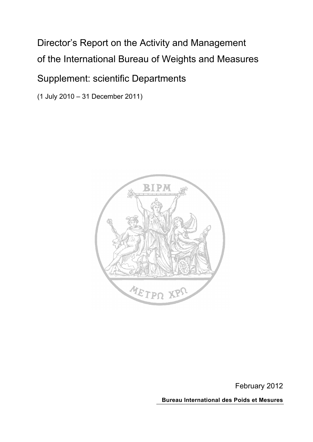# Director's Report on the Activity and Management of the International Bureau of Weights and Measures

# Supplement: scientific Departments

(1 July 2010 – 31 December 2011)



February 2012 **Bureau International des Poids et Mesures**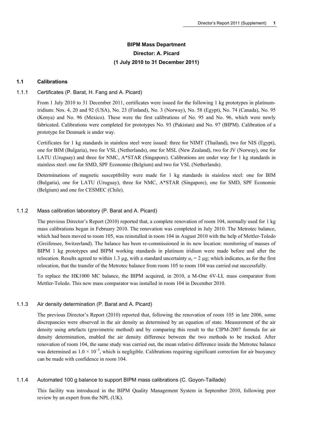# **BIPM Mass Department Director: A. Picard (1 July 2010 to 31 December 2011)**

# **1.1 Calibrations**

#### 1.1.1 Certificates (P. Barat, H. Fang and A. Picard)

From 1 July 2010 to 31 December 2011, certificates were issued for the following 1 kg prototypes in platinumiridium: Nos. 4, 20 and 92 (USA), No. 23 (Finland), No. 3 (Norway), No. 58 (Egypt), No. 74 (Canada), No. 95 (Kenya) and No. 96 (Mexico). These were the first calibrations of No. 95 and No. 96, which were newly fabricated. Calibrations were completed for prototypes No. 93 (Pakistan) and No. 97 (BIPM). Calibration of a prototype for Denmark is under way.

Certificates for 1 kg standards in stainless steel were issued: three for NIMT (Thailand), two for NIS (Egypt), one for BIM (Bulgaria), two for VSL (Netherlands), one for MSL (New Zealand), two for JV (Norway), one for LATU (Uruguay) and three for NMC, A\*STAR (Singapore). Calibrations are under way for 1 kg standards in stainless steel: one for SMD, SPF Economie (Belgium) and two for VSL (Netherlands).

Determinations of magnetic susceptibility were made for 1 kg standards in stainless steel: one for BIM (Bulgaria), one for LATU (Uruguay), three for NMC, A\*STAR (Singapore), one for SMD, SPF Economie (Belgium) and one for CESMEC (Chile).

#### 1.1.2 Mass calibration laboratory (P. Barat and A. Picard)

The previous Director's Report (2010) reported that, a complete renovation of room 104, normally used for 1 kg mass calibrations began in February 2010. The renovation was completed in July 2010. The Metrotec balance, which had been moved to room 105, was reinstalled in room 104 in August 2010 with the help of Mettler-Toledo (Greifensee, Switzerland). The balance has been re-commissioned in its new location: monitoring of masses of BIPM 1 kg prototypes and BIPM working standards in platinum iridium were made before and after the relocation. Results agreed to within 1.3 µg, with a standard uncertainty  $u_c = 2 \mu$ g; which indicates, as for the first relocation, that the transfer of the Metrotec balance from room 105 to room 104 was carried out successfully.

To replace the HK1000 MC balance, the BIPM acquired, in 2010, a M-One 6V-LL mass comparator from Mettler-Toledo. This new mass comparator was installed in room 104 in December 2010.

#### 1.1.3 Air density determination (P. Barat and A. Picard)

The previous Director's Report (2010) reported that, following the renovation of room 105 in late 2006, some discrepancies were observed in the air density as determined by an equation of state. Measurement of the air density using artefacts (gravimetric method) and by comparing this result to the CIPM-2007 formula for air density determination, enabled the air density difference between the two methods to be tracked. After renovation of room 104, the same study was carried out, the mean relative difference inside the Metrotec balance was determined as  $1.0 \times 10^{-5}$ , which is negligible. Calibrations requiring significant correction for air buoyancy can be made with confidence in room 104.

#### 1.1.4 Automated 100 g balance to support BIPM mass calibrations (C. Goyon-Taillade)

This facility was introduced in the BIPM Quality Management System in September 2010, following peer review by an expert from the NPL (UK).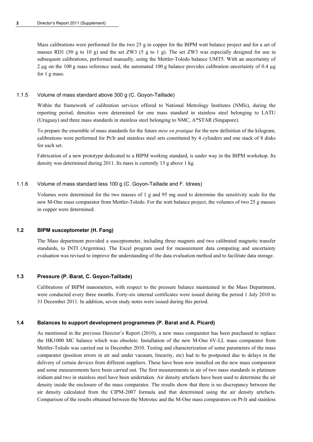Mass calibrations were performed for the two 25 g in copper for the BIPM watt balance project and for a set of masses RD1 (50 g to 10 g) and the set ZW3 (5 g to 1 g). The set ZW3 was especially designed for use in subsequent calibrations, performed manually, using the Mettler-Toledo balance UMT5. With an uncertainty of 2 µg on the 100 g mass reference used, the automated 100 g balance provides calibration uncertainty of 0.4 µg for 1 g mass.

# 1.1.5 Volume of mass standard above 300 g (C. Goyon-Taillade)

Within the framework of calibration services offered to National Metrology Institutes (NMIs), during the reporting period, densities were determined for one mass standard in stainless steel belonging to LATU (Uruguay) and three mass standards in stainless steel belonging to NMC, A\*STAR (Singapore).

To prepare the ensemble of mass standards for the future *mise en pratique* for the new definition of the kilogram, calibrations were performed for Pt/Ir and stainless steel sets constituted by 4 cylinders and one stack of 8 disks for each set.

Fabrication of a new prototype dedicated to a BIPM working standard, is under way in the BIPM workshop. Its density was determined during 2011. Its mass is currently 13 g above 1 kg.

# 1.1.6 Volume of mass standard less 100 g (C. Goyon-Taillade and F. Idrees)

Volumes were determined for the two masses of 1 g and 95 mg used to determine the sensitivity scale for the new M-One mass comparator from Mettler-Toledo. For the watt balance project, the volumes of two 25 g masses in copper were determined.

# **1.2 BIPM susceptometer (H. Fang)**

The Mass department provided a susceptometer, including three magnets and two calibrated magnetic transfer standards, to INTI (Argentina). The Excel program used for measurement data computing and uncertainty evaluation was revised to improve the understanding of the data evaluation method and to facilitate data storage.

# **1.3 Pressure (P. Barat, C. Goyon-Taillade)**

Calibrations of BIPM manometers, with respect to the pressure balance maintained in the Mass Department, were conducted every three months. Forty-six internal certificates were issued during the period 1 July 2010 to 31 December 2011. In addition, seven study notes were issued during this period.

# **1.4 Balances to support development programmes (P. Barat and A. Picard)**

As mentioned in the previous Director's Report (2010), a new mass comparator has been purchased to replace the HK1000 MC balance which was obsolete. Installation of the new M-One 6V-LL mass comparator from Mettler-Toledo was carried out in December 2010. Testing and characterization of some parameters of the mass comparator (position errors in air and under vacuum, linearity, etc) had to be postponed due to delays in the delivery of certain devices from different suppliers. These have been now installed on the new mass comparator and some measurements have been carried out. The first measurements in air of two mass standards in platinum iridium and two in stainless steel have been undertaken. Air density artefacts have been used to determine the air density inside the enclosure of the mass comparator. The results show that there is no discrepancy between the air density calculated from the CIPM-2007 formula and that determined using the air density artefacts. Comparison of the results obtained between the Metrotec and the M-One mass comparators on Pt-Ir and stainless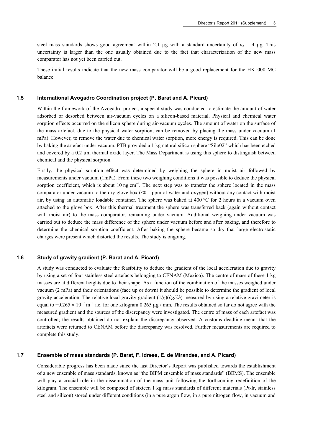steel mass standards shows good agreement within 2.1  $\mu$ g with a standard uncertainty of  $u_c = 4 \mu$ g. This uncertainty is larger than the one usually obtained due to the fact that characterization of the new mass comparator has not yet been carried out.

These initial results indicate that the new mass comparator will be a good replacement for the HK1000 MC balance.

#### **1.5 International Avogadro Coordination project (P. Barat and A. Picard)**

Within the framework of the Avogadro project, a special study was conducted to estimate the amount of water adsorbed or desorbed between air-vacuum cycles on a silicon-based material. Physical and chemical water sorption effects occurred on the silicon sphere during air-vacuum cycles. The amount of water on the surface of the mass artefact, due to the physical water sorption, can be removed by placing the mass under vacuum (1 mPa). However, to remove the water due to chemical water sorption, more energy is required. This can be done by baking the artefact under vacuum. PTB provided a 1 kg natural silicon sphere "Silo02" which has been etched and covered by a 0.2 µm thermal oxide layer. The Mass Department is using this sphere to distinguish between chemical and the physical sorption.

Firstly, the physical sorption effect was determined by weighing the sphere in moist air followed by measurements under vacuum (1mPa). From these two weighing conditions it was possible to deduce the physical sorption coefficient, which is about 10 ng cm<sup>-2</sup>. The next step was to transfer the sphere located in the mass comparator under vacuum to the dry glove box  $(<0.1$  ppm of water and oxygen) without any contact with moist air, by using an automatic loadable container. The sphere was baked at 400 °C for 2 hours in a vacuum oven attached to the glove box. After this thermal treatment the sphere was transferred back (again without contact with moist air) to the mass comparator, remaining under vacuum. Additional weighing under vacuum was carried out to deduce the mass difference of the sphere under vacuum before and after baking, and therefore to determine the chemical sorption coefficient. After baking the sphere became so dry that large electrostatic charges were present which distorted the results. The study is ongoing.

# **1.6 Study of gravity gradient (P. Barat and A. Picard)**

A study was conducted to evaluate the feasibility to deduce the gradient of the local acceleration due to gravity by using a set of four stainless steel artefacts belonging to CENAM (Mexico). The centre of mass of these 1 kg masses are at different heights due to their shape. As a function of the combination of the masses weighed under vacuum (2 mPa) and their orientations (face up or down) it should be possible to determine the gradient of local gravity acceleration. The relative local gravity gradient (1/*g*)(∂*g*/∂*h*) measured by using a relative gravimeter is equal to  $-0.265 \times 10^{-7}$  m<sup>-1</sup> i.e. for one kilogram 0.265 µg / mm. The results obtained so far do not agree with the measured gradient and the sources of the discrepancy were investigated. The centre of mass of each artefact was controlled; the results obtained do not explain the discrepancy observed. A customs deadline meant that the artefacts were returned to CENAM before the discrepancy was resolved. Further measurements are required to complete this study.

#### **1.7 Ensemble of mass standards (P. Barat, F. Idrees, E. de Mirandes, and A. Picard)**

Considerable progress has been made since the last Director's Report was published towards the establishment of a new ensemble of mass standards, known as "the BIPM ensemble of mass standards" (BEMS). The ensemble will play a crucial role in the dissemination of the mass unit following the forthcoming redefinition of the kilogram. The ensemble will be composed of sixteen 1 kg mass standards of different materials (Pt-Ir, stainless steel and silicon) stored under different conditions (in a pure argon flow, in a pure nitrogen flow, in vacuum and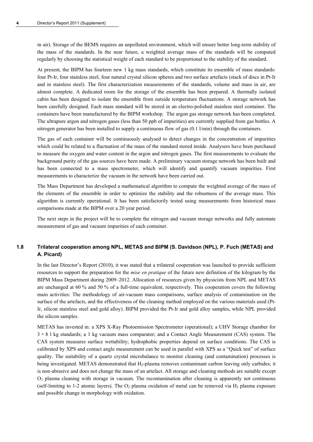in air). Storage of the BEMS requires an unpolluted environment, which will ensure better long-term stability of the mass of the standards. In the near future, a weighted average mass of the standards will be computed regularly by choosing the statistical weight of each standard to be proportional to the stability of the standard.

At present, the BIPM has fourteen new 1 kg mass standards, which constitute its ensemble of mass standards: four Pt-Ir, four stainless steel, four natural crystal silicon spheres and two surface artefacts (stack of discs in Pt-Ir and in stainless steel). The first characterization measurements of the standards, volume and mass in air, are almost complete. A dedicated room for the storage of the ensemble has been prepared. A thermally isolated cabin has been designed to isolate the ensemble from outside temperature fluctuations. A storage network has been carefully designed. Each mass standard will be stored in an electro-polished stainless steel container. The containers have been manufactured by the BIPM workshop. The argon gas storage network has been completed. The ultrapure argon and nitrogen gases (less than 50 ppb of impurities) are currently supplied from gas bottles. A nitrogen generator has been installed to supply a continuous flow of gas (0.1 l/min) through the containers.

The gas of each container will be continuously analysed to detect changes in the concentration of impurities which could be related to a fluctuation of the mass of the standard stored inside. Analysers have been purchased to measure the oxygen and water content in the argon and nitrogen gases. The first measurements to evaluate the background purity of the gas sources have been made. A preliminary vacuum storage network has been built and has been connected to a mass spectrometer, which will identify and quantify vacuum impurities. First measurements to characterize the vacuum in the network have been carried out.

The Mass Department has developed a mathematical algorithm to compute the weighted average of the mass of the elements of the ensemble in order to optimize the stability and the robustness of the average mass. This algorithm is currently operational. It has been satisfactorily tested using measurements from historical mass comparisons made at the BIPM over a 20 year period.

The next steps in the project will be to complete the nitrogen and vacuum storage networks and fully automate measurement of gas and vacuum impurities of each container.

# **1.8 Trilateral cooperation among NPL, METAS and BIPM (S. Davidson (NPL), P. Fuch (METAS) and A. Picard)**

In the last Director's Report (2010), it was stated that a trilateral cooperation was launched to provide sufficient resources to support the preparation for the *mise en pratique* of the future new definition of the kilogram by the BIPM Mass Department during 2009–2012. Allocation of resources given by physicists from NPL and METAS are unchanged at 60 % and 50 % of a full-time equivalent, respectively. This cooperation covers the following main activities: The methodology of air-vacuum mass comparisons, surface analysis of contamination on the surface of the artefacts, and the effectiveness of the cleaning method employed on the various materials used (Pt-Ir, silicon stainless steel and gold alloy). BIPM provided the Pt-Ir and gold alloy samples, while NPL provided the silicon samples.

METAS has invested in: a XPS X-Ray Photoemission Spectrometer (operational); a UHV Storage chamber for 3 × 8 1 kg standards; a 1 kg vacuum mass comparator; and a Contact Angle Measurement (CAS) system. The CAS system measures surface wettability; hydrophobic properties depend on surface conditions. The CAS is calibrated by XPS and contact angle measurement can be used in parallel with XPS as a "Quick test" of surface quality. The suitability of a quartz crystal microbalance to monitor cleaning (and contamination) processes is being investigated. METAS demonstrated that H<sub>2</sub>-plasma removes contaminant carbon leaving only carbides; it is non-abrasive and does not change the mass of an artefact. All storage and cleaning methods are suitable except O2 plasma cleaning with storage in vacuum. The recontamination after cleaning is apparently not continuous (self-limiting to 1-2 atomic layers). The  $O_2$  plasma oxidation of metal can be removed via  $H_2$  plasma exposure and possible change in morphology with oxidation.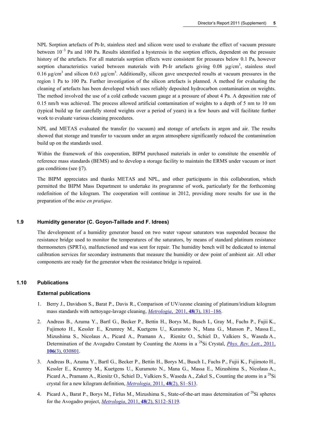NPL Sorption artefacts of Pt-Ir, stainless steel and silicon were used to evaluate the effect of vacuum pressure between 10<sup>-3</sup> Pa and 100 Pa. Results identified a hysteresis in the sorption effects, dependent on the pressure history of the artefacts. For all materials sorption effects were consistent for pressures below 0.1 Pa, however sorption characteristics varied between materials with Pt-Ir artefacts giving  $0.08 \mu g/cm^3$ , stainless steel 0.16  $\mu$ g/cm<sup>3</sup> and silicon 0.63  $\mu$ g/cm<sup>3</sup>. Additionally, silicon gave unexpected results at vacuum pressures in the region 1 Pa to 100 Pa. Further investigation of the silicon artefacts is planned. A method for evaluating the cleaning of artefacts has been developed which uses reliably deposited hydrocarbon contamination on weights. The method involved the use of a cold cathode vacuum gauge at a pressure of about 4 Pa. A deposition rate of 0.15 nm/h was achieved. The process allowed artificial contamination of weights to a depth of 5 nm to 10 nm (typical build up for carefully stored weights over a period of years) in a few hours and will facilitate further work to evaluate various cleaning procedures.

NPL and METAS evaluated the transfer (to vacuum) and storage of artefacts in argon and air. The results showed that storage and transfer to vacuum under an argon atmosphere significantly reduced the contamination build up on the standards used.

Within the framework of this cooperation, BIPM purchased materials in order to constitute the ensemble of reference mass standards (BEMS) and to develop a storage facility to maintain the ERMS under vacuum or inert gas conditions (see §7).

The BIPM appreciates and thanks METAS and NPL, and other participants in this collaboration, which permitted the BIPM Mass Department to undertake its programme of work, particularly for the forthcoming redefinition of the kilogram. The cooperation will continue in 2012, providing more results for use in the preparation of the *mise en pratique*.

# **1.9 Humidity generator (C. Goyon-Taillade and F. Idrees)**

The development of a humidity generator based on two water vapour saturators was suspended because the resistance bridge used to monitor the temperatures of the saturators, by means of standard platinum resistance thermometers (SPRTs), malfunctioned and was sent for repair. The humidity bench will be dedicated to internal calibration services for secondary instruments that measure the humidity or dew point of ambient air. All other components are ready for the generator when the resistance bridge is repaired.

#### **1.10 Publications**

#### **External publications**

- 1. Berry J., Davidson S., Barat P., Davis R., Comparison of UV/ozone cleaning of platinum/iridium kilogram mass standards with nettoyage-lavage cleaning, *Metrologia*, 2011, **48**[\(3\), 181–186.](http://stacks.iop.org/0026-1394/48/181)
- 2. Andreas B., Azuma Y., Bartl G., Becker P., Bettin H., Borys M., Busch I., Gray M., Fuchs P., Fujii K., Fujimoto H., Kessler E., Krumrey M., Kuetgens U., Kuramoto N., Mana G., Manson P., Massa E., Mizushima S., Nicolaus A., Picard A., Pramann A., Rienitz O., Schiel D., Valkiers S., Waseda A*.*, Determination of the Avogadro Constant by Counting the Atoms in a <sup>28</sup>Si Crystal, *[Phys. Rev. Lett.](http://prl.aps.org/abstract/PRL/v106/i3/e030801)*, 2011, **106**[\(3\), 030801.](http://prl.aps.org/abstract/PRL/v106/i3/e030801)
- 3. Andreas B., Azuma Y., Bartl G., Becker P., Bettin H., Borys M., Busch I., Fuchs P., Fujii K., Fujimoto H., Kessler E., Krumrey M., Kuetgens U., Kuramoto N., Mana G., Massa E., Mizushima S., Nicolaus A., Picard A., Pramann A., Rienitz O., Schiel D., Valkiers S., Waseda A., Zakel S., Counting the atoms in a <sup>28</sup>Si crystal for a new kilogram definition, *Metrologia*, 2011, **48**[\(2\), S1–S13.](http://stacks.iop.org/0026-1394/48/S1)
- 4. Picard A., Barat P., Borys M., Firlus M., Mizushima S., State-of-the-art mass determination of <sup>28</sup>Si spheres for the Avogadro project, *Metrologia*, 2011, **48**[\(2\), S112–S119.](http://stacks.iop.org/0026-1394/48/S112)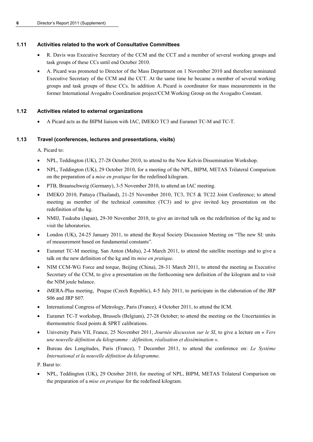# **1.11 Activities related to the work of Consultative Committees**

- R. Davis was Executive Secretary of the CCM and the CCT and a member of several working groups and task groups of these CCs until end October 2010.
- A. Picard was promoted to Director of the Mass Department on 1 November 2010 and therefore nominated Executive Secretary of the CCM and the CCT. At the same time he became a member of several working groups and task groups of these CCs. In addition A. Picard is coordinator for mass measurements in the former International Avogadro Coordination project/CCM Working Group on the Avogadro Constant.

# **1.12 Activities related to external organizations**

A Picard acts as the BIPM liaison with IAC, IMEKO TC3 and Euramet TC-M and TC-T.

# **1.13 Travel (conferences, lectures and presentations, visits)**

A. Picard to:

- NPL, Teddington (UK), 27-28 October 2010, to attend to the New Kelvin Dissemination Workshop.
- NPL, Teddington (UK), 29 October 2010, for a meeting of the NPL, BIPM, METAS Trilateral Comparison on the preparation of a *mise en pratique* for the redefined kilogram.
- PTB, Braunschweig (Germany), 3-5 November 2010, to attend an IAC meeting.
- IMEKO 2010, Pattaya (Thailand), 21-25 November 2010, TC3, TC5 & TC22 Joint Conference; to attend meeting as member of the technical committee (TC3) and to give invited key presentation on the redefinition of the kg.
- NMIJ, Tsukuba (Japan), 29-30 November 2010, to give an invited talk on the redefinition of the kg and to visit the laboratories.
- London (UK), 24-25 January 2011, to attend the Royal Society Discussion Meeting on "The new SI: units of measurement based on fundamental constants".
- Euramet TC-M meeting, San Anton (Malta), 2-4 March 2011, to attend the satellite meetings and to give a talk on the new definition of the kg and its *mise en pratique*.
- NIM CCM-WG Force and torque, Beijing (China), 28-31 March 2011, to attend the meeting as Executive Secretary of the CCM, to give a presentation on the forthcoming new definition of the kilogram and to visit the NIM joule balance.
- iMERA-Plus meeting, Prague (Czech Republic), 4-5 July 2011, to participate in the elaboration of the JRP S06 and JRP S07.
- International Congress of Metrology, Paris (France), 4 October 2011, to attend the ICM.
- Euramet TC-T workshop, Brussels (Belgium), 27-28 October; to attend the meeting on the Uncertainties in thermometric fixed points & SPRT calibrations.
- University Paris VII, France, 25 November 2011, *Journée discussion sur le SI*, to give a lecture on « *Vers une nouvelle définition du kilogramme : définition, réalisation et dissémination* ».
- Bureau des Longitudes, Paris (France), 7 December 2011, to attend the conference on: *Le Système International et la nouvelle définition du kilogramme*.

P. Barat to:

 NPL, Teddington (UK), 29 October 2010, for meeting of NPL, BIPM, METAS Trilateral Comparison on the preparation of a *mise en pratique* for the redefined kilogram.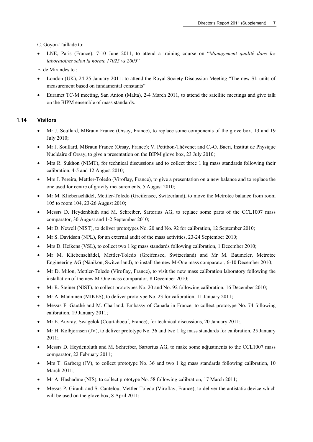C. Goyon-Taillade to:

 LNE, Paris (France), 7-10 June 2011, to attend a training course on "*Management qualité dans les laboratoires selon la norme 17025 vs 2005*"

E. de Mirandes to :

- London (UK), 24-25 January 2011: to attend the Royal Society Discussion Meeting "The new SI: units of measurement based on fundamental constants".
- Euramet TC-M meeting, San Anton (Malta), 2-4 March 2011, to attend the satellite meetings and give talk on the BIPM ensemble of mass standards.

# **1.14 Visitors**

- Mr J. Soullard, MBraun France (Orsay, France), to replace some components of the glove box, 13 and 19 July 2010;
- Mr J. Soullard, MBraun France (Orsay, France); V. Petitbon-Thévenet and C.-O. Bacri, Institut de Physique Nucléaire d'Orsay, to give a presentation on the BIPM glove box, 23 July 2010;
- Mrs R. Sukhon (NIMT), for technical discussions and to collect three 1 kg mass standards following their calibration, 4-5 and 12 August 2010;
- Mrs J. Pereira, Mettler-Toledo (Viroflay, France), to give a presentation on a new balance and to replace the one used for centre of gravity measurements, 5 August 2010;
- Mr M. Kliebenschädel, Mettler-Toledo (Greifensee, Switzerland), to move the Metrotec balance from room 105 to room 104, 23-26 August 2010;
- Messrs D. Heydenbluth and M. Schreiber, Sartorius AG, to replace some parts of the CCL1007 mass comparator, 30 August and 1-2 September 2010;
- Mr D. Newell (NIST), to deliver prototypes No. 20 and No. 92 for calibration, 12 September 2010;
- Mr S. Davidson (NPL), for an external audit of the mass activities, 23-24 September 2010;
- Mrs D. Heikens (VSL), to collect two 1 kg mass standards following calibration, 1 December 2010;
- Mr M. Kliebenschädel, Mettler-Toledo (Greifensee, Switzerland) and Mr M. Baumeler, Metrotec Engineering AG (Nänikon, Switzerland), to install the new M-One mass comparator, 6-10 December 2010;
- Mr D. Milon, Mettler-Toledo (Viroflay, France), to visit the new mass calibration laboratory following the installation of the new M-One mass comparator, 8 December 2010;
- Mr R. Steiner (NIST), to collect prototypes No. 20 and No. 92 following calibration, 16 December 2010;
- Mr A. Manninen (MIKES), to deliver prototype No. 23 for calibration, 11 January 2011;
- Messrs F. Gauthé and M. Charland, Embassy of Canada in France, to collect prototype No. 74 following calibration, 19 January 2011;
- Mr E. Auvray, Swagelok (Courtaboeuf, France), for technical discussions, 20 January 2011;
- Mr H. Kolbjørnsen (JV), to deliver prototype No. 36 and two 1 kg mass standards for calibration, 25 January 2011;
- Messrs D. Heydenbluth and M. Schreiber, Sartorius AG, to make some adjustments to the CCL1007 mass comparator, 22 February 2011;
- Mrs T. Garberg (JV), to collect prototype No. 36 and two 1 kg mass standards following calibration, 10 March 2011;
- Mr A. Hashadme (NIS), to collect prototype No. 58 following calibration, 17 March 2011;
- Messrs P. Girault and S. Cantelou, Mettler-Toledo (Viroflay, France), to deliver the antistatic device which will be used on the glove box, 8 April 2011;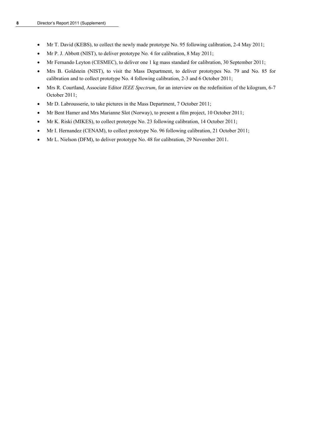- Mr T. David (KEBS), to collect the newly made prototype No. 95 following calibration, 2-4 May 2011;
- Mr P. J. Abbott (NIST), to deliver prototype No. 4 for calibration, 8 May 2011;
- Mr Fernando Leyton (CESMEC), to deliver one 1 kg mass standard for calibration, 30 September 2011;
- Mrs B. Goldstein (NIST), to visit the Mass Department, to deliver prototypes No. 79 and No. 85 for calibration and to collect prototype No. 4 following calibration, 2-3 and 6 October 2011;
- Mrs R. Courtland, Associate Editor *IEEE Spectrum*, for an interview on the redefinition of the kilogram, 6-7 October 2011;
- Mr D. Labrousserie, to take pictures in the Mass Department, 7 October 2011;
- Mr Bent Hamer and Mrs Marianne Slot (Norway), to present a film project, 10 October 2011;
- Mr K. Riski (MIKES), to collect prototype No. 23 following calibration, 14 October 2011;
- Mr I. Hernandez (CENAM), to collect prototype No. 96 following calibration, 21 October 2011;
- Mr L. Nielson (DFM), to deliver prototype No. 48 for calibration, 29 November 2011.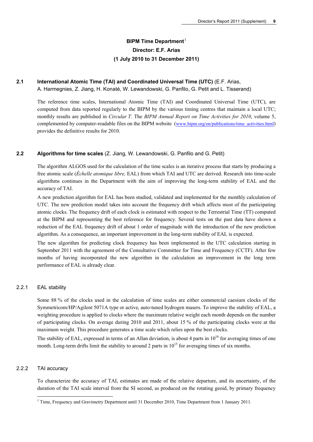# **BIPM Time Department**<sup>[1](#page-10-0)</sup> **Director: E.F. Arias (1 July 2010 to 31 December 2011)**

# **2.1 International Atomic Time (TAI) and Coordinated Universal Time (UTC)** (E.F. Arias,

A. Harmegnies, Z. Jiang, H. Konaté, W. Lewandowski, G. Panfilo, G. Petit and L. Tisserand)

The reference time scales, International Atomic Time (TAI) and Coordinated Universal Time (UTC), are computed from data reported regularly to the BIPM by the various timing centres that maintain a local UTC; monthly results are published in *Circular T*. The *BIPM Annual Report on Time Activities for 2010*, volume 5, complemented by computer-readable files on the BIPM website (www.bipm.org/en/publications/time\_activities.html) provides the definitive results for 2010.

# **2.2 Algorithms for time scales** (Z. Jiang, W. Lewandowski, G. Panfilo and G. Petit)

The algorithm ALGOS used for the calculation of the time scales is an iterative process that starts by producing a free atomic scale (*Échelle atomique libre,* EAL) from which TAI and UTC are derived. Research into time-scale algorithms continues in the Department with the aim of improving the long-term stability of EAL and the accuracy of TAI.

A new prediction algorithm for EAL has been studied, validated and implemented for the monthly calculation of UTC. The new prediction model takes into account the frequency drift which affects most of the participating atomic clocks. The frequency drift of each clock is estimated with respect to the Terrestrial Time (TT) computed at the BIPM and representing the best reference for frequency. Several tests on the past data have shown a reduction of the EAL frequency drift of about 1 order of magnitude with the introduction of the new prediction algorithm. As a consequence, an important improvement in the long-term stability of EAL is expected.

The new algorithm for predicting clock frequency has been implemented in the UTC calculation starting in September 2011 with the agreement of the Consultative Committee for Time and Frequency (CCTF). After few months of having incorporated the new algorithm in the calculation an improvement in the long term performance of EAL is already clear.

# 2.2.1 EAL stability

Some 88 % of the clocks used in the calculation of time scales are either commercial caesium clocks of the Symmetricom/HP/Agilent 5071A type or active, auto-tuned hydrogen masers. To improve the stability of EAL, a weighting procedure is applied to clocks where the maximum relative weight each month depends on the number of participating clocks. On average during 2010 and 2011, about 15 % of the participating clocks were at the maximum weight. This procedure generates a time scale which relies upon the best clocks.

The stability of EAL, expressed in terms of an Allan deviation, is about 4 parts in  $10^{16}$  for averaging times of one month. Long-term drifts limit the stability to around 2 parts in  $10^{15}$  for averaging times of six months.

# <span id="page-10-0"></span>2.2.2 TAI accuracy

<u>.</u>

To characterize the accuracy of TAI, estimates are made of the relative departure, and its uncertainty, of the duration of the TAI scale interval from the SI second, as produced on the rotating geoid, by primary frequency

<sup>&</sup>lt;sup>1</sup> Time, Frequency and Gravimetry Department until 31 December 2010, Time Department from 1 January 2011.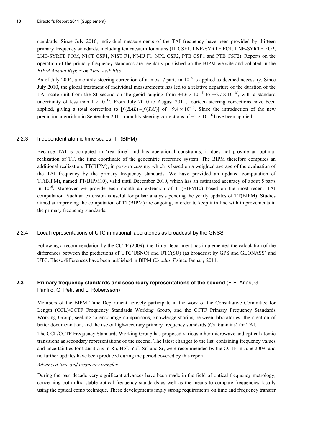standards. Since July 2010, individual measurements of the TAI frequency have been provided by thirteen primary frequency standards, including ten caesium fountains (IT CSF1, LNE-SYRTE FO1, LNE-SYRTE FO2, LNE-SYRTE FOM, NICT CSF1, NIST F1, NMIJ F1, NPL CSF2, PTB CSF1 and PTB CSF2). Reports on the operation of the primary frequency standards are regularly published on the BIPM website and collated in the *BIPM Annual Report on Time Activities*.

As of July 2004, a monthly steering correction of at most 7 parts in  $10^{16}$  is applied as deemed necessary. Since July 2010, the global treatment of individual measurements has led to a relative departure of the duration of the TAI scale unit from the SI second on the geoid ranging from  $+4.6 \times 10^{-15}$  to  $+6.7 \times 10^{-15}$ , with a standard uncertainty of less than  $1 \times 10^{-15}$ . From July 2010 to August 2011, fourteen steering corrections have been applied, giving a total correction to  $[f(EAL) - f(TA) ]$  of  $-9.4 \times 10^{-15}$ . Since the introduction of the new prediction algorithm in September 2011, monthly steering corrections of  $-5 \times 10^{-16}$  have been applied.

# 2.2.3 Independent atomic time scales: TT(BIPM)

Because TAI is computed in 'real-time' and has operational constraints, it does not provide an optimal realization of TT, the time coordinate of the geocentric reference system. The BIPM therefore computes an additional realization, TT(BIPM), in post-processing, which is based on a weighted average of the evaluation of the TAI frequency by the primary frequency standards. We have provided an updated computation of TT(BIPM), named TT(BIPM10), valid until December 2010, which has an estimated accuracy of about 5 parts in  $10^{16}$ . Moreover we provide each month an extension of TT(BIPM10) based on the most recent TAI computation. Such an extension is useful for pulsar analysis pending the yearly updates of TT(BIPM). Studies aimed at improving the computation of TT(BIPM) are ongoing, in order to keep it in line with improvements in the primary frequency standards.

# 2.2.4 Local representations of UTC in national laboratories as broadcast by the GNSS

Following a recommendation by the CCTF (2009), the Time Department has implemented the calculation of the differences between the predictions of UTC(USNO) and UTC(SU) (as broadcast by GPS and GLONASS) and UTC. These differences have been published in BIPM *Circular T* since January 2011.

# **2.3 Primary frequency standards and secondary representations of the second** (E.F. Arias, G Panfilo, G. Petit and L. Robertsson)

Members of the BIPM Time Department actively participate in the work of the Consultative Committee for Length (CCL)/CCTF Frequency Standards Working Group, and the CCTF Primary Frequency Standards Working Group, seeking to encourage comparisons, knowledge-sharing between laboratories, the creation of better documentation, and the use of high-accuracy primary frequency standards (Cs fountains) for TAI.

The CCL/CCTF Frequency Standards Working Group has proposed various other microwave and optical atomic transitions as secondary representations of the second. The latest changes to the list, containing frequency values and uncertainties for transitions in Rb,  $Hg^+$ ,  $Yb^+$ ,  $Sr^+$  and Sr, were recommended by the CCTF in June 2009, and no further updates have been produced during the period covered by this report.

# *Advanced time and frequency transfer*

During the past decade very significant advances have been made in the field of optical frequency metrology, concerning both ultra-stable optical frequency standards as well as the means to compare frequencies locally using the optical comb technique. These developments imply strong requirements on time and frequency transfer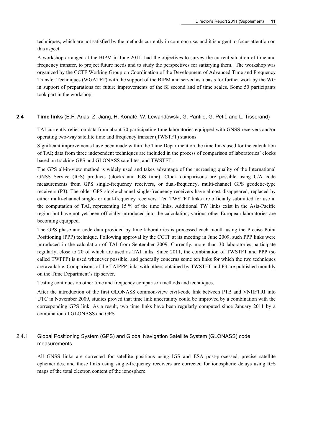techniques, which are not satisfied by the methods currently in common use, and it is urgent to focus attention on this aspect.

A workshop arranged at the BIPM in June 2011, had the objectives to survey the current situation of time and frequency transfer, to project future needs and to study the perspectives for satisfying them. The workshop was organized by the CCTF Working Group on Coordination of the Development of Advanced Time and Frequency Transfer Techniques (WGATFT) with the support of the BIPM and served as a basis for further work by the WG in support of preparations for future improvements of the SI second and of time scales. Some 50 participants took part in the workshop.

#### **2.4 Time links** (E.F. Arias, Z. Jiang, H. Konaté, W. Lewandowski, G. Panfilo, G. Petit, and L. Tisserand)

TAI currently relies on data from about 70 participating time laboratories equipped with GNSS receivers and/or operating two-way satellite time and frequency transfer (TWSTFT) stations.

Significant improvements have been made within the Time Department on the time links used for the calculation of TAI; data from three independent techniques are included in the process of comparison of laboratories' clocks based on tracking GPS and GLONASS satellites, and TWSTFT.

The GPS all-in-view method is widely used and takes advantage of the increasing quality of the International GNSS Service (IGS) products (clocks and IGS time). Clock comparisons are possible using C/A code measurements from GPS single-frequency receivers, or dual-frequency, multi-channel GPS geodetic-type receivers (P3). The older GPS single-channel single-frequency receivers have almost disappeared, replaced by either multi-channel single- or dual-frequency receivers. Ten TWSTFT links are officially submitted for use in the computation of TAI, representing 15 % of the time links. Additional TW links exist in the Asia-Pacific region but have not yet been officially introduced into the calculation; various other European laboratories are becoming equipped.

The GPS phase and code data provided by time laboratories is processed each month using the Precise Point Positioning (PPP) technique. Following approval by the CCTF at its meeting in June 2009, such PPP links were introduced in the calculation of TAI from September 2009. Currently, more than 30 laboratories participate regularly, close to 20 of which are used as TAI links. Since 2011, the combination of TWSTFT and PPP (so called TWPPP) is used whenever possible, and generally concerns some ten links for which the two techniques are available. Comparisons of the TAIPPP links with others obtained by TWSTFT and P3 are published monthly on the Time Department's ftp server.

Testing continues on other time and frequency comparison methods and techniques.

After the introduction of the first GLONASS common-view civil-code link between PTB and VNIIFTRI into UTC in November 2009, studies proved that time link uncertainty could be improved by a combination with the corresponding GPS link. As a result, two time links have been regularly computed since January 2011 by a combination of GLONASS and GPS.

# 2.4.1 Global Positioning System (GPS) and Global Navigation Satellite System (GLONASS) code measurements

All GNSS links are corrected for satellite positions using IGS and ESA post-processed, precise satellite ephemerides, and those links using single-frequency receivers are corrected for ionospheric delays using IGS maps of the total electron content of the ionosphere.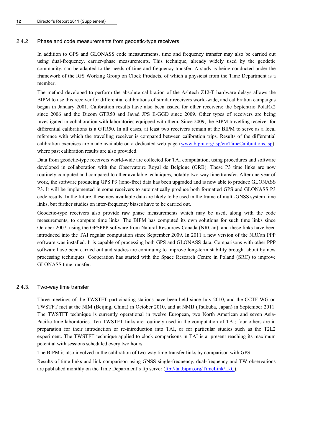# 2.4.2 Phase and code measurements from geodetic-type receivers

In addition to GPS and GLONASS code measurements, time and frequency transfer may also be carried out using dual-frequency, carrier-phase measurements. This technique, already widely used by the geodetic community, can be adapted to the needs of time and frequency transfer. A study is being conducted under the framework of the IGS Working Group on Clock Products, of which a physicist from the Time Department is a member.

The method developed to perform the absolute calibration of the Ashtech Z12-T hardware delays allows the BIPM to use this receiver for differential calibrations of similar receivers world-wide, and calibration campaigns began in January 2001. Calibration results have also been issued for other receivers: the Septentrio PolaRx2 since 2006 and the Dicom GTR50 and Javad JPS E-GGD since 2009. Other types of receivers are being investigated in collaboration with laboratories equipped with them. Since 2009, the BIPM travelling receiver for differential calibrations is a GTR50. In all cases, at least two receivers remain at the BIPM to serve as a local reference with which the travelling receiver is compared between calibration trips. Results of the differential calibration exercises are made available on a dedicated web page [\(www.bipm.org/jsp/en/TimeCalibrations.jsp\)](http://www.bipm.org/jsp/en/TimeCalibrations.jsp), where past calibration results are also provided.

Data from geodetic-type receivers world-wide are collected for TAI computation, using procedures and software developed in collaboration with the Observatoire Royal de Belgique (ORB). These P3 time links are now routinely computed and compared to other available techniques, notably two-way time transfer. After one year of work, the software producing GPS P3 (iono-free) data has been upgraded and is now able to produce GLONASS P3. It will be implemented in some receivers to automatically produce both formatted GPS and GLONASS P3 code results. In the future, these new available data are likely to be used in the frame of multi-GNSS system time links, but further studies on inter-frequency biases have to be carried out.

Geodetic-type receivers also provide raw phase measurements which may be used, along with the code measurements, to compute time links. The BIPM has computed its own solutions for such time links since October 2007, using the GPSPPP software from Natural Resources Canada (NRCan), and these links have been introduced into the TAI regular computation since September 2009. In 2011 a new version of the NRCan PPP software was installed. It is capable of processing both GPS and GLONASS data. Comparisons with other PPP software have been carried out and studies are continuing to improve long-term stability brought about by new processing techniques. Cooperation has started with the Space Research Centre in Poland (SRC) to improve GLONASS time transfer.

# 2.4.3. Two-way time transfer

Three meetings of the TWSTFT participating stations have been held since July 2010, and the CCTF WG on TWSTFT met at the NIM (Beijing, China) in October 2010, and at NMIJ (Tsukuba, Japan) in September 2011. The TWSTFT technique is currently operational in twelve European, two North American and seven Asia-Pacific time laboratories. Ten TWSTFT links are routinely used in the computation of TAI; four others are in preparation for their introduction or re-introduction into TAI, or for particular studies such as the T2L2 experiment. The TWSTFT technique applied to clock comparisons in TAI is at present reaching its maximum potential with sessions scheduled every two hours.

The BIPM is also involved in the calibration of two-way time-transfer links by comparison with GPS.

Results of time links and link comparison using GNSS single-frequency, dual-frequency and TW observations are published monthly on the Time Department's ftp server [\(ftp://tai.bipm.org/TimeLink/LkC](ftp://tai.bipm.org/TimeLink/LkC)).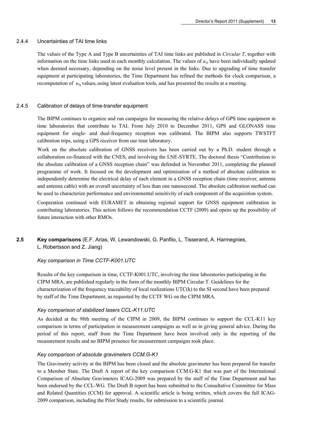# 2.4.4 Uncertainties of TAI time links

The values of the Type A and Type B uncertainties of TAI time links are published in *Circular T*, together with information on the time links used in each monthly calculation. The values of  $u<sub>A</sub>$  have been individually updated when deemed necessary, depending on the noise level present in the links. Due to upgrading of time transfer equipment at participating laboratories, the Time Department has refined the methods for clock comparison, a recomputation of  $u_A$  values, using latest evaluation tools, and has presented the results at a meeting.

# 2.4.5 Calibration of delays of time-transfer equipment

The BIPM continues to organize and run campaigns for measuring the relative delays of GPS time equipment in time laboratories that contribute to TAI. From July 2010 to December 2011, GPS and GLONASS time equipment for single- and dual-frequency reception was calibrated. The BIPM also supports TWSTFT calibration trips, using a GPS receiver from our time laboratory.

Work on the absolute calibration of GNSS receivers has been carried out by a Ph.D. student through a collaboration co-financed with the CNES, and involving the LNE-SYRTE. The doctoral thesis "Contribution to the absolute calibration of a GNSS reception chain" was defended in November 2011, completing the planned programme of work. It focused on the development and optimization of a method of absolute calibration to independently determine the electrical delay of each element in a GNSS reception chain (time receiver, antenna and antenna cable) with an overall uncertainty of less than one nanosecond. The absolute calibration method can be used to characterize performance and environmental sensitivity of each component of the acquisition system.

Cooperation continued with EURAMET in obtaining regional support for GNSS equipment calibration in contributing laboratories. This action follows the recommendation CCTF (2009) and opens up the possibility of future interaction with other RMOs.

# **2.5 Key comparisons** (E.F. Arias, W. Lewandowski, G. Panfilo, L. Tisserand, A. Harmegnies, L. Robertsson and Z. Jiang)

# *Key comparison in Time CCTF-K001.UTC*

Results of the key comparison in time, CCTF-K001.UTC, involving the time laboratories participating in the CIPM MRA, are published regularly in the form of the monthly BIPM Circular T. Guidelines for the characterization of the frequency traceability of local realizations UTC(k) to the SI second have been prepared by staff of the Time Department, as requested by the CCTF WG on the CIPM MRA.

# *Key comparison of stabilized lasers CCL-K11.UTC*

As decided at the 98th meeting of the CIPM in 2009, the BIPM continues to support the CCL-K11 key comparison in terms of participation in measurement campaigns as well as in giving general advice. During the period of this report, staff from the Time Department have been involved only in the reporting of the measurement results and no BIPM presence for measurement campaigns took place.

# *Key comparison of absolute gravimeters CCM.G-K1*

The Gravimetry activity at the BIPM has been closed and the absolute gravimeter has been prepared for transfer to a Member State. The Draft A report of the key comparison CCM.G-K1 that was part of the International Comparison of Absolute Gravimeters ICAG-2009 was prepared by the staff of the Time Department and has been endorsed by the CCL-WG. The Draft B report has been submitted to the Consultative Committee for Mass and Related Quantities (CCM) for approval. A scientific article is being written, which covers the full ICAG-2009 comparison, including the Pilot Study results, for submission to a scientific journal.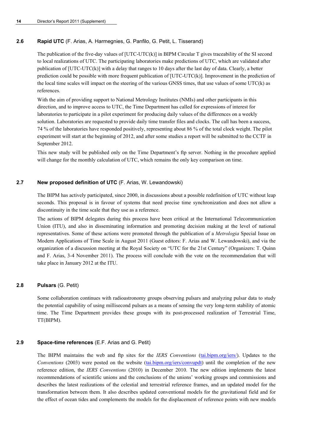# **2.6 Rapid UTC** (F. Arias, A. Harmegnies, G. Panfilo, G. Petit, L. Tisserand)

The publication of the five-day values of [UTC-UTC(k)] in BIPM Circular T gives traceability of the SI second to local realizations of UTC. The participating laboratories make predictions of UTC, which are validated after publication of [UTC-UTC(k)] with a delay that ranges to 10 days after the last day of data. Clearly, a better prediction could be possible with more frequent publication of [UTC-UTC(k)]. Improvement in the prediction of the local time scales will impact on the steering of the various GNSS times, that use values of some UTC(k) as references.

With the aim of providing support to National Metrology Institutes (NMIs) and other participants in this direction, and to improve access to UTC, the Time Department has called for expressions of interest for laboratories to participate in a pilot experiment for producing daily values of the differences on a weekly solution. Laboratories are requested to provide daily time transfer files and clocks. The call has been a success, 74 % of the laboratories have responded positively, representing about 86 % of the total clock weight. The pilot experiment will start at the beginning of 2012, and after some studies a report will be submitted to the CCTF in September 2012.

This new study will be published only on the Time Department's ftp server. Nothing in the procedure applied will change for the monthly calculation of UTC, which remains the only key comparison on time.

# **2.7 New proposed definition of UTC** (F. Arias, W. Lewandowski)

The BIPM has actively participated, since 2000, in discussions about a possible redefinition of UTC without leap seconds. This proposal is in favour of systems that need precise time synchronization and does not allow a discontinuity in the time scale that they use as a reference.

The actions of BIPM delegates during this process have been critical at the International Telecommunication Union (ITU), and also in disseminating information and promoting decision making at the level of national representatives. Some of these actions were promoted through the publication of a *Metrologia* Special Issue on Modern Applications of Time Scale in August 2011 (Guest editors: F. Arias and W. Lewandowski), and via the organization of a discussion meeting at the Royal Society on "UTC for the 21st Century" (Organizers: T. Quinn and F. Arias, 3-4 November 2011). The process will conclude with the vote on the recommendation that will take place in January 2012 at the ITU.

# **2.8 Pulsars** (G. Petit)

Some collaboration continues with radioastronomy groups observing pulsars and analyzing pulsar data to study the potential capability of using millisecond pulsars as a means of sensing the very long-term stability of atomic time. The Time Department provides these groups with its post-processed realization of Terrestrial Time, TT(BIPM).

# **2.9 Space-time references** (E.F. Arias and G. Petit)

The BIPM maintains the web and ftp sites for the *IERS Conventions* (tai.bipm.org/iers/). Updates to the *Conventions* (2003) were posted on the website (tai.bipm.org/iers/convupdt) until the completion of the new reference edition, the *IERS Conventions* (2010) in December 2010. The new edition implements the latest recommendations of scientific unions and the conclusions of the unions' working groups and commissions and describes the latest realizations of the celestial and terrestrial reference frames, and an updated model for the transformation between them. It also describes updated conventional models for the gravitational field and for the effect of ocean tides and complements the models for the displacement of reference points with new models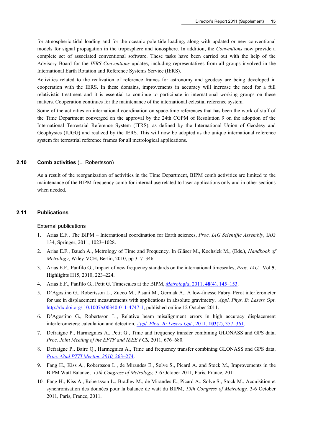for atmospheric tidal loading and for the oceanic pole tide loading, along with updated or new conventional models for signal propagation in the troposphere and ionosphere. In addition, the *Conventions* now provide a complete set of associated conventional software. These tasks have been carried out with the help of the Advisory Board for the *IERS Conventions* updates, including representatives from all groups involved in the International Earth Rotation and Reference Systems Service (IERS).

Activities related to the realization of reference frames for astronomy and geodesy are being developed in cooperation with the IERS. In these domains, improvements in accuracy will increase the need for a full relativistic treatment and it is essential to continue to participate in international working groups on these matters. Cooperation continues for the maintenance of the international celestial reference system.

Some of the activities on international coordination on space-time references that has been the work of staff of the Time Department converged on the approval by the 24th CGPM of Resolution 9 on the adoption of the International Terrestrial Reference System (ITRS), as defined by the International Union of Geodesy and Geophysics (IUGG) and realized by the IERS. This will now be adopted as the unique international reference system for terrestrial reference frames for all metrological applications.

# **2.10 Comb activities** (L. Robertsson)

As a result of the reorganization of activities in the Time Department, BIPM comb activities are limited to the maintenance of the BIPM frequency comb for internal use related to laser applications only and in other sections when needed.

#### **2.11 Publications**

#### External publications

- 1. Arias E.F., The BIPM International coordination for Earth sciences, *Proc. IAG Scientific Assembly*, IAG 134, Springer, 2011, 1023–1028.
- 2. Arias E.F., Bauch A., Metrology of Time and Frequency. In Gläser M., Kochsiek M., (Eds.), *Handbook of Metrology*, Wiley-VCH, Berlin, 2010, pp 317–346.
- 3. Arias E.F., Panfilo G., Impact of new frequency standards on the international timescales, *Proc. IAU,* Vol **5**, Highlights H15, 2010, 223–224.
- 4. Arias E.F., Panfilo G., Petit G. Timescales at the BIPM, *Metrologia*, 2011, **48**[\(4\), 145–153.](http://stacks.iop.org/0026-1394/48/145)
- 5. D'Agostino G., Robertsson L., Zucco M., Pisani M., Germak A., A low-finesse Fabry–Pérot interferometer for use in displacement measurements with applications in absolute gravimetry, *Appl. Phys. B: Lasers Opt*. [http://dx.doi.org/ 10.1007/s00340-011-4747-1](http://dx.doi.org/%2010.1007/s00340-011-4747-1), published online 12 October 2011.
- 6. D'Agostino G., Robertsson L., Relative beam misalignment errors in high accuracy displacement interferometers: calculation and detection, *[Appl. Phys. B:](http://dx.doi.org/10.1007/s00340-010-4321-2) Lasers Opt.*, 2011, **103**(2), 357–361.
- 7. Defraigne P., Harmegnies A., Petit G., Time and frequency transfer combining GLONASS and GPS data, *Proc. Joint Meeting of the EFTF and IEEE FCS,* 2011, 676–680.
- 8. Defraigne P., Baire Q., Harmegnies A., Time and frequency transfer combining GLONASS and GPS data, *Proc. 42nd [PTTI Meeting 2010,](http://www.pttimeeting.org/archivemeetings/2010papers/paper20.pdf)* 263–274.
- 9. Fang H., Kiss A., Robertsson L., de Mirandes E., Solve S., Picard A. and Stock M., Improvements in the BIPM Watt Balance, *15th Congress of Metrology,* 3-6 October 2011*,* Paris, France, 2011.
- 10. Fang H., Kiss A., Robertsson L., Bradley M., de Mirandes E., Picard A., Solve S., Stock M., Acquisition et synchronisation des données pour la balance de watt du BIPM, *15th Congress of Metrology,* 3-6 October 2011*,* Paris, France, 2011.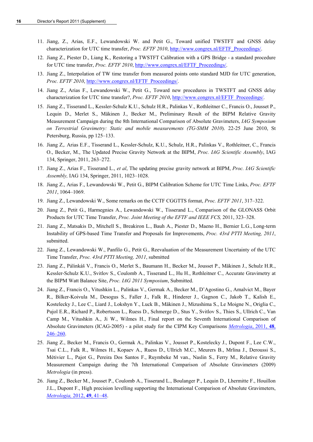- 11. Jiang, Z., Arias, E.F., Lewandowski W. and Petit G., Toward unified TWSTFT and GNSS delay characterization for UTC time transfer, *Proc. EFTF 2010*, [http://www.congrex.nl/EFTF\\_Proceedings/.](http://www.congrex.nl/EFTF_Proceedings/)
- 12. Jiang Z., Piester D., Liang K., Restoring a TWSTFT Calibration with a GPS Bridge a standard procedure for UTC time transfer, *Proc. EFTF 2010*, [http://www.congrex.nl/EFTF\\_Proceedings/](http://www.congrex.nl/EFTF_Proceedings/).
- 13. Jiang Z., Interpolation of TW time transfer from measured points onto standard MJD for UTC generation, *Proc. EFTF 2010*, [http://www.congrex.nl/EFTF\\_Proceedings/.](http://www.congrex.nl/EFTF_Proceedings/)
- 14. Jiang Z., Arias F., Lewandowski W., Petit G., Toward new procedures in TWSTFT and GNSS delay characterization for UTC time transfer?, *Proc. EFTF 2010*, [http://www.congrex.nl/EFTF\\_Proceedings/](http://www.congrex.nl/EFTF_Proceedings/).
- 15. Jiang Z., Tisserand L., Kessler-Schulz K.U., Schulz H.R., Palinkas V., Rothleitner C., Francis O., Jousset P., Lequin D., Merlet S., Mäkinen J., Becker M., Preliminary Result of the BIPM Relative Gravity Measurement Campaign during the 8th International Comparison of Absolute Gravimeters, *IAG Symposium on Terrestrial Gravimetry: Static and mobile measurements (TG-SMM 2010*). 22-25 June 2010, St Petersburg, Russia, pp 125–133.
- 16. Jiang Z,. Arias E.F., Tisserand L., Kessler-Schulz, K.U., Schulz, H.R., Palinkas V., Rothleitner, C., Francis O., Becker, M., The Updated Precise Gravity Network at the BIPM, *Proc. IAG Scientific Assembly*, IAG 134, Springer, 2011, 263–272.
- 17. Jiang Z., Arias F., Tisserand L., *et al*, The updating precise gravity network at BIPM, *Proc. IAG Scientific Assembly,* IAG 134, Springer, 2011, 1023–1028.
- 18. Jiang Z., Arias F., Lewandowski W., Petit G., BIPM Calibration Scheme for UTC Time Links, *Proc. EFTF 2011*, 1064–1069.
- 19. Jiang Z., Lewandowski W., Some remarks on the CCTF CGGTTS format, *Proc. EFTF 2011*, 317–322.
- 20. Jiang Z., Petit G., Harmegnies A., Lewandowski W., Tisserand L., Comparison of the GLONASS Orbit Products for UTC Time Transfer, *Proc. Joint Meeting of the EFTF and IEEE FCS,* 2011, 323–328.
- 21. Jiang Z., Matsakis D., Mitchell S., Breakiron L., Bauh A., Piester D., Maeno H., Bernier L.G., Long-term Instability of GPS-based Time Transfer and Proposals for Improvements, *Proc. 43rd PTTI Meeting, 2011*, submitted.
- 22. Jiang Z., Lewandowski W., Panfilo G., Petit G., Reevaluation of the Measurement Uncertainty of the UTC Time Transfer, *Proc. 43rd PTTI Meeting, 2011*, submitted
- 23. Jiang Z., Pálinkáš V., Francis O., Merlet S., Baumann H., Becker M., Jousset P., Mäkinen J., Schulz H.R., Kessler-Schulz K.U., Svitlov S., Coulomb A., Tisserand L., Hu H., Rothleitner C., Accurate Gravimetry at the BIPM Watt Balance Site, *Proc. IAG 2011 Symposium*, Submitted.
- 24. Jiang Z., Francis O., Vitushkin L., Palinkas V., Germak A., Becker M., D'Agostino G., Amalvict M., Bayer R., Bilker-Koivula M., Desogus S., Faller J., Falk R., Hinderer J., Gagnon C., Jakob T., Kalish E., Kostelecky J., Lee C., Liard J., Lokshyn Y., Luck B., Mäkinen J., Mizushima S., Le Moigne N., Origlia C., Pujol E.R., Richard P., Robertsson L., Ruess D., Schmerge D., Stus Y., Svitlov S., Thies S., Ullrich C., Van Camp M., Vitushkin A., Ji W., Wilmes H., Final report on the Seventh International Comparison of Absolute Gravimeters (ICAG-2005) - a pilot study for the CIPM Key Comparisons *[Metrologia](http://stacks.iop.org/0026-1394/48/246)*, 2011, **48**, [246–260.](http://stacks.iop.org/0026-1394/48/246)
- 25. Jiang Z., Becker M., Francis O., Germak A., Palinkas V., Jousset P., Kostelecky J., Dupont F., Lee C.W., Tsai C.L., Falk R., Wilmes H., Kopaev A., Ruess D., Ullrich M.C., Meurers B., Mrlina J., Deroussi S., Métivier L., Pajot G., Pereira Dos Santos F., Ruymbeke M van., Naslin S., Ferry M., Relative Gravity Measurement Campaign during the 7th International Comparison of Absolute Gravimeters (2009) *Metrologia* (in press).
- 26. Jiang Z., Becker M., Jousset P., Coulomb A., Tisserand L., Boulanger P., Lequin D., Lhermitte F., Houillon J.L., Dupont F., High precision levelling supporting the International Comparison of Absolute Gravimeters, *[Metrologia,](http://stacks.iop.org/0026-1394/49/41)* 2012, **49**, 41–48.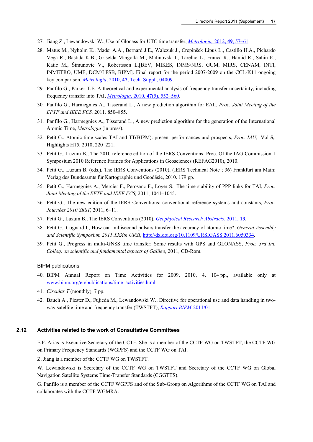- 27. Jiang Z., Lewandowski W., Use of Glonass for UTC time transfer, *[Metrologia,](http://stacks.iop.org/0026-1394/49/57)* 2012, **49**, 57–61.
- 28. Matus M., Nyholm K., Madej A.A., Bernard J.E., Walczuk J., Crepinšek Lipuš L., Castillo H.A., Pichardo Vega R., Bastida K.B., Griselda Mingolla M., Malinovski I., Tarelho L., França R., Hamid R., Sahin E., Katic M., Šimunovic V., Robertsson L.[BEV, MIKES, INMS/NRS, GUM, MIRS, CENAM, INTI, INMETRO, UME, DCM/LFSB, BIPM]. Final report for the period 2007-2009 on the CCL-K11 ongoing key comparison, *Metrologia*, 2010, **47**[, Tech. Suppl., 04009](http://stacks.iop.org/0026-1394/47/04009).
- 29. Panfilo G., Parker T.E. A theoretical and experimental analysis of frequency transfer uncertainty, including frequency transfer into TAI, *Metrologia*, 2010, **47**[\(5\), 552–560.](http://stacks.iop.org/0026-1394/47/552)
- 30. Panfilo G., Harmegnies A., Tisserand L., A new prediction algorithm for EAL, *Proc. Joint Meeting of the EFTF and IEEE FCS,* 2011*,* 850–855.
- 31. Panfilo G., Harmegnies A., Tisserand L., A new prediction algorithm for the generation of the International Atomic Time, *Metrologia* (in press).
- 32. Petit G., Atomic time scales TAI and TT(BIPM): present performances and prospects, *Proc. IAU,* Vol **5**,, Highlights H15, 2010, 220–221.
- 33. Petit G., Luzum B., The 2010 reference edition of the IERS Conventions, Proc. Of the IAG Commission 1 Symposium 2010 Reference Frames for Applications in Geosciences (REFAG2010), 2010.
- 34. Petit G., Luzum B. (eds.), The IERS Conventions (2010), (IERS Technical Note ; 36) Frankfurt am Main: Verlag des Bundesamts für Kartographie und Geodäsie, 2010. 179 pp.
- 35. Petit G., Harmegnies A., Mercier F., Perosanz F., Loyer S., The time stability of PPP links for TAI, *Proc. Joint Meeting of the EFTF and IEEE FCS,* 2011, 1041–1045.
- 36. Petit G., The new edition of the IERS Conventions: conventional reference systems and constants, *Proc. Journées 2010 SRST*, 2011, 6–11.
- 37. Petit G., Luzum B., The IERS Conventions (2010), *[Geophysical Research Abstracts](http://meetingorganizer.copernicus.org/EGU2011/EGU2011-12214.pdf)*, 2011, **13**.
- 38. Petit G., Cognard I., How can millisecond pulsars transfer the accuracy of atomic time?, *General Assembly and Scientific Symposium 2011 XXXth URSI*, <http://dx.doi.org/10.1109/URSIGASS.2011.6050334>.
- 39. Petit G., Progress in multi-GNSS time transfer: Some results with GPS and GLONASS, *Proc. 3rd Int. Colloq. on scientific and fundamental aspects of Galileo*, 2011, CD-Rom.

#### BIPM publications

- 40. BIPM Annual Report on Time Activities for 2009, 2010, 4, 104 pp., available only at www.bipm.org/en/publications/time\_activities.html.
- 41. *Circular T* (monthly), 7 pp.
- 42. Bauch A., Piester D., Fujieda M., Lewandowski W., Directive for operational use and data handling in twoway satellite time and frequency transfer (TWSTFT), *[Rapport BIPM-](http://www.bipm.org/utils/common/pdf/rapportBIPM/2011/01.pdf)*2011/01.

#### **2.12 Activities related to the work of Consultative Committees**

E.F. Arias is Executive Secretary of the CCTF. She is a member of the CCTF WG on TWSTFT, the CCTF WG on Primary Frequency Standards (WGPFS) and the CCTF WG on TAI.

Z. Jiang is a member of the CCTF WG on TWSTFT.

W. Lewandowski is Secretary of the CCTF WG on TWSTFT and Secretary of the CCTF WG on Global Navigation Satellite Systems Time-Transfer Standards (CGGTTS).

G. Panfilo is a member of the CCTF WGPFS and of the Sub-Group on Algorithms of the CCTF WG on TAI and collaborates with the CCTF WGMRA.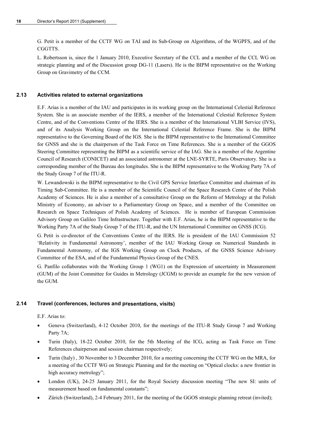G. Petit is a member of the CCTF WG on TAI and its Sub-Group on Algorithms, of the WGPFS, and of the CGGTTS.

L. Robertsson is, since the 1 January 2010, Executive Secretary of the CCL and a member of the CCL WG on strategic planning and of the Discussion group DG-11 (Lasers). He is the BIPM representative on the Working Group on Gravimetry of the CCM.

# **2.13 Activities related to external organizations**

E.F. Arias is a member of the IAU and participates in its working group on the International Celestial Reference System. She is an associate member of the IERS, a member of the International Celestial Reference System Centre, and of the Conventions Centre of the IERS. She is a member of the International VLBI Service (IVS), and of its Analysis Working Group on the International Celestial Reference Frame. She is the BIPM representative to the Governing Board of the IGS. She is the BIPM representative to the International Committee for GNSS and she is the chairperson of the Task Force on Time References. She is a member of the GGOS Steering Committee representing the BIPM as a scientific service of the IAG. She is a member of the Argentine Council of Research (CONICET) and an associated astronomer at the LNE-SYRTE, Paris Observatory. She is a corresponding member of the Bureau des longitudes. She is the BIPM representative to the Working Party 7A of the Study Group 7 of the ITU-R.

W. Lewandowski is the BIPM representative to the Civil GPS Service Interface Committee and chairman of its Timing Sub-Committee. He is a member of the Scientific Council of the Space Research Centre of the Polish Academy of Sciences. He is also a member of a consultative Group on the Reform of Metrology at the Polish Ministry of Economy, an adviser to a Parliamentary Group on Space, and a member of the Committee on Research on Space Techniques of Polish Academy of Sciences. He is member of European Commission Advisory Group on Galileo Time Infrastructure. Together with E.F. Arias, he is the BIPM representative to the Working Party 7A of the Study Group 7 of the ITU-R, and the UN International Committee on GNSS (ICG).

G. Petit is co-director of the Conventions Centre of the IERS. He is president of the IAU Commission 52 'Relativity in Fundamental Astronomy', member of the IAU Working Group on Numerical Standards in Fundamental Astronomy, of the IGS Working Group on Clock Products, of the GNSS Science Advisory Committee of the ESA, and of the Fundamental Physics Group of the CNES.

G. Panfilo collaborates with the Working Group 1 (WG1) on the Expression of uncertainty in Measurement (GUM) of the Joint Committee for Guides in Metrology (JCGM) to provide an example for the new version of the GUM.

# **2.14 Travel (conferences, lectures and presentations, visits)**

E.F. Arias to:

- Geneva (Switzerland), 4-12 October 2010, for the meetings of the ITU-R Study Group 7 and Working Party 7A;
- Turin (Italy), 18-22 October 2010, for the 5th Meeting of the ICG, acting as Task Force on Time References chairperson and session chairman respectively;
- Turin (Italy) , 30 November to 3 December 2010, for a meeting concerning the CCTF WG on the MRA, for a meeting of the CCTF WG on Strategic Planning and for the meeting on "Optical clocks: a new frontier in high accuracy metrology";
- London (UK), 24-25 January 2011, for the Royal Society discussion meeting "The new SI: units of measurement based on fundamental constants";
- Zürich (Switzerland), 2-4 February 2011, for the meeting of the GGOS strategic planning retreat (invited);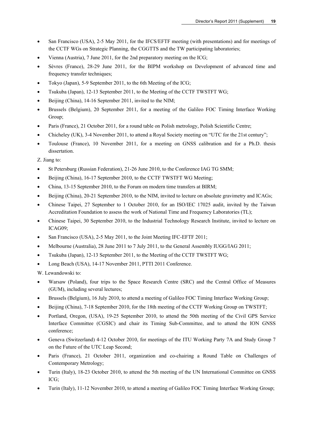- San Francisco (USA), 2-5 May 2011, for the IFCS/EFTF meeting (with presentations) and for meetings of the CCTF WGs on Strategic Planning, the CGGTTS and the TW participating laboratories;
- Vienna (Austria), 7 June 2011, for the 2nd preparatory meeting on the ICG;
- Sèvres (France), 28-29 June 2011, for the BIPM workshop on Development of advanced time and frequency transfer techniques;
- Tokyo (Japan), 5-9 September 2011, to the 6th Meeting of the ICG;
- Tsukuba (Japan), 12-13 September 2011, to the Meeting of the CCTF TWSTFT WG;
- Beijing (China), 14-16 September 2011, invited to the NIM;
- Brussels (Belgium), 20 September 2011, for a meeting of the Galileo FOC Timing Interface Working Group;
- Paris (France), 21 October 2011, for a round table on Polish metrology, Polish Scientific Centre;
- Chicheley (UK), 3-4 November 2011, to attend a Royal Society meeting on "UTC for the 21st century";
- Toulouse (France), 10 November 2011, for a meeting on GNSS calibration and for a Ph.D. thesis dissertation.

Z. Jiang to:

- St Petersburg (Russian Federation), 21-26 June 2010, to the Conference IAG TG SMM;
- Beijing (China), 16-17 September 2010, to the CCTF TWSTFT WG Meeting;
- China, 13-15 September 2010, to the Forum on modern time transfers at BIRM;
- Beijing (China), 20-21 September 2010, to the NIM, invited to lecture on absolute gravimetry and ICAGs;
- Chinese Taipei, 27 September to 1 October 2010, for an ISO/IEC 17025 audit, invited by the Taiwan Accreditation Foundation to assess the work of National Time and Frequency Laboratories (TL);
- Chinese Taipei, 30 September 2010, to the Industrial Technology Research Institute, invited to lecture on ICAG09;
- San Francisco (USA), 2-5 May 2011, to the Joint Meeting IFC-EFTF 2011;
- Melbourne (Australia), 28 June 2011 to 7 July 2011, to the General Assembly IUGG/IAG 2011;
- Tsukuba (Japan), 12-13 September 2011, to the Meeting of the CCTF TWSTFT WG;
- Long Beach (USA), 14-17 November 2011, PTTI 2011 Conference.

W. Lewandowski to:

- Warsaw (Poland), four trips to the Space Research Centre (SRC) and the Central Office of Measures (GUM), including several lectures;
- Brussels (Belgium), 16 July 2010, to attend a meeting of Galileo FOC Timing Interface Working Group;
- Beijing (China), 7-18 September 2010, for the 18th meeting of the CCTF Working Group on TWSTFT;
- Portland, Oregon, (USA), 19-25 September 2010, to attend the 50th meeting of the Civil GPS Service Interface Committee (CGSIC) and chair its Timing Sub-Committee, and to attend the ION GNSS conference;
- Geneva (Switzerland) 4-12 October 2010, for meetings of the ITU Working Party 7A and Study Group 7 on the Future of the UTC Leap Second;
- Paris (France), 21 October 2011, organization and co-chairing a Round Table on Challenges of Contemporary Metrology;
- Turin (Italy), 18-23 October 2010, to attend the 5th meeting of the UN International Committee on GNSS ICG;
- Turin (Italy), 11-12 November 2010, to attend a meeting of Galileo FOC Timing Interface Working Group;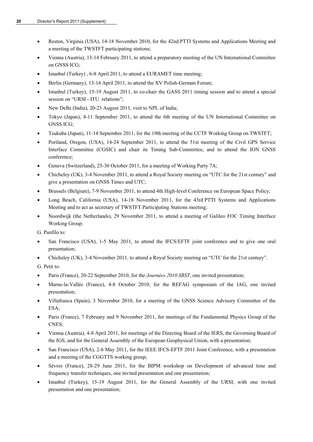- Reston, Virginia (USA), 14-18 November 2010, for the 42nd PTTI Systems and Applications Meeting and a meeting of the TWSTFT participating stations;
- Vienna (Austria), 13-14 February 2011, to attend a preparatory meeting of the UN International Committee on GNSS ICG;
- Istanbul (Turkey), 6-8 April 2011, to attend a EURAMET time meeting;
- Berlin (Germany), 13-14 April 2011, to attend the XV Polish-German Forum;
- Istanbul (Turkey), 15-19 August 2011, to co-chair the GASS 2011 timing session and to attend a special session on "URSI - ITU relations";
- New Delhi (India), 20-23 August 2011, visit to NPL of India;
- Tokyo (Japan), 4-11 September 2011, to attend the 6th meeting of the UN International Committee on GNSS ICG;
- Tsukuba (Japan), 11-14 September 2011, for the 19th meeting of the CCTF Working Group on TWSTFT;
- Portland, Oregon, (USA), 14-24 September 2011, to attend the 51st meeting of the Civil GPS Service Interface Committee (CGSIC) and chair its Timing Sub-Committee, and to attend the ION GNSS conference;
- Geneva (Switzerland), 25-30 October 2011, for a meeting of Working Party 7A;
- Chicheley (UK), 3-4 November 2011, to attend a Royal Society meeting on "UTC for the 21st century" and give a presentation on GNSS Times and UTC;
- Brussels (Belgium), 7-9 November 2011, to attend 4th High-level Conference on European Space Policy;
- Long Beach, California (USA), 14-18 November 2011, for the 43rd PTTI Systems and Applications Meeting and to act as secretary of TWSTFT Participating Stations meeting;
- Noordwijk (the Netherlands), 29 November 2011, to attend a meeting of Galileo FOC Timing Interface Working Group.

G. Panfilo to:

- San Francisco (USA), 1-5 May 2011, to attend the IFCS/EFTF joint conference and to give one oral presentation;
- Chicheley (UK), 3-4 November 2011, to attend a Royal Society meeting on "UTC for the 21st century".

G. Petit to:

- Paris (France), 20-22 September 2010, for the *Journées 2010 SRST*, one invited presentation;
- Marne-la-Vallée (France), 4-8 October 2010; for the REFAG symposium of the IAG, one invited presentation;
- Villafranca (Spain), 3 November 2010, for a meeting of the GNSS Science Advisory Committee of the ESA;
- Paris (France), 7 February and 9 November 2011, for meetings of the Fundamental Physics Group of the CNES;
- Vienna (Austria), 4-8 April 2011, for meetings of the Directing Board of the IERS, the Governing Board of the IGS, and for the General Assembly of the European Geophysical Union, with a presentation;
- San Francisco (USA), 2-6 May 2011, for the IEEE IFCS-EFTF 2011 Joint Conference, with a presentation and a meeting of the CGGTTS working group;
- Sèvres (France), 28-29 June 2011, for the BIPM workshop on Development of advanced time and frequency transfer techniques, one invited presentation and one presentation;
- Istanbul (Turkey), 15-19 August 2011, for the General Assembly of the URSI, with one invited presentation and one presentation;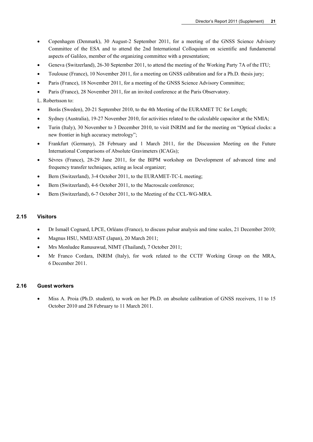- Copenhagen (Denmark), 30 August-2 September 2011, for a meeting of the GNSS Science Advisory Committee of the ESA and to attend the 2nd International Colloquium on scientific and fundamental aspects of Galileo, member of the organizing committee with a presentation;
- Geneva (Switzerland), 26-30 September 2011, to attend the meeting of the Working Party 7A of the ITU;
- Toulouse (France), 10 November 2011, for a meeting on GNSS calibration and for a Ph.D. thesis jury;
- Paris (France), 18 November 2011, for a meeting of the GNSS Science Advisory Committee;
- Paris (France), 28 November 2011, for an invited conference at the Paris Observatory.
- L. Robertsson to:
- Borås (Sweden), 20-21 September 2010, to the 4th Meeting of the EURAMET TC for Length;
- Sydney (Australia), 19-27 November 2010, for activities related to the calculable capacitor at the NMIA;
- Turin (Italy), 30 November to 3 December 2010, to visit INRIM and for the meeting on "Optical clocks: a new frontier in high accuracy metrology";
- Frankfurt (Germany), 28 February and 1 March 2011, for the Discussion Meeting on the Future International Comparisons of Absolute Gravimeters (ICAGs);
- Sèvres (France), 28-29 June 2011, for the BIPM workshop on Development of advanced time and frequency transfer techniques, acting as local organizer;
- Bern (Switzerland), 3-4 October 2011, to the EURAMET-TC-L meeting;
- Bern (Switzerland), 4-6 October 2011, to the Macroscale conference;
- Bern (Switzerland), 6-7 October 2011, to the Meeting of the CCL-WG-MRA.

# **2.15 Visitors**

- Dr Ismaël Cognard, LPCE, Orléans (France), to discuss pulsar analysis and time scales, 21 December 2010;
- Magnus HSU, NMIJ/AIST (Japan), 20 March 2011;
- Mrs Monludee Ranusawud, NIMT (Thailand), 7 October 2011;
- Mr Franco Cordara, INRIM (Italy), for work related to the CCTF Working Group on the MRA, 6 December 2011.

# **2.16 Guest workers**

 Miss A. Proia (Ph.D. student), to work on her Ph.D. on absolute calibration of GNSS receivers, 11 to 15 October 2010 and 28 February to 11 March 2011.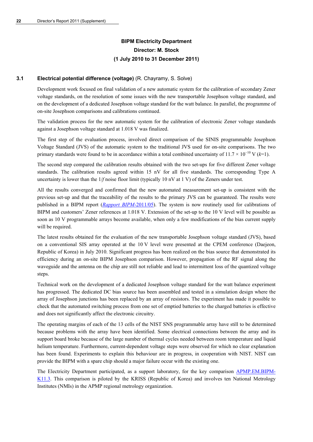# **BIPM Electricity Department Director: M. Stock (1 July 2010 to 31 December 2011)**

# **3.1 Electrical potential difference (voltage)** (R. Chayramy, S. Solve)

Development work focused on final validation of a new automatic system for the calibration of secondary Zener voltage standards, on the resolution of some issues with the new transportable Josephson voltage standard, and on the development of a dedicated Josephson voltage standard for the watt balance. In parallel, the programme of on-site Josephson comparisons and calibrations continued.

The validation process for the new automatic system for the calibration of electronic Zener voltage standards against a Josephson voltage standard at 1.018 V was finalized.

The first step of the evaluation process, involved direct comparison of the SINIS programmable Josephson Voltage Standard (JVS) of the automatic system to the traditional JVS used for on-site comparisons. The two primary standards were found to be in accordance within a total combined uncertainty of 11.7 × 10<sup>−</sup>10 V (*k*=1).

The second step compared the calibration results obtained with the two set-ups for five different Zener voltage standards. The calibration results agreed within 15 nV for all five standards. The corresponding Type A uncertainty is lower than the  $1/f$  noise floor limit (typically 10 nV at 1 V) of the Zeners under test.

All the results converged and confirmed that the new automated measurement set-up is consistent with the previous set-up and that the traceability of the results to the primary JVS can be guaranteed. The results were published in a BIPM report (*[Rapport BIPM](http://search3.bipm.org/utils/common/pdf/rapportBIPM/2011/05.pdf)*-2011/05). The system is now routinely used for calibrations of BIPM and customers' Zener references at 1.018 V. Extension of the set-up to the 10 V level will be possible as soon as 10 V programmable arrays become available, when only a few modifications of the bias current supply will be required.

The latest results obtained for the evaluation of the new transportable Josephson voltage standard (JVS), based on a conventional SIS array operated at the 10 V level were presented at the CPEM conference (Daejeon, Republic of Korea) in July 2010. Significant progress has been realized on the bias source that demonstrated its efficiency during an on-site BIPM Josephson comparison. However, propagation of the RF signal along the waveguide and the antenna on the chip are still not reliable and lead to intermittent loss of the quantized voltage steps.

Technical work on the development of a dedicated Josephson voltage standard for the watt balance experiment has progressed. The dedicated DC bias source has been assembled and tested in a simulation design where the array of Josephson junctions has been replaced by an array of resistors. The experiment has made it possible to check that the automated switching process from one set of emptied batteries to the charged batteries is effective and does not significantly affect the electronic circuitry.

The operating margins of each of the 13 cells of the NIST SNS programmable array have still to be determined because problems with the array have been identified. Some electrical connections between the array and its support board broke because of the large number of thermal cycles needed between room temperature and liquid helium temperature. Furthermore, current-dependent voltage steps were observed for which no clear explanation has been found. Experiments to explain this behaviour are in progress, in cooperation with NIST. NIST can provide the BIPM with a spare chip should a major failure occur with the existing one.

The Electricity Department participated, as a support laboratory, for the key comparison [APMP.EM.BIPM-](http://kcdb.bipm.org/appendixB/KCDB_ApB_info.asp?cmp_idy=998&cmp_cod=APMP.EM.BIPM-K11.3&prov=exalead)[K11.3.](http://kcdb.bipm.org/appendixB/KCDB_ApB_info.asp?cmp_idy=998&cmp_cod=APMP.EM.BIPM-K11.3&prov=exalead) This comparison is piloted by the KRISS (Republic of Korea) and involves ten National Metrology Institutes (NMIs) in the APMP regional metrology organization.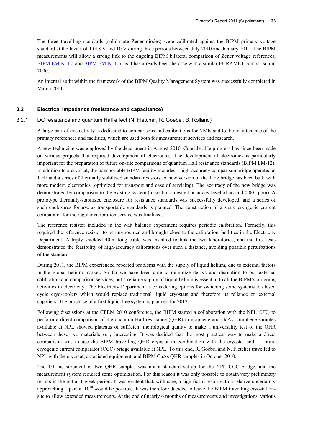The three travelling standards (solid-state Zener diodes) were calibrated against the BIPM primary voltage standard at the levels of 1.018 V and 10 V during three periods between July 2010 and January 2011. The BIPM measurements will allow a strong link to the ongoing BIPM bilateral comparison of Zener voltage references, [BIPM.EM-K11.a](http://kcdb.bipm.org/appendixB/KCDB_ApB_info.asp?cmp_idy=58&cmp_cod=BIPM.EM-K11.a&prov=exalead) and [BIPM.EM-K11.b](http://kcdb.bipm.org/appendixB/KCDB_ApB_info.asp?cmp_idy=59&cmp_cod=BIPM.EM-K11.b&prov=exalead), as it has already been the case with a similar EURAMET comparison in 2000.

An internal audit within the framework of the BIPM Quality Management System was successfully completed in March 2011.

#### **3.2 Electrical impedance (resistance and capacitance)**

#### 3.2.1 DC resistance and quantum Hall effect (N. Fletcher, R. Goebel, B. Rolland)

A large part of this activity is dedicated to comparisons and calibrations for NMIs and to the maintenance of the primary references and facilities, which are used both for measurement services and research.

A new technician was employed by the department in August 2010. Considerable progress has since been made on various projects that required development of electronics. The development of electronics is particularly important for the preparation of future on-site comparisons of quantum Hall resistance standards (BIPM.EM-12). In addition to a cryostat, the transportable BIPM facility includes a high-accuracy comparison bridge operated at 1 Hz and a series of thermally stabilized standard resistors. A new version of the 1 Hz bridge has been built with more modern electronics (optimized for transport and ease of servicing). The accuracy of the new bridge was demonstrated by comparison to the existing system (to within a desired accuracy level of around 0.001 ppm). A prototype thermally-stabilized enclosure for resistance standards was successfully developed, and a series of such enclosures for use as transportable standards is planned. The construction of a spare cryogenic current comparator for the regular calibration service was finalized.

The reference resistor included in the watt balance experiment requires periodic calibration. Formerly, this required the reference resistor to be un-mounted and brought close to the calibration facilities in the Electricity Department. A triply shielded 40 m long cable was installed to link the two laboratories, and the first tests demonstrated the feasibility of high-accuracy calibrations over such a distance, avoiding possible perturbations of the standard.

During 2011, the BIPM experienced repeated problems with the supply of liquid helium, due to external factors in the global helium market. So far we have been able to minimize delays and disruption to our external calibration and comparison services, but a reliable supply of liquid helium is essential to all the BIPM's on-going activities in electricity. The Electricity Department is considering options for switching some systems to closed cycle cryo-coolers which would replace traditional liquid cryostats and therefore its reliance on external suppliers. The purchase of a first liquid-free system is planned for 2012.

Following discussions at the CPEM 2010 conference, the BIPM started a collaboration with the NPL (UK) to perform a direct comparison of the quantum Hall resistance (QHR) in graphene and GaAs. Graphene samples available at NPL showed plateaus of sufficient metrological quality to make a universality test of the QHR between these two materials very interesting. It was decided that the most practical way to make a direct comparison was to use the BIPM travelling QHR cryostat in combination with the cryostat and 1:1 ratio cryogenic current comparator (CCC) bridge available at NPL. To this end, R. Goebel and N. Fletcher travelled to NPL with the cryostat, associated equipment, and BIPM GaAs QHR samples in October 2010.

The 1:1 measurement of two QHR samples was not a standard set-up for the NPL CCC bridge, and the measurement system required some optimization. For this reason it was only possible to obtain very preliminary results in the initial 1 week period. It was evident that, with care, a significant result with a relative uncertainty approaching 1 part in  $10^{10}$  would be possible. It was therefore decided to leave the BIPM travelling cryostat onsite to allow extended measurements. At the end of nearly 6 months of measurements and investigations, various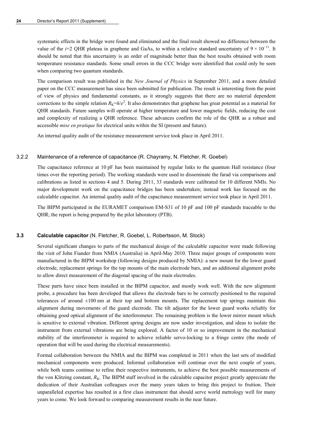systematic effects in the bridge were found and eliminated and the final result showed no difference between the value of the *i*=2 QHR plateau in graphene and GaAs, to within a relative standard uncertainty of  $9 \times 10^{-11}$ . It should be noted that this uncertainty is an order of magnitude better than the best results obtained with room temperature resistance standards. Some small errors in the CCC bridge were identified that could only be seen when comparing two quantum standards.

The comparison result was published in the *New Journal of Physics* in September 2011, and a more detailed paper on the CCC measurement has since been submitted for publication. The result is interesting from the point of view of physics and fundamental constants, as it strongly suggests that there are no material dependent corrections to the simple relation  $R_K=h/e^2$ . It also demonstrates that graphene has great potential as a material for QHR standards. Future samples will operate at higher temperature and lower magnetic fields, reducing the cost and complexity of realizing a QHR reference. These advances confirm the role of the QHR as a robust and accessible *mise en pratique* for electrical units within the SI (present and future).

An internal quality audit of the resistance measurement service took place in April 2011.

#### 3.2.2 Maintenance of a reference of capacitance (R. Chayramy, N. Fletcher, R. Goebel)

The capacitance reference at 10 pF has been maintained by regular links to the quantum Hall resistance (four times over the reporting period). The working standards were used to disseminate the farad via comparisons and calibrations as listed in sections 4 and 5. During 2011, 33 standards were calibrated for 10 different NMIs. No major development work on the capacitance bridges has been undertaken; instead work has focused on the calculable capacitor. An internal quality audit of the capacitance measurement service took place in April 2011.

The BIPM participated in the EURAMET comparison EM-S31 of 10 pF and 100 pF standards traceable to the QHR; the report is being prepared by the pilot laboratory (PTB).

#### **3.3 Calculable capacitor** (N. Fletcher, R. Goebel, L. Robertsson, M. Stock)

Several significant changes to parts of the mechanical design of the calculable capacitor were made following the visit of John Fiander from NMIA (Australia) in April-May 2010. Three major groups of components were manufactured in the BIPM workshop (following designs produced by NMIA): a new mount for the lower guard electrode, replacement springs for the top mounts of the main electrode bars, and an additional alignment probe to allow direct measurement of the diagonal spacing of the main electrodes.

These parts have since been installed in the BIPM capacitor, and mostly work well. With the new alignment probe, a procedure has been developed that allows the electrode bars to be correctly positioned to the required tolerances of around  $\pm 100$  nm at their top and bottom mounts. The replacement top springs maintain this alignment during movements of the guard electrode. The tilt adjuster for the lower guard works reliably for obtaining good optical alignment of the interferometer. The remaining problem is the lower mirror mount which is sensitive to external vibration. Different spring designs are now under investigation, and ideas to isolate the instrument from external vibrations are being explored. A factor of 10 or so improvement in the mechanical stability of the interferometer is required to achieve reliable servo-locking to a fringe centre (the mode of operation that will be used during the electrical measurements).

Formal collaboration between the NMIA and the BIPM was completed in 2011 when the last sets of modified mechanical components were produced. Informal collaboration will continue over the next couple of years, while both teams continue to refine their respective instruments, to achieve the best possible measurements of the von Klitzing constant,  $R_K$ . The BIPM staff involved in the calculable capacitor project greatly appreciate the dedication of their Australian colleagues over the many years taken to bring this project to fruition. Their unparalleled expertise has resulted in a first class instrument that should serve world metrology well for many years to come. We look forward to comparing measurement results in the near future.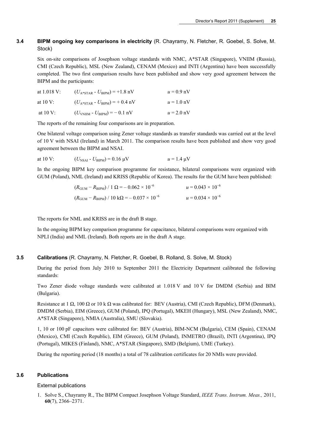# **3.4 BIPM ongoing key comparisons in electricity** (R. Chayramy, N. Fletcher, R. Goebel, S. Solve, M. Stock)

Six on-site comparisons of Josephson voltage standards with NMC, A\*STAR (Singapore), VNIIM (Russia), CMI (Czech Republic), MSL (New Zealand), CENAM (Mexico) and INTI (Argentina) have been successfully completed. The two first comparison results have been published and show very good agreement between the BIPM and the participants:

| at $1.018$ V:       | $(U_{A*STAR} - U_{BIPM}) = +1.8$ nV                      | $u = 0.9$ nV |
|---------------------|----------------------------------------------------------|--------------|
| at $10 \text{ V}$ : | $(U_{A*STAR} - U_{BIPM}) = +0.4$ nV                      | $u = 1.0$ nV |
| at $10V$ :          | $(U_{\text{VNIIM}} - U_{\text{BIPM}}) = -0.1 \text{ nV}$ | $u = 2.0$ nV |

The reports of the remaining four comparisons are in preparation.

One bilateral voltage comparison using Zener voltage standards as transfer standards was carried out at the level of 10 V with NSAI (Ireland) in March 2011. The comparison results have been published and show very good agreement between the BIPM and NSAI.

at 10 V:  $(U_{NSA1} - U_{RIPM}) = 0.16 \text{ uV}$   $u = 1.4 \text{ uV}$ 

In the ongoing BIPM key comparison programme for resistance, bilateral comparisons were organized with GUM (Poland), NML (Ireland) and KRISS (Republic of Korea). The results for the GUM have been published:

$$
(R_{\text{GUM}} - R_{\text{BIPM}}) / 1 \Omega = -0.062 \times 10^{-6}
$$
  

$$
u = 0.043 \times 10^{-6}
$$
  

$$
(R_{\text{GUM}} - R_{\text{BIPM}}) / 10 \text{ k}\Omega = -0.037 \times 10^{-6}
$$
  

$$
u = 0.034 \times 10^{-6}
$$

The reports for NML and KRISS are in the draft B stage.

In the ongoing BIPM key comparison programme for capacitance, bilateral comparisons were organized with NPLI (India) and NML (Ireland). Both reports are in the draft A stage.

#### **3.5 Calibrations** (R. Chayramy, N. Fletcher, R. Goebel, B. Rolland, S. Solve, M. Stock)

During the period from July 2010 to September 2011 the Electricity Department calibrated the following standards:

Two Zener diode voltage standards were calibrated at 1.018 V and 10 V for DMDM (Serbia) and BIM (Bulgaria).

Resistance at 1  $\Omega$ , 100  $\Omega$  or 10 k  $\Omega$  was calibrated for: BEV (Austria), CMI (Czech Republic), DFM (Denmark), DMDM (Serbia), EIM (Greece), GUM (Poland), IPQ (Portugal), MKEH (Hungary), MSL (New Zealand), NMC, A\*STAR (Singapore), NMIA (Australia), SMU (Slovakia).

1, 10 or 100 pF capacitors were calibrated for: BEV (Austria), BIM-NCM (Bulgaria), CEM (Spain), CENAM (Mexico), CMI (Czech Republic), EIM (Greece), GUM (Poland), INMETRO (Brazil), INTI (Argentina), IPQ (Portugal), MIKES (Finland), NMC, A\*STAR (Singapore), SMD (Belgium), UME (Turkey).

During the reporting period (18 months) a total of 78 calibration certificates for 20 NMIs were provided.

# **3.6 Publications**

#### External publications

1. Solve S., Chayramy R., The BIPM Compact Josephson Voltage Standard, *IEEE Trans. Instrum. Meas.,* 2011, **60**(7), 2366–2371.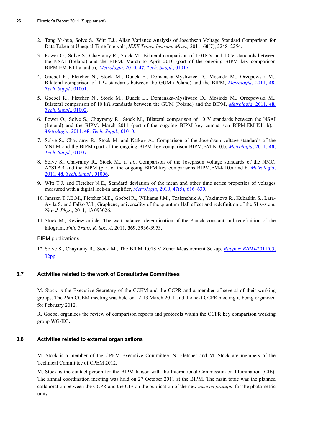- 2. Tang Yi-hua, Solve S., Witt T.J., Allan Variance Analysis of Josephson Voltage Standard Comparison for Data Taken at Unequal Time Intervals, *IEEE Trans. Instrum. Meas.,* 2011, **60**(7), 2248–2254.
- 3. Power O., Solve S., Chayramy R., Stock M., Bilateral comparison of 1.018 V and 10 V standards between the NSAI (Ireland) and the BIPM, March to April 2010 (part of the ongoing BIPM key comparison BIPM.EM-K11.a and b), *Metrologia*, 2010, **47**, *[Tech. Suppl.](http://stacks.iop.org/0026-1394/47/01017)*, 01017.
- 4. Goebel R., Fletcher N., Stock M., Dudek E., Domanska-Mysliwiec D., Mosiadz M., Orzepowski M., Bilateral comparison of 1 Ω standards between the GUM (Poland) and the BIPM, *[Metrologia](http://stacks.iop.org/0026-1394/48/01001)*, 2011, **48**, *[Tech. Suppl.](http://stacks.iop.org/0026-1394/48/01001)*, 01001.
- 5. Goebel R., Fletcher N., Stock M., Dudek E., Domanska-Mysliwiec D., Mosiadz M., Orzepowski M., Bilateral comparison of 10 kΩ standards between the GUM (Poland) and the BIPM, *[Metrologia](http://stacks.iop.org/0026-1394/48/01002)*, 2011, **48**, *[Tech. Suppl](http://stacks.iop.org/0026-1394/48/01002)*., 01002.
- 6. Power O., Solve S., Chayramy R., Stock M., Bilateral comparison of 10 V standards between the NSAI (Ireland) and the BIPM, March 2011 (part of the ongoing BIPM key comparison BIPM.EM-K11.b), *Metrologia*, 2011, **48**, *[Tech. Suppl.](http://stacks.iop.org/0026-1394/48/01010)*, 01010.
- 7. Solve S., Chayramy R., Stock M. and Katkov A., Comparison of the Josephson voltage standards of the VNIIM and the BIPM (part of the ongoing BIPM key comparison BIPM.EM-K10.b, *[Metrologia](http://stacks.iop.org/0026-1394/48/01007)*, 2011, **48**, *[Tech. Suppl.](http://stacks.iop.org/0026-1394/48/01007)*, 01007.
- 8. Solve S., Chayramy R., Stock M., *et al.*, Comparison of the Josephson voltage standards of the NMC, A\*STAR and the BIPM (part of the ongoing BIPM key comparisons BIPM.EM-K10.a and b, *[Metrologia](http://stacks.iop.org/0026-1394/48/01006)*, 2011, **48**, *[Tech. Suppl.](http://stacks.iop.org/0026-1394/48/01006)*, 01006.
- 9. Witt T.J. and Fletcher N.E., Standard deviation of the mean and other time series properties of voltages measured with a digital lock-in amplifier, *Metrologia*[, 2010, 47\(5\), 616–630](http://stacks.iop.org/0026-1394/47/616).
- 10.[Janssen](http://iopscience.iop.org/search?searchType=fullText&fieldedquery=T+J+B+M+Janssen&f=author&time=all&issn=) T.J.B.M., [Fletcher](http://iopscience.iop.org/search?searchType=fullText&fieldedquery=N+E+Fletcher&f=author&time=all&issn=) N.E., [Goebel](http://iopscience.iop.org/search?searchType=fullText&fieldedquery=R+Goebel&f=author&time=all&issn=) R., [Williams](http://iopscience.iop.org/search?searchType=fullText&fieldedquery=J+M+Williams&f=author&time=all&issn=) J.M., [Tzalenchuk](http://iopscience.iop.org/search?searchType=fullText&fieldedquery=A+Tzalenchuk&f=author&time=all&issn=) A., [Yakimova](http://iopscience.iop.org/search?searchType=fullText&fieldedquery=R+Yakimova&f=author&time=all&issn=) R., [Kubatkin](http://iopscience.iop.org/search?searchType=fullText&fieldedquery=S+Kubatkin&f=author&time=all&issn=) S., [Lara-](http://iopscience.iop.org/search?searchType=fullText&fieldedquery=S+Lara-Avila&f=author&time=all&issn=)[Avila](http://iopscience.iop.org/search?searchType=fullText&fieldedquery=S+Lara-Avila&f=author&time=all&issn=) S. and [Falko](http://iopscience.iop.org/search?searchType=fullText&fieldedquery=V+I+Falko&f=author&time=all&issn=) V.I., Graphene, universality of the quantum Hall effect and redefinition of the SI system, *New J. Phys*., 2011, **13** 093026.
- 11. Stock M., Review article: The watt balance: determination of the Planck constant and redefinition of the kilogram, *Phil. Trans. R. Soc. A*, 2011, **369**, 3936-3953.

# BIPM publications

12. Solve S., Chayramy R., Stock M., The BIPM 1.018 V Zener Measurement Set-up, *[Rapport BIPM-](http://www.bipm.org/utils/common/pdf/rapportBIPM/2011/05.pdf)*2011/05, [32pp](http://www.bipm.org/utils/common/pdf/rapportBIPM/2011/05.pdf)

# **3.7 Activities related to the work of Consultative Committees**

M. Stock is the Executive Secretary of the CCEM and the CCPR and a member of several of their working groups. The 26th CCEM meeting was held on 12-13 March 2011 and the next CCPR meeting is being organized for February 2012.

R. Goebel organizes the review of comparison reports and protocols within the CCPR key comparison working group WG-KC.

# **3.8 Activities related to external organizations**

M. Stock is a member of the CPEM Executive Committee. N. Fletcher and M. Stock are members of the Technical Committee of CPEM 2012.

M. Stock is the contact person for the BIPM liaison with the International Commission on Illumination (CIE). The annual coordination meeting was held on 27 October 2011 at the BIPM. The main topic was the planned collaboration between the CCPR and the CIE on the publication of the new *mise en pratique* for the photometric units.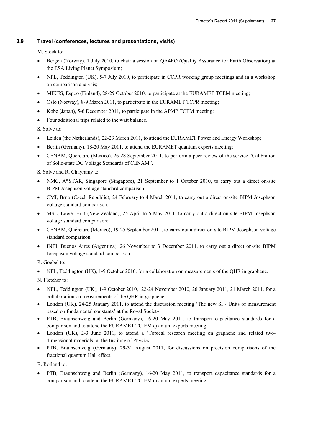# **3.9 Travel (conferences, lectures and presentations, visits)**

M. Stock to:

- Bergen (Norway), 1 July 2010, to chair a session on QA4EO (Quality Assurance for Earth Observation) at the ESA Living Planet Symposium;
- NPL, Teddington (UK), 5-7 July 2010, to participate in CCPR working group meetings and in a workshop on comparison analysis;
- MIKES, Espoo (Finland), 28-29 October 2010, to participate at the EURAMET TCEM meeting;
- Oslo (Norway), 8-9 March 2011, to participate in the EURAMET TCPR meeting;
- Kobe (Japan), 5-6 December 2011, to participate in the APMP TCEM meeting;
- Four additional trips related to the watt balance.

S. Solve to:

- Leiden (the Netherlands), 22-23 March 2011, to attend the EURAMET Power and Energy Workshop;
- Berlin (Germany), 18-20 May 2011, to attend the EURAMET quantum experts meeting;
- CENAM, Quéretaro (Mexico), 26-28 September 2011, to perform a peer review of the service "Calibration of Solid-state DC Voltage Standards of CENAM".

S. Solve and R. Chayramy to:

- NMC, A\*STAR, Singapore (Singapore), 21 September to 1 October 2010, to carry out a direct on-site BIPM Josephson voltage standard comparison;
- CMI, Brno (Czech Republic), 24 February to 4 March 2011, to carry out a direct on-site BIPM Josephson voltage standard comparison;
- MSL, Lower Hutt (New Zealand), 25 April to 5 May 2011, to carry out a direct on-site BIPM Josephson voltage standard comparison;
- CENAM, Quéretaro (Mexico), 19-25 September 2011, to carry out a direct on-site BIPM Josephson voltage standard comparison;
- INTI, Buenos Aires (Argentina), 26 November to 3 December 2011, to carry out a direct on-site BIPM Josephson voltage standard comparison.

R. Goebel to:

• NPL, Teddington (UK), 1-9 October 2010, for a collaboration on measurements of the QHR in graphene.

N. Fletcher to:

- NPL, Teddington (UK), 1-9 October 2010, 22-24 November 2010, 26 January 2011, 21 March 2011, for a collaboration on measurements of the QHR in graphene;
- London (UK), 24-25 January 2011, to attend the discussion meeting 'The new SI Units of measurement based on fundamental constants' at the Royal Society;
- PTB, Braunschweig and Berlin (Germany), 16-20 May 2011, to transport capacitance standards for a comparison and to attend the EURAMET TC-EM quantum experts meeting;
- London (UK), 2-3 June 2011, to attend a 'Topical research meeting on graphene and related twodimensional materials' at the Institute of Physics;
- PTB, Braunschweig (Germany), 29-31 August 2011, for discussions on precision comparisons of the fractional quantum Hall effect.

B. Rolland to:

 PTB, Braunschweig and Berlin (Germany), 16-20 May 2011, to transport capacitance standards for a comparison and to attend the EURAMET TC-EM quantum experts meeting.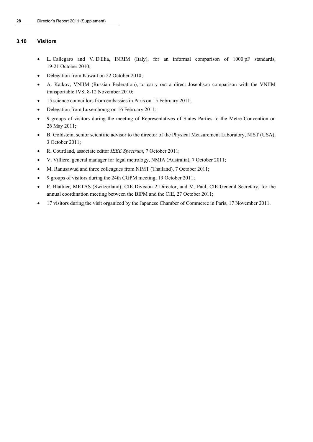# **3.10 Visitors**

- L. Callegaro and V. D'Elia, INRIM (Italy), for an informal comparison of 1000 pF standards, 19-21 October 2010;
- Delegation from Kuwait on 22 October 2010;
- A. Katkov, VNIIM (Russian Federation), to carry out a direct Josephson comparison with the VNIIM transportable JVS, 8-12 November 2010;
- 15 science councillors from embassies in Paris on 15 February 2011;
- Delegation from Luxembourg on 16 February 2011;
- 9 groups of visitors during the meeting of Representatives of States Parties to the Metre Convention on 26 May 2011;
- B. Goldstein, senior scientific advisor to the director of the Physical Measurement Laboratory, NIST (USA), 3 October 2011;
- R. Courtland, associate editor *IEEE Spectrum*, 7 October 2011;
- V. Villière, general manager for legal metrology, NMIA (Australia), 7 October 2011;
- M. Ranusawud and three colleagues from NIMT (Thailand), 7 October 2011;
- 9 groups of visitors during the 24th CGPM meeting, 19 October 2011;
- P. Blattner, METAS (Switzerland), CIE Division 2 Director, and M. Paul, CIE General Secretary, for the annual coordination meeting between the BIPM and the CIE, 27 October 2011;
- 17 visitors during the visit organized by the Japanese Chamber of Commerce in Paris, 17 November 2011.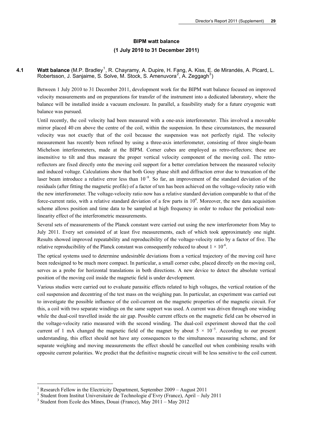# **BIPM watt balance (1 July 2010 to 31 December 2011)**

4.[1](#page-30-0) **Watt balance** (M.P. Bradley<sup>1</sup>, R. Chayramy, A. Dupire, H. Fang, A. Kiss, E. de Mirandés, A. Picard, L. Robertsson, J. Sanjaime, S. Solve, M. Stock, S. Amenuvora<sup>[2](#page-30-1)</sup>, A. Zeggagh<sup>[3](#page-30-2)</sup>)

Between 1 July 2010 to 31 December 2011, development work for the BIPM watt balance focused on improved velocity measurements and on preparations for transfer of the instrument into a dedicated laboratory, where the balance will be installed inside a vacuum enclosure. In parallel, a feasibility study for a future cryogenic watt balance was pursued.

Until recently, the coil velocity had been measured with a one-axis interferometer. This involved a moveable mirror placed 40 cm above the centre of the coil, within the suspension. In these circumstances, the measured velocity was not exactly that of the coil because the suspension was not perfectly rigid. The velocity measurement has recently been refined by using a three-axis interferometer, consisting of three single-beam Michelson interferometers, made at the BIPM. Corner cubes are employed as retro-reflectors; these are insensitive to tilt and thus measure the proper vertical velocity component of the moving coil. The retroreflectors are fixed directly onto the moving coil support for a better correlation between the measured velocity and induced voltage. Calculations show that both Gouy phase shift and diffraction error due to truncation of the laser beam introduce a relative error less than 10<sup>-8</sup>. So far, an improvement of the standard deviation of the residuals (after fitting the magnetic profile) of a factor of ten has been achieved on the voltage-velocity ratio with the new interferometer. The voltage-velocity ratio now has a relative standard deviation comparable to that of the force-current ratio, with a relative standard deviation of a few parts in  $10<sup>4</sup>$ . Moreover, the new data acquisition scheme allows position and time data to be sampled at high frequency in order to reduce the periodical nonlinearity effect of the interferometric measurements.

Several sets of measurements of the Planck constant were carried out using the new interferometer from May to July 2011. Every set consisted of at least five measurements, each of which took approximately one night. Results showed improved repeatability and reproducibility of the voltage-velocity ratio by a factor of five. The relative reproducibility of the Planck constant was consequently reduced to about  $1 \times 10^{-6}$ .

The optical systems used to determine undesirable deviations from a vertical trajectory of the moving coil have been redesigned to be much more compact. In particular, a small corner cube, placed directly on the moving coil, serves as a probe for horizontal translations in both directions. A new device to detect the absolute vertical position of the moving coil inside the magnetic field is under development.

Various studies were carried out to evaluate parasitic effects related to high voltages, the vertical rotation of the coil suspension and decentring of the test mass on the weighing pan. In particular, an experiment was carried out to investigate the possible influence of the coil-current on the magnetic properties of the magnetic circuit. For this, a coil with two separate windings on the same support was used. A current was driven through one winding while the dual-coil travelled inside the air gap. Possible current effects on the magnetic field can be observed in the voltage-velocity ratio measured with the second winding. The dual-coil experiment showed that the coil current of 1 mA changed the magnetic field of the magnet by about  $5 \times 10^{-5}$ . According to our present understanding, this effect should not have any consequences to the simultaneous measuring scheme, and for separate weighing and moving measurements the effect should be cancelled out when combining results with opposite current polarities. We predict that the definitive magnetic circuit will be less sensitive to the coil current.

1

<sup>&</sup>lt;sup>1</sup> Research Fellow in the Electricity Department, September 2009 – August 2011

<span id="page-30-1"></span><span id="page-30-0"></span><sup>2</sup> Student from Institut Universitaire de Technologie d'Evry (France), April – July 2011 <sup>3</sup>

<span id="page-30-2"></span> $3$  Student from Ecole des Mines, Douai (France), May 2011 – May 2012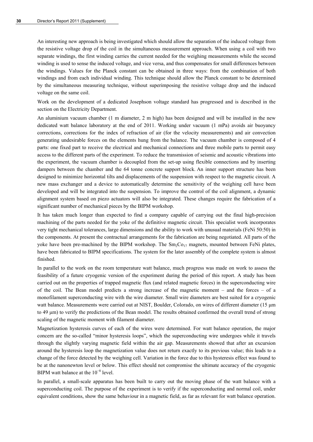An interesting new approach is being investigated which should allow the separation of the induced voltage from the resistive voltage drop of the coil in the simultaneous measurement approach. When using a coil with two separate windings, the first winding carries the current needed for the weighing measurements while the second winding is used to sense the induced voltage, and vice versa, and thus compensates for small differences between the windings. Values for the Planck constant can be obtained in three ways: from the combination of both windings and from each individual winding. This technique should allow the Planck constant to be determined by the simultaneous measuring technique, without superimposing the resistive voltage drop and the induced voltage on the same coil.

Work on the development of a dedicated Josephson voltage standard has progressed and is described in the section on the Electricity Department.

An aluminium vacuum chamber (1 m diameter, 2 m high) has been designed and will be installed in the new dedicated watt balance laboratory at the end of 2011. Working under vacuum (1 mPa) avoids air buoyancy corrections, corrections for the index of refraction of air (for the velocity measurements) and air convection generating undesirable forces on the elements hung from the balance. The vacuum chamber is composed of 4 parts: one fixed part to receive the electrical and mechanical connections and three mobile parts to permit easy access to the different parts of the experiment. To reduce the transmission of seismic and acoustic vibrations into the experiment, the vacuum chamber is decoupled from the set-up using flexible connections and by inserting dampers between the chamber and the 64 tonne concrete support block. An inner support structure has been designed to minimize horizontal tilts and displacements of the suspension with respect to the magnetic circuit. A new mass exchanger and a device to automatically determine the sensitivity of the weighing cell have been developed and will be integrated into the suspension. To improve the control of the coil alignment, a dynamic alignment system based on piezo actuators will also be integrated. These changes require the fabrication of a significant number of mechanical pieces by the BIPM workshop.

It has taken much longer than expected to find a company capable of carrying out the final high-precision machining of the parts needed for the yoke of the definitive magnetic circuit. This specialist work incorporates very tight mechanical tolerances, large dimensions and the ability to work with unusual materials (FeNi 50:50) in the components. At present the contractual arrangements for the fabrication are being negotiated. All parts of the yoke have been pre-machined by the BIPM workshop. The  $Sm_2Co_{17}$  magnets, mounted between FeNi plates, have been fabricated to BIPM specifications. The system for the later assembly of the complete system is almost finished.

In parallel to the work on the room temperature watt balance, much progress was made on work to assess the feasibility of a future cryogenic version of the experiment during the period of this report. A study has been carried out on the properties of trapped magnetic flux (and related magnetic forces) in the superconducting wire of the coil. The Bean model predicts a strong increase of the magnetic moment – and the forces – of a monofilament superconducting wire with the wire diameter. Small wire diameters are best suited for a cryogenic watt balance. Measurements were carried out at NIST, Boulder, Colorado, on wires of different diameter (15  $\mu$ m to 49 μm) to verify the predictions of the Bean model. The results obtained confirmed the overall trend of strong scaling of the magnetic moment with filament diameter.

Magnetization hysteresis curves of each of the wires were determined. For watt balance operation, the major concern are the so-called "minor hysteresis loops", which the superconducting wire undergoes while it travels through the slightly varying magnetic field within the air gap. Measurements showed that after an excursion around the hysteresis loop the magnetization value does not return exactly to its previous value; this leads to a change of the force detected by the weighing cell. Variation in the force due to this hysteresis effect was found to be at the nanonewton level or below. This effect should not compromise the ultimate accuracy of the cryogenic BIPM watt balance at the  $10^{-8}$  level.

In parallel, a small-scale apparatus has been built to carry out the moving phase of the watt balance with a superconducting coil. The purpose of the experiment is to verify if the superconducting and normal coil, under equivalent conditions, show the same behaviour in a magnetic field, as far as relevant for watt balance operation.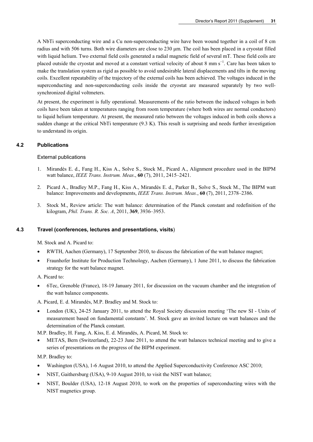A NbTi superconducting wire and a Cu non-superconducting wire have been wound together in a coil of 8 cm radius and with 506 turns. Both wire diameters are close to 230 μm. The coil has been placed in a cryostat filled with liquid helium. Two external field coils generated a radial magnetic field of several mT. These field coils are placed outside the cryostat and moved at a constant vertical velocity of about 8 mm s<sup>-1</sup>. Care has been taken to make the translation system as rigid as possible to avoid undesirable lateral displacements and tilts in the moving coils. Excellent repeatability of the trajectory of the external coils has been achieved. The voltages induced in the superconducting and non-superconducting coils inside the cryostat are measured separately by two wellsynchronized digital voltmeters.

At present, the experiment is fully operational. Measurements of the ratio between the induced voltages in both coils have been taken at temperatures ranging from room temperature (where both wires are normal conductors) to liquid helium temperature. At present, the measured ratio between the voltages induced in both coils shows a sudden change at the critical NbTi temperature (9.3 K). This result is surprising and needs further investigation to understand its origin.

# **4.2 Publications**

# External publications

- 1. Mirandés E. d., Fang H., Kiss A., Solve S., Stock M., Picard A., Alignment procedure used in the BIPM watt balance, *IEEE Trans. Instrum. Meas*., **60** (7), 2011, 2415–2421.
- 2. Picard A., Bradley M.P., Fang H., Kiss A., Mirandés E. d., Parker B., Solve S., Stock M., The BIPM watt balance: Improvements and developments, *IEEE Trans. Instrum. Meas.*, **60** (7), 2011, 2378–2386.
- 3. Stock M., Review article: The watt balance: determination of the Planck constant and redefinition of the kilogram, *Phil. Trans. R. Soc. A*, 2011, **369**, 3936–3953.

# **4.3 Travel (conferences, lectures and presentations, visits**)

M. Stock and A. Picard to:

- RWTH, Aachen (Germany), 17 September 2010, to discuss the fabrication of the watt balance magnet;
- Fraunhofer Institute for Production Technology, Aachen (Germany), 1 June 2011, to discuss the fabrication strategy for the watt balance magnet.

A. Picard to:

 6Tec, Grenoble (France), 18-19 January 2011, for discussion on the vacuum chamber and the integration of the watt balance components.

A. Picard, E. d. Mirandés, M.P. Bradley and M. Stock to:

 London (UK), 24-25 January 2011, to attend the Royal Society discussion meeting 'The new SI - Units of measurement based on fundamental constants'. M. Stock gave an invited lecture on watt balances and the determination of the Planck constant.

M.P. Bradley, H. Fang, A. Kiss, E. d. Mirandés, A. Picard, M. Stock to:

 METAS, Bern (Switzerland), 22-23 June 2011, to attend the watt balances technical meeting and to give a series of presentations on the progress of the BIPM experiment.

M.P. Bradley to:

- Washington (USA), 1-6 August 2010, to attend the Applied Superconductivity Conference ASC 2010;
- NIST, Gaithersburg (USA), 9-10 August 2010, to visit the NIST watt balance;
- NIST, Boulder (USA), 12-18 August 2010, to work on the properties of superconducting wires with the NIST magnetics group.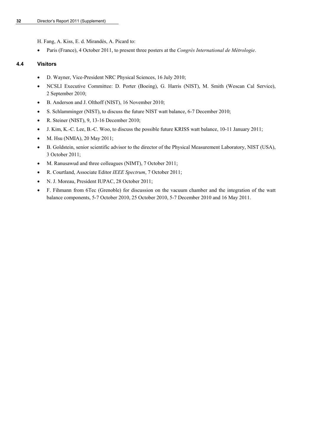H. Fang, A. Kiss, E. d. Mirandés, A. Picard to:

Paris (France), 4 October 2011, to present three posters at the *Congrès International de Métrologie*.

# **4.4 Visitors**

- D. Wayner, Vice-President NRC Physical Sciences, 16 July 2010;
- NCSLI Executive Committee: D. Porter (Boeing), G. Harris (NIST), M. Smith (Wescan Cal Service), 2 September 2010;
- B. Anderson and J. Olthoff (NIST), 16 November 2010;
- S. Schlamminger (NIST), to discuss the future NIST watt balance, 6-7 December 2010;
- R. Steiner (NIST),  $9$ , 13-16 December 2010;
- J. Kim, K.-C. Lee, B.-C. Woo, to discuss the possible future KRISS watt balance, 10-11 January 2011;
- M. Hsu (NMIA), 20 May 2011;
- B. Goldstein, senior scientific advisor to the director of the Physical Measurement Laboratory, NIST (USA), 3 October 2011;
- M. Ranusawud and three colleagues (NIMT), 7 October 2011;
- R. Courtland, Associate Editor *IEEE Spectrum*, 7 October 2011;
- N. J. Moreau, President IUPAC, 28 October 2011;
- F. Fihmann from 6Tec (Grenoble) for discussion on the vacuum chamber and the integration of the watt balance components, 5-7 October 2010, 25 October 2010, 5-7 December 2010 and 16 May 2011.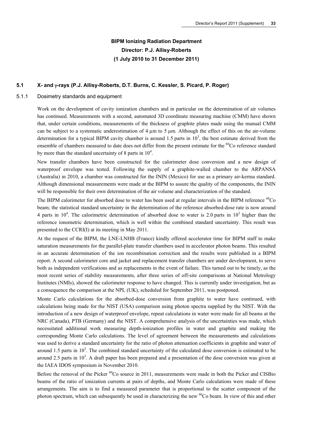# **BIPM Ionizing Radiation Department Director: P.J. Allisy-Roberts (1 July 2010 to 31 December 2011)**

# **5.1 X- and -rays (P.J. Allisy-Roberts, D.T. Burns, C. Kessler, S. Picard, P. Roger)**

#### 5.1.1 Dosimetry standards and equipment

Work on the development of cavity ionization chambers and in particular on the determination of air volumes has continued. Measurements with a second, automated 3D coordinate measuring machine (CMM) have shown that, under certain conditions, measurements of the thickness of graphite plates made using the manual CMM can be subject to a systematic underestimation of 4 um to 5 um. Although the effect of this on the air-volume determination for a typical BIPM cavity chamber is around 1.5 parts in  $10<sup>3</sup>$ , the best estimate derived from the ensemble of chambers measured to date does not differ from the present estimate for the <sup>60</sup>Co reference standard by more than the standard uncertainty of 8 parts in  $10^4$ .

New transfer chambers have been constructed for the calorimeter dose conversion and a new design of waterproof envelope was tested. Following the supply of a graphite-walled chamber to the ARPANSA (Australia) in 2010, a chamber was constructed for the ININ (Mexico) for use as a primary air-kerma standard. Although dimensional measurements were made at the BIPM to assure the quality of the components, the ININ will be responsible for their own determination of the air volume and characterization of the standard.

The BIPM calorimeter for absorbed dose to water has been used at regular intervals in the BIPM reference  ${}^{60}Co$ beam; the statistical standard uncertainty in the determination of the reference absorbed-dose rate is now around 4 parts in  $10^4$ . The calorimetric determination of absorbed dose to water is 2.0 parts in  $10^3$  higher than the reference ionometric determination, which is well within the combined standard uncertainty. This result was presented to the CCRI(I) at its meeting in May 2011.

At the request of the BIPM, the LNE-LNHB (France) kindly offered accelerator time for BIPM staff to make saturation measurements for the parallel-plate transfer chambers used in accelerator photon beams. This resulted in an accurate determination of the ion recombination correction and the results were published in a BIPM report. A second calorimeter core and jacket and replacement transfer chambers are under development, to serve both as independent verifications and as replacements in the event of failure. This turned out to be timely, as the most recent series of stability measurements, after three series of off-site comparisons at National Metrology Institutes (NMIs), showed the calorimeter response to have changed. This is currently under investigation, but as a consequence the comparison at the NPL (UK), scheduled for September 2011, was postponed.

Monte Carlo calculations for the absorbed-dose conversion from graphite to water have continued, with calculations being made for the NIST (USA) comparison using photon spectra supplied by the NIST. With the introduction of a new design of waterproof envelope, repeat calculations in water were made for all beams at the NRC (Canada), PTB (Germany) and the NIST. A comprehensive analysis of the uncertainties was made, which necessitated additional work measuring depth-ionization profiles in water and graphite and making the corresponding Monte Carlo calculations. The level of agreement between the measurements and calculations was used to derive a standard uncertainty for the ratio of photon attenuation coefficients in graphite and water of around 1.5 parts in  $10<sup>3</sup>$ . The combined standard uncertainty of the calculated dose conversion is estimated to be around 2.5 parts in  $10<sup>3</sup>$ . A draft paper has been prepared and a presentation of the dose conversion was given at the IAEA IDOS symposium in November 2010.

Before the removal of the Picker <sup>60</sup>Co source in 2011, measurements were made in both the Picker and CISBio beams of the ratio of ionization currents at pairs of depths, and Monte Carlo calculations were made of these arrangements. The aim is to find a measured parameter that is proportional to the scatter component of the photon spectrum, which can subsequently be used in characterizing the new <sup>60</sup>Co beam. In view of this and other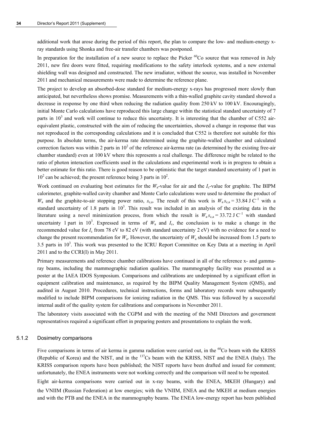additional work that arose during the period of this report, the plan to compare the low- and medium-energy xray standards using Shonka and free-air transfer chambers was postponed.

In preparation for the installation of a new source to replace the Picker <sup>60</sup>Co source that was removed in July 2011, new fire doors were fitted, requiring modifications to the safety interlock systems, and a new external shielding wall was designed and constructed. The new irradiator, without the source, was installed in November 2011 and mechanical measurements were made to determine the reference plane.

The project to develop an absorbed-dose standard for medium-energy x-rays has progressed more slowly than anticipated, but nevertheless shows promise. Measurements with a thin-walled graphite cavity standard showed a decrease in response by one third when reducing the radiation quality from 250 kV to 100 kV. Encouragingly, initial Monte Carlo calculations have reproduced this large change within the statistical standard uncertainty of 7 parts in  $10<sup>3</sup>$  and work will continue to reduce this uncertainty. It is interesting that the chamber of C552 airequivalent plastic, constructed with the aim of reducing the uncertainties, showed a change in response that was not reproduced in the corresponding calculations and it is concluded that C552 is therefore not suitable for this purpose. In absolute terms, the air-kerma rate determined using the graphite-walled chamber and calculated correction factors was within 2 parts in  $10<sup>2</sup>$  of the reference air-kerma rate (as determined by the existing free-air chamber standard) even at 100 kV where this represents a real challenge. The difference might be related to the ratio of photon interaction coefficients used in the calculations and experimental work is in progress to obtain a better estimate for this ratio. There is good reason to be optimistic that the target standard uncertainty of 1 part in  $10<sup>2</sup>$  can be achieved; the present reference being 3 parts in  $10<sup>2</sup>$ .

Work continued on evaluating best estimates for the  $W_a$ -value for air and the  $I_c$ -value for graphite. The BIPM calorimeter, graphite-walled cavity chamber and Monte Carlo calculations were used to determine the product of  $W_a$  and the graphite-to-air stopping power ratio,  $s_{ca}$ . The result of this work is  $W_a s_{ca} = 33.84 \text{ J C}^{-1}$  with a standard uncertainty of 1.8 parts in  $10<sup>3</sup>$ . This result was included in an analysis of the existing data in the literature using a novel minimization process, from which the result is  $W_{a} s_{c,a} = 33.72 \text{ J C}^{-1}$  with standard uncertainty 1 part in 10<sup>3</sup>. Expressed in terms of  $W_a$  and  $I_c$ , the conclusion is to make a change in the recommended value for *I*c from 78 eV to 82 eV (with standard uncertainty 2 eV) with no evidence for a need to change the present recommendation for  $W_a$ . However, the uncertainty of  $W_a$  should be increased from 1.5 parts to 3.5 parts in  $10<sup>3</sup>$ . This work was presented to the ICRU Report Committee on Key Data at a meeting in April 2011 and to the CCRI(I) in May 2011.

Primary measurements and reference chamber calibrations have continued in all of the reference x- and gammaray beams, including the mammographic radiation qualities. The mammography facility was presented as a poster at the IAEA IDOS Symposium. Comparisons and calibrations are underpinned by a significant effort in equipment calibration and maintenance, as required by the BIPM Quality Management System (QMS), and audited in August 2010. Procedures, technical instructions, forms and laboratory records were subsequently modified to include BIPM comparisons for ionizing radiation in the QMS. This was followed by a successful internal audit of the quality system for calibrations and comparisons in November 2011.

The laboratory visits associated with the CGPM and with the meeting of the NMI Directors and government representatives required a significant effort in preparing posters and presentations to explain the work.

#### 5.1.2 Dosimetry comparisons

Five comparisons in terms of air kerma in gamma radiation were carried out, in the <sup>60</sup>Co beam with the KRISS (Republic of Korea) and the NIST, and in the 137Cs beam with the KRISS, NIST and the ENEA (Italy). The KRISS comparison reports have been published; the NIST reports have been drafted and issued for comment; unfortunately, the ENEA instruments were not working correctly and the comparison will need to be repeated.

Eight air-kerma comparisons were carried out in x-ray beams, with the ENEA, MKEH (Hungary) and the VNIIM (Russian Federation) at low energies; with the VNIIM, ENEA and the MKEH at medium energies and with the PTB and the ENEA in the mammography beams. The ENEA low-energy report has been published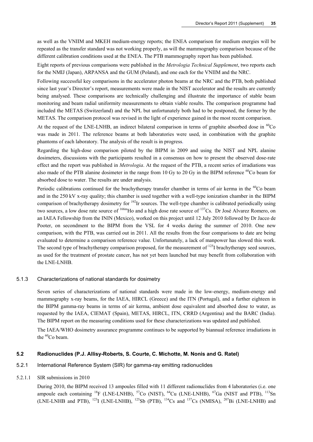as well as the VNIIM and MKEH medium-energy reports; the ENEA comparison for medium energies will be repeated as the transfer standard was not working properly, as will the mammography comparison because of the different calibration conditions used at the ENEA. The PTB mammography report has been published.

Eight reports of previous comparisons were published in the *Metrologia Technical Supplement*, two reports each for the NMIJ (Japan), ARPANSA and the GUM (Poland), and one each for the VNIIM and the NRC.

Following successful key comparisons in the accelerator photon beams at the NRC and the PTB, both published since last year's Director's report, measurements were made in the NIST accelerator and the results are currently being analysed. These comparisons are technically challenging and illustrate the importance of stable beam monitoring and beam radial uniformity measurements to obtain viable results. The comparison programme had included the METAS (Switzerland) and the NPL but unfortunately both had to be postponed, the former by the METAS. The comparison protocol was revised in the light of experience gained in the most recent comparison.

At the request of the LNE-LNHB, an indirect bilateral comparison in terms of graphite absorbed dose in <sup>60</sup>Co was made in 2011. The reference beams at both laboratories were used, in combination with the graphite phantoms of each laboratory. The analysis of the result is in progress.

Regarding the high-dose comparison piloted by the BIPM in 2009 and using the NIST and NPL alanine dosimeters, discussions with the participants resulted in a consensus on how to present the observed dose-rate effect and the report was published in *Metrologia*. At the request of the PTB, a recent series of irradiations was also made of the PTB alanine dosimeter in the range from 10 Gy to 20 Gy in the BIPM reference <sup>60</sup>Co beam for absorbed dose to water. The results are under analysis.

Periodic calibrations continued for the brachytherapy transfer chamber in terms of air kerma in the <sup>60</sup>Co beam and in the 250 kV x-ray quality; this chamber is used together with a well-type ionization chamber in the BIPM comparison of brachytherapy dosimetry for <sup>192</sup>Ir sources. The well-type chamber is calibrated periodically using two sources, a low dose rate source of <sup>166m</sup>Ho and a high dose rate source of <sup>137</sup>Cs. Dr José Alvarez Romero, on an IAEA Fellowship from the ININ (Mexico), worked on this project until 12 July 2010 followed by Dr Jacco de Pooter, on secondment to the BIPM from the VSL for 4 weeks during the summer of 2010. One new comparison, with the PTB, was carried out in 2011. All the results from the four comparisons to date are being evaluated to determine a comparison reference value. Unfortunately, a lack of manpower has slowed this work. The second type of brachytherapy comparison proposed, for the measurement of <sup>125</sup>I brachytherapy seed sources, as used for the treatment of prostate cancer, has not yet been launched but may benefit from collaboration with the LNE-LNHB.

#### 5.1.3 Characterizations of national standards for dosimetry

Seven series of characterizations of national standards were made in the low-energy, medium-energy and mammography x-ray beams, for the IAEA, HIRCL (Greece) and the ITN (Portugal), and a further eighteen in the BIPM gamma-ray beams in terms of air kerma, ambient dose equivalent and absorbed dose to water, as requested by the IAEA, CIEMAT (Spain), METAS, HIRCL, ITN, CRRD (Argentina) and the BARC (India). The BIPM report on the measuring conditions used for these characterizations was updated and published.

The IAEA/WHO dosimetry assurance programme continues to be supported by biannual reference irradiations in the  ${}^{60}Co$  beam.

#### **5.2 Radionuclides (P.J. Allisy-Roberts, S. Courte, C. Michotte, M. Nonis and G. Ratel)**

- 5.2.1 International Reference System (SIR) for gamma-ray emitting radionuclides
- 5.2.1.1 SIR submissions in 2010

During 2010, the BIPM received 13 ampoules filled with 11 different radionuclides from 4 laboratories (i.e. one ampoule each containing  $^{18}F$  (LNE-LNHB),  $^{57}Co$  (NIST),  $^{64}Cu$  (LNE-LNHB),  $^{67}Ga$  (NIST and PTB),  $^{113}Sn$ (LNE-LNHB and PTB),  $^{123}$ I (LNE-LNHB),  $^{125}$ Sb (PTB),  $^{134}$ Cs and  $^{137}$ Cs (NMISA),  $^{207}$ Bi (LNE-LNHB) and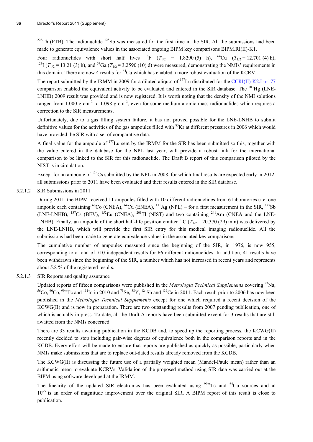$228$ Th (PTB). The radionuclide  $125$ Sb was measured for the first time in the SIR. All the submissions had been made to generate equivalence values in the associated ongoing BIPM key comparisons BIPM.RI(II)-K1.

Four radionuclides with short half lives <sup>18</sup>F ( $T_{1/2}$  = 1.8290 (5) h), <sup>64</sup>Cu ( $T_{1/2}$  = 12.701 (4) h), <sup>123</sup>I ( $T_{1/2}$  = 13.21 (3) h), and <sup>67</sup>Ga ( $T_{1/2}$  = 3.2590 (10) d) were measured, demonstrating the NMIs' req this domain. There are now 4 results for <sup>64</sup>Cu which has enabled a more robust evaluation of the KCRV.

The report submitted by the IRMM in 2009 for a diluted aliquot of <sup>177</sup>Lu distributed for the [CCRI\(II\)-K2.Lu-177](http://kcdb.bipm.org/appendixB/KCDB_ApB_info.asp?cmp_idy=937&cmp_cod=CCRI(II)-K2.Lu-177&prov=exalead) comparison enabled the equivalent activity to be evaluated and entered in the SIR database. The  $^{203}$ Hg (LNE-LNHB) 2009 result was provided and is now registered. It is worth noting that the density of the NMI solutions ranged from 1.000 g cm<sup>-3</sup> to 1.098 g cm<sup>-3</sup>, even for some medium atomic mass radionuclides which requires a correction to the SIR measurements.

Unfortunately, due to a gas filling system failure, it has not proved possible for the LNE-LNHB to submit definitive values for the activities of the gas ampoules filled with <sup>85</sup>Kr at different pressures in 2006 which would have provided the SIR with a set of comparative data.

A final value for the ampoule of 177Lu sent by the IRMM for the SIR has been submitted so this, together with the value entered in the database for the NPL last year, will provide a robust link for the international comparison to be linked to the SIR for this radionuclide. The Draft B report of this comparison piloted by the NIST is in circulation.

Except for an ampoule of <sup>134</sup>Cs submitted by the NPL in 2008, for which final results are expected early in 2012, all submissions prior to 2011 have been evaluated and their results entered in the SIR database.

5.2.1.2 SIR Submissions in 2011

During 2011, the BIPM received 11 ampoules filled with 10 different radionuclides from 6 laboratories (i.e. one ampoule each containing  ${}^{60}Co$  (CNEA),  ${}^{64}Cu$  (ENEA),  ${}^{111}Ag$  (NPL) – for a first measurement in the SIR,  ${}^{125}Sb$ (LNE-LNHB),  $^{137}Cs$  (BEV),  $^{152}Eu$  (CNEA),  $^{201}Tl$  (NIST) and two containing  $^{241}Am$  (CNEA and the LNE-LNHB). Finally, an ampoule of the short half-life positron emitter <sup>11</sup>C ( $T_{1/2}$  = 20.370 (29) min) was delivered by the LNE-LNHB, which will provide the first SIR entry for this medical imaging radionuclide. All the submissions had been made to generate equivalence values in the associated key comparisons.

The cumulative number of ampoules measured since the beginning of the SIR, in 1976, is now 955, corresponding to a total of 710 independent results for 66 different radionuclides. In addition, 41 results have been withdrawn since the beginning of the SIR, a number which has not increased in recent years and represents about 5.8 % of the registered results.

#### 5.2.1.3 SIR Reports and quality assurance

Updated reports of fifteen comparisons were published in the *Metrologia Technical Supplements* covering <sup>22</sup>Na,<br><sup>56</sup>Co, <sup>60</sup>Co, <sup>99m</sup>Tc and <sup>111</sup>In in 2010 and <sup>75</sup>Se, <sup>88</sup>Y, <sup>124</sup>Sb and <sup>139</sup>Ce in 2011. Each result prio published in the *Metrologia Technical Supplements* except for one which required a recent decision of the KCWG(II) and is now in preparation. There are two outstanding results from 2007 pending publication, one of which is actually in press. To date, all the Draft A reports have been submitted except for 3 results that are still awaited from the NMIs concerned.

There are 33 results awaiting publication in the KCDB and, to speed up the reporting process, the KCWG(II) recently decided to stop including pair-wise degrees of equivalence both in the comparison reports and in the KCDB. Every effort will be made to ensure that reports are published as quickly as possible, particularly when NMIs make submissions that are to replace out-dated results already removed from the KCDB.

The KCWG(II) is discussing the future use of a partially weighted mean (Mandel-Paule mean) rather than an arithmetic mean to evaluate KCRVs. Validation of the proposed method using SIR data was carried out at the BIPM using software developed at the IRMM.

The linearity of the updated SIR electronics has been evaluated using  $\frac{99 \text{ m}}{\text{C}}$  and  $\frac{64 \text{ Cu}}{\text{C}}$  sources and at  $10^{-5}$  is an order of magnitude improvement over the original SIR. A BIPM report of this result is close to publication.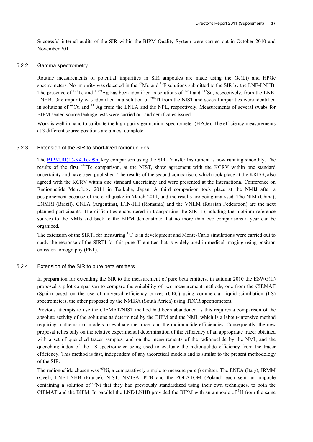Successful internal audits of the SIR within the BIPM Quality System were carried out in October 2010 and November 2011.

#### 5.2.2 Gamma spectrometry

Routine measurements of potential impurities in SIR ampoules are made using the Ge(Li) and HPGe spectrometers. No impurity was detected in the <sup>99</sup>Mo and <sup>18</sup>F solutions submitted to the SIR by the LNE-LNHB. The presence of  $^{121}$ Te and  $^{110m}$ Ag has been identified in solutions of  $^{123}$ I and  $^{113}$ Sn, respectively, from the LNE-LNHB. One impurity was identified in a solution of <sup>201</sup>Tl from the NIST and several impurities were identified in solutions of 64Cu and 111Ag from the ENEA and the NPL, respectively. Measurements of several swabs for BIPM sealed source leakage tests were carried out and certificates issued.

Work is well in hand to calibrate the high-purity germanium spectrometer (HPGe). The efficiency measurements at 3 different source positions are almost complete.

#### 5.2.3 Extension of the SIR to short-lived radionuclides

The **BIPM.RI(II)-K4.Tc-99m** key comparison using the SIR Transfer Instrument is now running smoothly. The results of the first <sup>99m</sup>Tc comparison, at the NIST, show agreement with the KCRV within one standard uncertainty and have been published. The results of the second comparison, which took place at the KRISS, also agreed with the KCRV within one standard uncertainty and were presented at the International Conference on Radionuclide Metrology 2011 in Tsukuba, Japan. A third comparison took place at the NMIJ after a postponement because of the earthquake in March 2011, and the results are being analysed. The NIM (China), LNMRI (Brazil), CNEA (Argentina), IFIN-HH (Romania) and the VNIIM (Russian Federation) are the next planned participants. The difficulties encountered in transporting the SIRTI (including the niobium reference source) to the NMIs and back to the BIPM demonstrate that no more than two comparisons a year can be organized.

The extension of the SIRTI for measuring <sup>18</sup>F is in development and Monte-Carlo simulations were carried out to study the response of the SIRTI for this pure  $\beta^+$  emitter that is widely used in medical imaging using positron emission tomography (PET).

#### 5.2.4 Extension of the SIR to pure beta emitters

In preparation for extending the SIR to the measurement of pure beta emitters, in autumn 2010 the ESWG(II) proposed a pilot comparison to compare the suitability of two measurement methods, one from the CIEMAT (Spain) based on the use of universal efficiency curves (UEC) using commercial liquid-scintillation (LS) spectrometers, the other proposed by the NMISA (South Africa) using TDCR spectrometers.

Previous attempts to use the CIEMAT/NIST method had been abandoned as this requires a comparison of the absolute activity of the solutions as determined by the BIPM and the NMI, which is a labour-intensive method requiring mathematical models to evaluate the tracer and the radionuclide efficiencies. Consequently, the new proposal relies only on the relative experimental determination of the efficiency of an appropriate tracer obtained with a set of quenched tracer samples, and on the measurements of the radionuclide by the NMI, and the quenching index of the LS spectrometer being used to evaluate the radionuclide efficiency from the tracer efficiency. This method is fast, independent of any theoretical models and is similar to the present methodology of the SIR.

The radionuclide chosen was <sup>63</sup>Ni, a comparatively simple to measure pure  $\beta$  emitter. The ENEA (Italy), IRMM (Geel), LNE-LNHB (France), NIST, NMISA, PTB and the POLATOM (Poland) each sent an ampoule containing a solution of  ${}^{63}$ Ni that they had previously standardized using their own techniques, to both the CIEMAT and the BIPM. In parallel the LNE-LNHB provided the BIPM with an ampoule of  $3H$  from the same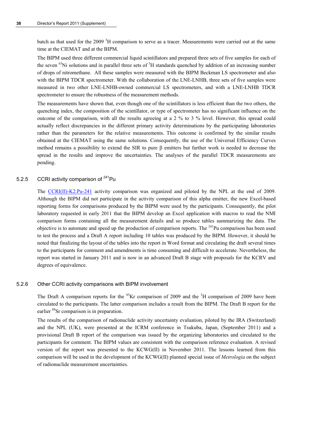batch as that used for the 2009<sup>3</sup>H comparison to serve as a tracer. Measurements were carried out at the same time at the CIEMAT and at the BIPM.

The BIPM used three different commercial liquid scintillators and prepared three sets of five samples for each of the seven  $^{63}$ Ni solutions and in parallel three sets of  $^{3}$ H standards quenched by addition of an increasing number of drops of nitromethane. All these samples were measured with the BIPM Beckman LS spectrometer and also with the BIPM TDCR spectrometer. With the collaboration of the LNE-LNHB, three sets of five samples were measured in two other LNE-LNHB-owned commercial LS spectrometers, and with a LNE-LNHB TDCR spectrometer to ensure the robustness of the measurement methods.

The measurements have shown that, even though one of the scintillators is less efficient than the two others, the quenching index, the composition of the scintillator, or type of spectrometer has no significant influence on the outcome of the comparison, with all the results agreeing at a 2 % to 3 % level. However, this spread could actually reflect discrepancies in the different primary activity determinations by the participating laboratories rather than the parameters for the relative measurements. This outcome is confirmed by the similar results obtained at the CIEMAT using the same solutions. Consequently, the use of the Universal Efficiency Curves method remains a possibility to extend the SIR to pure  $\beta$  emitters but further work is needed to decrease the spread in the results and improve the uncertainties. The analyses of the parallel TDCR measurements are pending.

# 5.2.5 CCRI activity comparison of <sup>241</sup>Pu

The [CCRI\(II\)-K2.Pu-241](http://kcdb.bipm.org/appendixB/KCDB_ApB_info.asp?cmp_idy=994&cmp_cod=CCRI(II)-K2.Pu-241&prov=exalead) activity comparison was organized and piloted by the NPL at the end of 2009. Although the BIPM did not participate in the activity comparison of this alpha emitter, the new Excel-based reporting forms for comparisons produced by the BIPM were used by the participants. Consequently, the pilot laboratory requested in early 2011 that the BIPM develop an Excel application with macros to read the NMI comparison forms containing all the measurement details and so produce tables summarizing the data. The objective is to automate and speed up the production of comparison reports. The  $^{241}$ Pu comparison has been used to test the process and a Draft A report including 10 tables was produced by the BIPM. However, it should be noted that finalizing the layout of the tables into the report in Word format and circulating the draft several times to the participants for comment and amendments is time consuming and difficult to accelerate. Nevertheless, the report was started in January 2011 and is now in an advanced Draft B stage with proposals for the KCRV and degrees of equivalence.

#### 5.2.6 Other CCRI activity comparisons with BIPM involvement

The Draft A comparison reports for the  ${}^{85}$ Kr comparison of 2009 and the  ${}^{3}$ H comparison of 2009 have been circulated to the participants. The latter comparison includes a result from the BIPM. The Draft B report for the earlier <sup>89</sup>Sr comparison is in preparation.

The results of the comparison of radionuclide activity uncertainty evaluation, piloted by the IRA (Switzerland) and the NPL (UK), were presented at the ICRM conference in Tsukuba, Japan, (September 2011) and a provisional Draft B report of the comparison was issued by the organizing laboratories and circulated to the participants for comment. The BIPM values are consistent with the comparison reference evaluation. A revised version of the report was presented to the KCWG(II) in November 2011. The lessons learned from this comparison will be used in the development of the KCWG(II) planned special issue of *Metrologia* on the subject of radionuclide measurement uncertainties.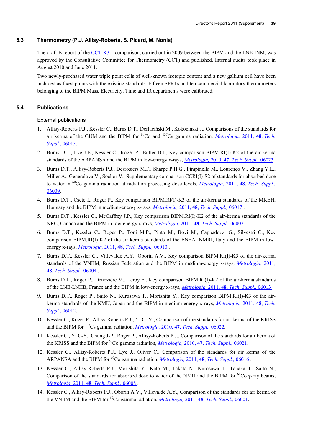# **5.3 Thermometry (P.J. Allisy-Roberts, S. Picard, M. Nonis)**

The draft B report of the [CCT-K3.1](http://kcdb.bipm.org/appendixB/KCDB_ApB_info.asp?cmp_idy=1009&cmp_cod=CCT-K3.1&prov=exalead) comparison, carried out in 2009 between the BIPM and the LNE-INM, was approved by the Consultative Committee for Thermometry (CCT) and published. Internal audits took place in August 2010 and June 2011.

Two newly-purchased water triple point cells of well-known isotopic content and a new gallium cell have been included as fixed points with the existing standards. Fifteen SPRTs and ten commercial laboratory thermometers belonging to the BIPM Mass, Electricity, Time and IR departments were calibrated.

# **5.4 Publications**

#### External publications

- 1. Allisy-Roberts P.J., Kessler C., Burns D.T., Derlaciński M., Kokociński J., Comparisons of the standards for air kerma of the GUM and the BIPM for <sup>60</sup>Co and <sup>137</sup>Cs gamma radiation, *Metrologia*, 2011, **48**, *Tech. [Suppl.,](http://stacks.iop.org/0026-1394/48/06015)* 06015.
- 2. Burns D.T., Lye J.E., Kessler C., Roger P., Butler D.J., Key comparison BIPM.RI(I)-K2 of the air-kerma standards of the ARPANSA and the BIPM in low-energy x-rays, *Metrologia,* 2010, **47**, *[Tech. Suppl.,](http://stacks.iop.org/0026-1394/47/06023)* 06023.
- 3. Burns D.T., Allisy-Roberts P.J., Desrosiers M.F., Sharpe P.H.G., Pimpinella M., Lourenço V., Zhang Y.L., Miller A., Generalova V., Sochor V., Supplementary comparison CCRI(I)-S2 of standards for absorbed dose to water in 60Co gamma radiation at radiation processing dose levels, *Metrologia,* 2011, **48**, *[Tech. Suppl.,](http://stacks.iop.org/0026-1394/48/06009)* [06009.](http://stacks.iop.org/0026-1394/48/06009)
- 4. Burns D.T., Csete I., Roger P., Key comparison BIPM.RI(I)-K3 of the air-kerma standards of the MKEH, Hungary and the BIPM in medium-energy x-rays, *Metrologia,* 2011, **48**, *[Tech. Suppl.,](http://stacks.iop.org/0026-1394/48/06017)* 06017 .
- 5. Burns D.T., Kessler C., McCaffrey J.P., Key comparison BIPM.RI(I)-K2 of the air-kerma standards of the NRC, Canada and the BIPM in low-energy x-rays, *Metrologia,* 2011, **48**, *[Tech. Suppl.,](http://stacks.iop.org/0026-1394/48/06002)* 06002 .
- 6. Burns D.T., Kessler C., Roger P., Toni M.P., Pinto M., Bovi M., Cappadozzi G., Silvestri C., Key comparison BIPM.RI(I)-K2 of the air-kerma standards of the ENEA-INMRI, Italy and the BIPM in lowenergy x-rays, *Metrologia,* 2011, **48**, *[Tech. Suppl.,](http://stacks.iop.org/0026-1394/48/06010)* 06010 .
- 7. Burns D.T., Kessler C., Villevalde A.Y., Oborin A.V., Key comparison BIPM.RI(I)-K3 of the air-kerma standards of the VNIIM, Russian Federation and the BIPM in medium-energy x-rays, *[Metrologia,](http://stacks.iop.org/0026-1394/48/06004)* 2011, **48**, *[Tech. Suppl.,](http://stacks.iop.org/0026-1394/48/06004)* 06004 .
- 8. Burns D.T., Roger P., Denozière M., Leroy E., Key comparison BIPM.RI(I)-K2 of the air-kerma standards of the LNE-LNHB, France and the BIPM in low-energy x-rays, *Metrologia,* 2011, **48**, *[Tech. Suppl.,](http://stacks.iop.org/0026-1394/48/06013)* 06013 .
- 9. Burns D.T., Roger P., Saito N., Kurosawa T., Morishita Y., Key comparison BIPM.RI(I)-K3 of the airkerma standards of the NMIJ, Japan and the BIPM in medium-energy x-rays, *[Metrologia,](http://stacks.iop.org/0026-1394/48/06012)* 2011, **48**, *Tech. [Suppl.,](http://stacks.iop.org/0026-1394/48/06012)* 06012.
- 10. Kessler C., Roger P., Allisy-Roberts P.J., Yi C.-Y., Comparison of the standards for air kerma of the KRISS and the BIPM for 137Cs gamma radiation, *Metrologia,* 2010, **47**, *[Tech. Suppl.,](http://stacks.iop.org/0026-1394/47/06022)* 06022.
- 11. Kessler C., Yi C-Y., Chung J-P., Roger P., Allisy-Roberts P.J., Comparison of the standards for air kerma of the KRISS and the BIPM for 60Co gamma radiation, *Metrologia,* 2010, **47**, *[Tech. Suppl.,](http://stacks.iop.org/0026-1394/47/06021)* 06021.
- 12. Kessler C., Allisy-Roberts P.J., Lye J., Oliver C., Comparison of the standards for air kerma of the ARPANSA and the BIPM for 60Co gamma radiation, *Metrologia,* 2011, **48**, *[Tech. Suppl.,](http://stacks.iop.org/0026-1394/48/06016)* 06016 .
- 13. Kessler C., Allisy-Roberts P.J., Morishita Y., Kato M., Takata N., Kurosawa T., Tanaka T., Saito N., Comparison of the standards for absorbed dose to water of the NMIJ and the BIPM for  ${}^{60}Co$  γ-ray beams, *Metrologia,* 2011, **48**, *[Tech. Suppl.,](http://stacks.iop.org/0026-1394/48/06008)* 06008 .
- 14. Kessler C., Allisy-Roberts P.J., Oborin A.V., Villevalde A.Y., Comparison of the standards for air kerma of the VNIIM and the BIPM for 60Co gamma radiation, *Metrologia,* 2011, **48**, *[Tech. Suppl.,](http://stacks.iop.org/0026-1394/48/06001)* 06001.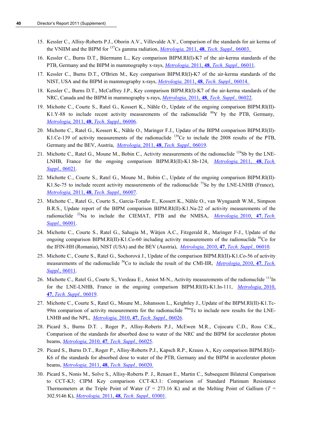- 15. Kessler C., Allisy-Roberts P.J., Oborin A.V., Villevalde A.Y., Comparison of the standards for air kerma of the VNIIM and the BIPM for 137Cs gamma radiation, *Metrologia,* 2011, **48**, *[Tech. Suppl.,](http://stacks.iop.org/0026-1394/48/06003)* 06003.
- 16. Kessler C., Burns D.T., Büermann L., Key comparison BIPM.RI(I)-K7 of the air-kerma standards of the PTB, Germany and the BIPM in mammography x-rays, *Metrologia,* 2011, **48**, *[Tech. Suppl.,](http://stacks.iop.org/0026-1394/48/06011)* 06011.
- 17. Kessler C., Burns D.T., O'Brien M., Key comparison BIPM.RI(I)-K7 of the air-kerma standards of the NIST, USA and the BIPM in mammography x-rays, *Metrologia,* 2011, **48**, *[Tech. Suppl.,](http://stacks.iop.org/0026-1394/48/06014)* 06014.
- 18. Kessler C., Burns D.T., McCaffrey J.P., Key comparison BIPM.RI(I)-K7 of the air-kerma standards of the NRC, Canada and the BIPM in mammography x-rays, *Metrologia,* 2011, **48**, *[Tech. Suppl.,](http://stacks.iop.org/0026-1394/48/06022)* 06022.
- 19. Michotte C., Courte S., Ratel G., Kossert K., Nähle O., Update of the ongoing comparison BIPM.RI(II)- K1.Y-88 to include recent activity measurements of the radionuclide  $88$ Y by the PTB, Germany, *Metrologia,* 2011, **48**, *[Tech. Suppl.,](http://stacks.iop.org/met/48/06006)* 06006.
- 20. Michotte C., Ratel G., Kossert K., Nähle O., Maringer F.J., Update of the BIPM comparison BIPM.RI(II)- K1.Ce-139 of activity measurements of the radionuclide <sup>139</sup>Ce to include the 2008 results of the PTB, Germany and the BEV, Austria, *Metrologia,* 2011, **48**, *[Tech. Suppl.,](http://stacks.iop.org/met/48/06019)* 06019.
- 21. Michotte C., Ratel G., Moune M., Bobin C., Activity measurements of the radionuclide <sup>124</sup>Sb by the LNE-LNHB, France for the ongoing comparison BIPM.RI(II)-K1.Sb-124, *[Metrologia,](http://stacks.iop.org/met/48/06021)* 2011, **48**, *Tech. [Suppl.,](http://stacks.iop.org/met/48/06021)* 06021.
- 22. Michotte C., Courte S., Ratel G., Moune M., Bobin C., Update of the ongoing comparison BIPM.RI(II)- K1.Se-75 to include recent activity measurements of the radionuclide  $^{75}$ Se by the LNE-LNHB (France), *Metrologia,* 2011, **48**, *[Tech. Suppl.,](http://stacks.iop.org/met/48/06007)* 06007.
- 23. Michotte C., Ratel G., Courte S., Garcia-Toraño E., Kossert K., Nähle O., van Wyngaardt W.M., Simpson B.R.S., Update report of the BIPM comparison BIPM.RI(II)-K1.Na-22 of activity measurements of the radionuclide <sup>22</sup>Na to include the CIEMAT, PTB and the NMISA, *Metrologia*, 2010, 47, *Tech. [Suppl.,](http://stacks.iop.org/met/47/06001)* 06001.
- 24. Michotte C., Courte S., Ratel G., Sahagia M., Wätjen A.C., Fitzgerald R., Maringer F-J., Update of the ongoing comparison BIPM.RI(II)-K1.Co-60 including activity measurements of the radionuclide  ${}^{60}$ Co for the IFIN-HH (Romania), NIST (USA) and the BEV (Austria), *Metrologia,* 2010, **47**, *[Tech. Suppl.,](http://stacks.iop.org/met/47/06010)* 06010.
- 25. Michotte C., Courte S., Ratel G., Sochorová J., Update of the comparison BIPM.RI(II)-K1.Co-56 of activity measurements of the radionuclide <sup>56</sup>Co to include the result of the CMI-IIR, *Metrologia*, 2010, 47, *Tech. [Suppl.,](http://stacks.iop.org/met/47/06011)* 06011.
- 26. Michotte C., Ratel G., Courte S., Verdeau E., Amiot M-N., Activity measurements of the radionuclide <sup>111</sup>In for the LNE-LNHB, France in the ongoing comparison BIPM.RI(II)-K1.In-111, *[Metrologia,](http://stacks.iop.org/met/47/06019)* 2010, **47**, *[Tech. Suppl.,](http://stacks.iop.org/met/47/06019)* 06019.
- 27. Michotte C., Courte S., Ratel G., Moune M., Johansson L., Keightley J., Update of the BIPM.RI(II)-K1.Tc-99m comparison of activity measurements for the radionuclide <sup>99m</sup>Tc to include new results for the LNE-LNHB and the NPL, *Metrologia,* 2010, **47**, *[Tech. Suppl.,](http://stacks.iop.org/met/47/06026)* 06026.
- 28. Picard S., Burns D.T. , Roger P., Allisy-Roberts P.J., McEwen M.R., Cojocaru C.D., Ross C.K., Comparison of the standards for absorbed dose to water of the NRC and the BIPM for accelerator photon beams, *Metrologia,* 2010*,* **47***[, Tech. Suppl.,](http://stacks.iop.org/0026-1394/47/06025)* 06025.
- 29. Picard S., Burns D.T., Roger P., Allisy-Roberts P.J., Kapsch R.P., Krauss A., Key comparison BIPM.RI(I)- K6 of the standards for absorbed dose to water of the PTB, Germany and the BIPM in accelerator photon beams, *Metrologia,* 2011, **48**, *[Tech. Suppl.,](http://stacks.iop.org/0026-1394/48/06020)* 06020*.*
- 30. Picard S., Nonis M., Solve S., Allisy-Roberts P. J., Renaot E., Martin C., Subsequent Bilateral Comparison to CCT-K3; CIPM Key comparison CCT-K3.1: Comparison of Standard Platinum Resistance Thermometers at the Triple Point of Water  $(T = 273.16 \text{ K})$  and at the Melting Point of Gallium  $(T =$ 302.9146 K), *Metrologia,* 2011, **48**, *[Tech. Suppl.,](http://stacks.iop.org/0026-1394/48/03001)* 03001.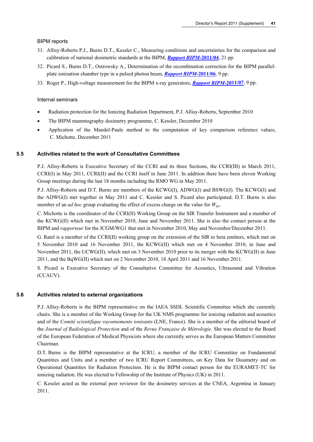#### BIPM reports

- 31. Allisy-Roberts P.J., Burns D.T., Kessler C., Measuring conditions and uncertainties for the comparison and calibration of national dosimetric standards at the BIPM, *[Rapport BIPM-](http://www.bipm.org/utils/common/pdf/rapportBIPM/2011/04.pdf)***2011/04**, 21 pp.
- 32. Picard S., Burns D.T., Ostrowsky A., Determination of the recombination correction for the BIPM parallelplate ionization chamber type in a pulsed photon beam, *[Rapport BIPM-](http://www.bipm.org/utils/common/pdf/rapportBIPM/2011/06.pdf)***2011/06**, 9 pp.
- 33. Roger P., High-voltage measurement for the BIPM x-ray generators, *[Rapport BIPM-](http://www.bipm.org/utils/common/pdf/rapportBIPM/2011/07.pdf)***2011/07**, 9 pp.

#### Internal seminars

- Radiation protection for the Ionizing Radiation Department, P.J. Allisy-Roberts, September 2010
- The BIPM mammography dosimetry programme, C. Kessler, December 2010
- Application of the Mandel-Paule method to the computation of key comparison reference values, C. Michotte, December 2011

#### **5.5 Activities related to the work of Consultative Committees**

P.J. Allisy-Roberts is Executive Secretary of the CCRI and its three Sections, the CCRI(III) in March 2011, CCRI(I) in May 2011, CCRI(II) and the CCRI itself in June 2011. In addition there have been eleven Working Group meetings during the last 18 months including the RMO WG in May 2011.

P.J. Allisy-Roberts and D.T. Burns are members of the KCWG(I), ADWG(I) and BSWG(I). The KCWG(I) and the ADWG(I) met together in May 2011 and C. Kessler and S. Picard also participated. D.T. Burns is also member of an *ad hoc* group evaluating the effect of excess charge on the value for *W*air.

C. Michotte is the coordinator of the CCRI(II) Working Group on the SIR Transfer Instrument and a member of the KCWG(II) which met in November 2010, June and November 2011. She is also the contact person at the BIPM and *rapporteur* for the JCGM/WG1 that met in November 2010, May and November/December 2011.

G. Ratel is a member of the CCRI(II) working group on the extension of the SIR to beta emitters, which met on 5 November 2010 and 16 November 2011, the KCWG(II) which met on 4 November 2010, in June and November 2011, the UCWG(II), which met on 3 November 2010 prior to its merger with the KCWG(II) in June 2011, and the BqWG(II) which met on 2 November 2010, 18 April 2011 and 16 November 2011.

S. Picard is Executive Secretary of the Consultative Committee for Acoustics, Ultrasound and Vibration (CCAUV).

#### **5.6 Activities related to external organizations**

P.J. Allisy-Roberts is the BIPM representative on the IAEA SSDL Scientific Committee which she currently chairs. She is a member of the Working Group for the UK NMS programme for ionizing radiation and acoustics and of the *Comité scientifique rayonnements ionisants* (LNE, France). She is a member of the editorial board of the *Journal of Radiological Protection* and of the *Revue Française de Métrologie*. She was elected to the Board of the European Federation of Medical Physicists where she currently serves as the European Matters Committee Chairman.

D.T. Burns is the BIPM representative at the ICRU, a member of the ICRU Committee on Fundamental Quantities and Units and a member of two ICRU Report Committees, on Key Data for Dosimetry and on Operational Quantities for Radiation Protection. He is the BIPM contact person for the EURAMET-TC for ionizing radiation. He was elected to Fellowship of the Institute of Physics (UK) in 2011.

C. Kessler acted as the external peer reviewer for the dosimetry services at the CNEA, Argentina in January 2011.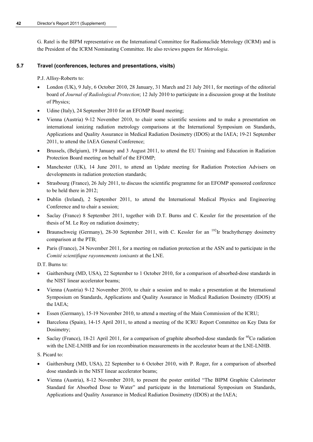G. Ratel is the BIPM representative on the International Committee for Radionuclide Metrology (ICRM) and is the President of the ICRM Nominating Committee. He also reviews papers for *Metrologia*.

# **5.7 Travel (conferences, lectures and presentations, visits)**

P.J. Allisy-Roberts to:

- London (UK), 9 July, 6 October 2010, 28 January, 31 March and 21 July 2011, for meetings of the editorial board of *Journal of Radiological Protection*; 12 July 2010 to participate in a discussion group at the Institute of Physics;
- Udine (Italy), 24 September 2010 for an EFOMP Board meeting;
- Vienna (Austria) 9-12 November 2010, to chair some scientific sessions and to make a presentation on international ionizing radiation metrology comparisons at the International Symposium on Standards, Applications and Quality Assurance in Medical Radiation Dosimetry (IDOS) at the IAEA; 19-21 September 2011, to attend the IAEA General Conference;
- Brussels, (Belgium), 19 January and 3 August 2011, to attend the EU Training and Education in Radiation Protection Board meeting on behalf of the EFOMP;
- Manchester (UK), 14 June 2011, to attend an Update meeting for Radiation Protection Advisers on developments in radiation protection standards;
- Strasbourg (France), 26 July 2011, to discuss the scientific programme for an EFOMP sponsored conference to be held there in 2012;
- Dublin (Ireland), 2 September 2011, to attend the International Medical Physics and Engineering Conference and to chair a session;
- Saclay (France) 8 September 2011, together with D.T. Burns and C. Kessler for the presentation of the thesis of M. Le Roy on radiation dosimetry;
- Braunschweig (Germany), 28-30 September 2011, with C. Kessler for an <sup>192</sup>Ir brachytherapy dosimetry comparison at the PTB;
- Paris (France), 24 November 2011, for a meeting on radiation protection at the ASN and to participate in the *Comité scientifique rayonnements ionisants* at the LNE.

D.T. Burns to:

- Gaithersburg (MD, USA), 22 September to 1 October 2010, for a comparison of absorbed-dose standards in the NIST linear accelerator beams;
- Vienna (Austria) 9-12 November 2010, to chair a session and to make a presentation at the International Symposium on Standards, Applications and Quality Assurance in Medical Radiation Dosimetry (IDOS) at the IAEA;
- Essen (Germany), 15-19 November 2010, to attend a meeting of the Main Commission of the ICRU;
- Barcelona (Spain), 14-15 April 2011, to attend a meeting of the ICRU Report Committee on Key Data for Dosimetry;
- Saclay (France), 18-21 April 2011, for a comparison of graphite absorbed-dose standards for  ${}^{60}$ Co radiation with the LNE-LNHB and for ion recombination measurements in the accelerator beam at the LNE-LNHB.

S. Picard to:

- Gaithersburg (MD, USA), 22 September to 6 October 2010, with P. Roger, for a comparison of absorbed dose standards in the NIST linear accelerator beams;
- Vienna (Austria), 8-12 November 2010, to present the poster entitled "The BIPM Graphite Calorimeter Standard for Absorbed Dose to Water" and participate in the International Symposium on Standards, Applications and Quality Assurance in Medical Radiation Dosimetry (IDOS) at the IAEA;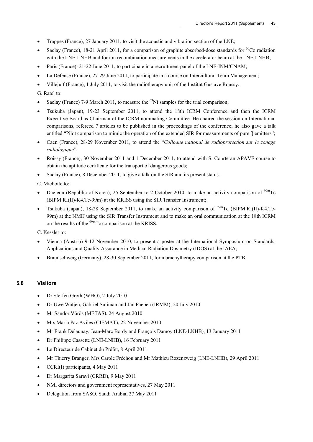- Trappes (France), 27 January 2011, to visit the acoustic and vibration section of the LNE;
- Saclay (France), 18-21 April 2011, for a comparison of graphite absorbed-dose standards for  ${}^{60}$ Co radiation with the LNE-LNHB and for ion recombination measurements in the accelerator beam at the LNE-LNHB;
- Paris (France), 21-22 June 2011, to participate in a recruitment panel of the LNE-INM/CNAM;
- La Defense (France), 27-29 June 2011, to participate in a course on Intercultural Team Management;
- Villejuif (France), 1 July 2011, to visit the radiotherapy unit of the Institut Gustave Roussy.

# G. Ratel to:

- Saclay (France) 7-9 March 2011, to measure the  $^{63}$ Ni samples for the trial comparison;
- Tsukuba (Japan), 19-23 September 2011, to attend the 18th ICRM Conference and then the ICRM Executive Board as Chairman of the ICRM nominating Committee. He chaired the session on International comparisons, refereed 7 articles to be published in the proceedings of the conference; he also gave a talk entitled "Pilot comparison to mimic the operation of the extended SIR for measurements of pure β emitters";
- Caen (France), 28-29 November 2011, to attend the "*Colloque national de radioprotection sur le zonage radiologique*";
- Roissy (France), 30 November 2011 and 1 December 2011, to attend with S. Courte an APAVE course to obtain the aptitude certificate for the transport of dangerous goods;
- Saclay (France), 8 December 2011, to give a talk on the SIR and its present status.
- C. Michotte to:
- Daejeon (Republic of Korea), 25 September to 2 October 2010, to make an activity comparison of  $^{99m}$ Tc (BIPM.RI(II)-K4.Tc-99m) at the KRISS using the SIR Transfer Instrument;
- Tsukuba (Japan), 18-28 September 2011, to make an activity comparison of <sup>99m</sup>Tc (BIPM.RI(II)-K4.Tc-99m) at the NMIJ using the SIR Transfer Instrument and to make an oral communication at the 18th ICRM on the results of the <sup>99m</sup>Tc comparison at the KRISS.

C. Kessler to:

- Vienna (Austria) 9-12 November 2010, to present a poster at the International Symposium on Standards, Applications and Quality Assurance in Medical Radiation Dosimetry (IDOS) at the IAEA;
- Braunschweig (Germany), 28-30 September 2011, for a brachytherapy comparison at the PTB.

# **5.8 Visitors**

- Dr Steffen Groth (WHO), 2 July 2010
- Dr Uwe Wätjen, Gabriel Suliman and Jan Paepen (IRMM), 20 July 2010
- Mr Sandor Vörös (METAS), 24 August 2010
- Mrs Maria Paz Aviles (CIEMAT), 22 November 2010
- Mr Frank Delaunay, Jean-Marc Bordy and François Damoy (LNE-LNHB), 13 January 2011
- Dr Philippe Cassette (LNE-LNHB), 16 February 2011
- Le Directeur de Cabinet du Préfet, 8 April 2011
- Mr Thierry Branger, Mrs Carole Fréchou and Mr Mathieu Rozenzweig (LNE-LNHB), 29 April 2011
- CCRI(I) participants, 4 May 2011
- Dr Margarita Saravi (CRRD), 9 May 2011
- NMI directors and government representatives, 27 May 2011
- Delegation from SASO, Saudi Arabia, 27 May 2011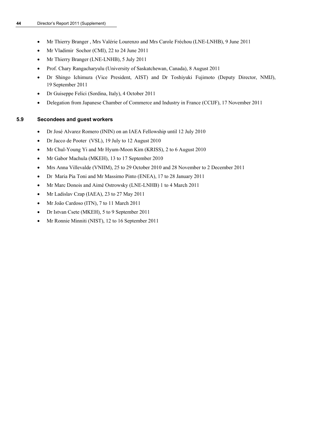- Mr Thierry Branger , Mrs Valérie Lourenzo and Mrs Carole Fréchou (LNE-LNHB), 9 June 2011
- Mr Vladimir Sochor (CMI), 22 to 24 June 2011
- Mr Thierry Branger (LNE-LNHB), 5 July 2011
- Prof. Chary Rangacharyulu (University of Saskatchewan, Canada), 8 August 2011
- Dr Shingo Ichimura (Vice President, AIST) and Dr Toshiyuki Fujimoto (Deputy Director, NMIJ), 19 September 2011
- Dr Guiseppe Felici (Sordina, Italy), 4 October 2011
- Delegation from Japanese Chamber of Commerce and Industry in France (CCIJF), 17 November 2011

# **5.9 Secondees and guest workers**

- Dr José Alvarez Romero (ININ) on an IAEA Fellowship until 12 July 2010
- Dr Jacco de Pooter (VSL), 19 July to 12 August 2010
- Mr Chul-Young Yi and Mr Hyum-Moon Kim (KRISS), 2 to 6 August 2010
- Mr Gabor Machula (MKEH), 13 to 17 September 2010
- Mrs Anna Villevalde (VNIIM), 25 to 29 October 2010 and 28 November to 2 December 2011
- Dr Maria Pia Toni and Mr Massimo Pinto (ENEA), 17 to 28 January 2011
- Mr Marc Donois and Aimé Ostrowsky (LNE-LNHB) 1 to 4 March 2011
- Mr Ladislav Czap (IAEA), 23 to 27 May 2011
- Mr João Cardoso (ITN), 7 to 11 March 2011
- Dr Istvan Csete (MKEH), 5 to 9 September 2011
- Mr Ronnie Minniti (NIST), 12 to 16 September 2011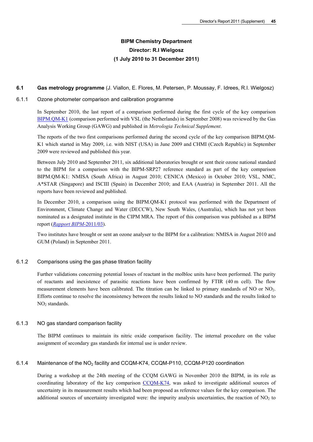# **BIPM Chemistry Department Director: R.I Wielgosz (1 July 2010 to 31 December 2011)**

#### **6.1 Gas metrology programme** (J. Viallon, E. Flores, M. Petersen, P. Moussay, F. Idrees, R.I. Wielgosz)

#### 6.1.1 Ozone photometer comparison and calibration programme

In September 2010, the last report of a comparison performed during the first cycle of the key comparison [BIPM.QM-K1](http://kcdb.bipm.org/appendixB/KCDB_ApB_info.asp?cmp_idy=733&cmp_cod=BIPM.QM-K1&prov=exalead) (comparison performed with VSL (the Netherlands) in September 2008) was reviewed by the Gas Analysis Working Group (GAWG) and published in *Metrologia Technical Supplement*.

The reports of the two first comparisons performed during the second cycle of the key comparison BIPM.QM-K1 which started in May 2009, i.e. with NIST (USA) in June 2009 and CHMI (Czech Republic) in September 2009 were reviewed and published this year.

Between July 2010 and September 2011, six additional laboratories brought or sent their ozone national standard to the BIPM for a comparison with the BIPM-SRP27 reference standard as part of the key comparison BIPM.QM-K1: NMISA (South Africa) in August 2010; CENICA (Mexico) in October 2010; VSL, NMC, A\*STAR (Singapore) and ISCIII (Spain) in December 2010; and EAA (Austria) in September 2011. All the reports have been reviewed and published.

In December 2010, a comparison using the BIPM.QM-K1 protocol was performed with the Department of Environment, Climate Change and Water (DECCW), New South Wales, (Australia), which has not yet been nominated as a designated institute in the CIPM MRA. The report of this comparison was published as a BIPM report (*[Rapport BIPM](http://search3.bipm.org/utils/common/pdf/rapportBIPM/2011/03.pdf)*-2011/03).

Two institutes have brought or sent an ozone analyser to the BIPM for a calibration: NMISA in August 2010 and GUM (Poland) in September 2011.

# 6.1.2 Comparisons using the gas phase titration facility

Further validations concerning potential losses of reactant in the molbloc units have been performed. The purity of reactants and inexistence of parasitic reactions have been confirmed by FTIR (40 m cell). The flow measurement elements have been calibrated. The titration can be linked to primary standards of NO or NO<sub>2</sub>. Efforts continue to resolve the inconsistency between the results linked to NO standards and the results linked to NO<sub>2</sub> standards.

# 6.1.3 NO gas standard comparison facility

The BIPM continues to maintain its nitric oxide comparison facility. The internal procedure on the value assignment of secondary gas standards for internal use is under review.

# 6.1.4 Maintenance of the NO2 facility and CCQM-K74, CCQM-P110, CCQM-P120 coordination

During a workshop at the 24th meeting of the CCQM GAWG in November 2010 the BIPM, in its role as coordinating laboratory of the key comparison [CCQM-K74,](http://kcdb.bipm.org/appendixB/KCDB_ApB_info.asp?cmp_idy=968&cmp_cod=CCQM-K74&prov=exalead) was asked to investigate additional sources of uncertainty in its measurement results which had been proposed as reference values for the key comparison. The additional sources of uncertainty investigated were: the impurity analysis uncertainties, the reaction of  $NO<sub>2</sub>$  to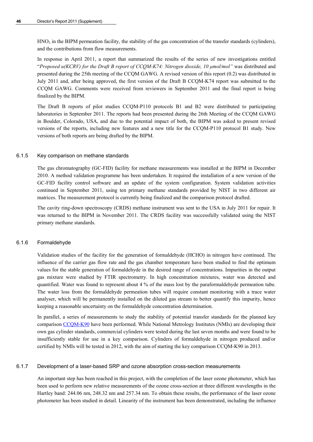$HNO<sub>3</sub>$  in the BIPM permeation facility, the stability of the gas concentration of the transfer standards (cylinders), and the contributions from flow measurements.

In response in April 2011, a report that summarized the results of the series of new investigations entitled "Proposed u(KCRV) for the Draft B report of CCQM-K74: Nitrogen dioxide, 10  $\mu$ mol/mol" was distributed and presented during the 25th meeting of the CCQM GAWG. A revised version of this report (0.2) was distributed in July 2011 and, after being approved, the first version of the Draft B CCQM-K74 report was submitted to the CCQM GAWG. Comments were received from reviewers in September 2011 and the final report is being finalized by the BIPM.

The Draft B reports of pilot studies CCQM-P110 protocols B1 and B2 were distributed to participating laboratories in September 2011. The reports had been presented during the 26th Meeting of the CCQM GAWG in Boulder, Colorado, USA, and due to the potential impact of both, the BIPM was asked to present revised versions of the reports, including new features and a new title for the CCQM-P110 protocol B1 study. New versions of both reports are being drafted by the BIPM.

#### 6.1.5 Key comparison on methane standards

The gas chromatography (GC-FID) facility for methane measurements was installed at the BIPM in December 2010. A method validation programme has been undertaken. It required the installation of a new version of the GC-FID facility control software and an update of the system configuration. System validation activities continued in September 2011, using ten primary methane standards provided by NIST in two different air matrices. The measurement protocol is currently being finalized and the comparison protocol drafted.

The cavity ring-down spectroscopy (CRDS) methane instrument was sent to the USA in July 2011 for repair. It was returned to the BIPM in November 2011. The CRDS facility was successfully validated using the NIST primary methane standards.

# 6.1.6 Formaldehyde

Validation studies of the facility for the generation of formaldehyde (HCHO) in nitrogen have continued. The influence of the carrier gas flow rate and the gas chamber temperature have been studied to find the optimum values for the stable generation of formaldehyde in the desired range of concentrations. Impurities in the output gas mixture were studied by FTIR spectrometry. In high concentration mixtures, water was detected and quantified. Water was found to represent about 4 % of the mass lost by the paraformaldehyde permeation tube. The water loss from the formaldehyde permeation tubes will require constant monitoring with a trace water analyser, which will be permanently installed on the diluted gas stream to better quantify this impurity, hence keeping a reasonable uncertainty on the formaldehyde concentration determination.

In parallel, a series of measurements to study the stability of potential transfer standards for the planned key comparison [CCQM-K90](http://kcdb.bipm.org/appendixB/KCDB_ApB_info.asp?cmp_idy=1095&cmp_cod=CCQM-K90&prov=exalead) have been performed. While National Metrology Institutes (NMIs) are developing their own gas cylinder standards, commercial cylinders were tested during the last seven months and were found to be insufficiently stable for use in a key comparison. Cylinders of formaldehyde in nitrogen produced and/or certified by NMIs will be tested in 2012, with the aim of starting the key comparison CCQM-K90 in 2013.

# 6.1.7 Development of a laser-based SRP and ozone absorption cross-section measurements

An important step has been reached in this project, with the completion of the laser ozone photometer, which has been used to perform new relative measurements of the ozone cross-section at three different wavelengths in the Hartley band: 244.06 nm, 248.32 nm and 257.34 nm. To obtain these results, the performance of the laser ozone photometer has been studied in detail. Linearity of the instrument has been demonstrated, including the influence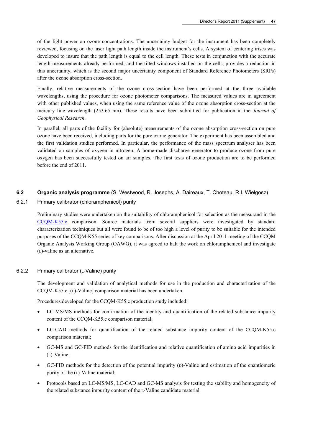of the light power on ozone concentrations. The uncertainty budget for the instrument has been completely reviewed, focusing on the laser light path length inside the instrument's cells. A system of centering irises was developed to insure that the path length is equal to the cell length. These tests in conjunction with the accurate length measurements already performed, and the tilted windows installed on the cells, provides a reduction in this uncertainty, which is the second major uncertainty component of Standard Reference Photometers (SRPs) after the ozone absorption cross-section.

Finally, relative measurements of the ozone cross-section have been performed at the three available wavelengths, using the procedure for ozone photometer comparisons. The measured values are in agreement with other published values, when using the same reference value of the ozone absorption cross-section at the mercury line wavelength (253.65 nm). These results have been submitted for publication in the *Journal of Geophysical Research*.

In parallel, all parts of the facility for (absolute) measurements of the ozone absorption cross-section on pure ozone have been received, including parts for the pure ozone generator. The experiment has been assembled and the first validation studies performed. In particular, the performance of the mass spectrum analyser has been validated on samples of oxygen in nitrogen. A home-made discharge generator to produce ozone from pure oxygen has been successfully tested on air samples. The first tests of ozone production are to be performed before the end of 2011.

# **6.2 Organic analysis programme** (S. Westwood, R. Josephs, A. Daireaux, T. Choteau, R.I. Wielgosz)

6.2.1 Primary calibrator (chloramphenicol) purity

Preliminary studies were undertaken on the suitability of chloramphenicol for selection as the measurand in the [CCQM-K55.c](http://kcdb.bipm.org/appendixB/KCDB_ApB_info.asp?cmp_idy=1072&cmp_cod=CCQM-K55.c&prov=exalead) comparison. Source materials from several suppliers were investigated by standard characterization techniques but all were found to be of too high a level of purity to be suitable for the intended purposes of the CCQM-K55 series of key comparisons. After discussion at the April 2011 meeting of the CCQM Organic Analysis Working Group (OAWG), it was agreed to halt the work on chloramphenicol and investigate (L)-valine as an alternative.

# 6.2.2 Primary calibrator (L-Valine) purity

The development and validation of analytical methods for use in the production and characterization of the CCQM-K55.c [(L)-Valine] comparison material has been undertaken.

Procedures developed for the CCQM-K55.c production study included:

- LC-MS/MS methods for confirmation of the identity and quantification of the related substance impurity content of the CCQM-K55.c comparison material;
- LC-CAD methods for quantification of the related substance impurity content of the CCQM-K55.c comparison material;
- GC-MS and GC-FID methods for the identification and relative quantification of amino acid impurities in (L)-Valine;
- GC-FID methods for the detection of the potential impurity (D)-Valine and estimation of the enantiomeric purity of the (L)-Valine material;
- Protocols based on LC-MS/MS, LC-CAD and GC-MS analysis for testing the stability and homogeneity of the related substance impurity content of the L-Valine candidate material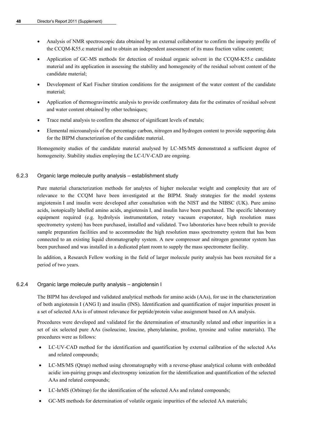- Analysis of NMR spectroscopic data obtained by an external collaborator to confirm the impurity profile of the CCQM-K55.c material and to obtain an independent assessment of its mass fraction valine content;
- Application of GC-MS methods for detection of residual organic solvent in the CCQM-K55.c candidate material and its application in assessing the stability and homogeneity of the residual solvent content of the candidate material;
- Development of Karl Fischer titration conditions for the assignment of the water content of the candidate material;
- Application of thermogravimetric analysis to provide confirmatory data for the estimates of residual solvent and water content obtained by other techniques;
- Trace metal analysis to confirm the absence of significant levels of metals;
- Elemental microanalysis of the percentage carbon, nitrogen and hydrogen content to provide supporting data for the BIPM characterization of the candidate material.

Homogeneity studies of the candidate material analysed by LC-MS/MS demonstrated a sufficient degree of homogeneity. Stability studies employing the LC-UV-CAD are ongoing.

# 6.2.3 Organic large molecule purity analysis – establishment study

Pure material characterization methods for analytes of higher molecular weight and complexity that are of relevance to the CCQM have been investigated at the BIPM. Study strategies for the model systems angiotensin I and insulin were developed after consultation with the NIST and the NIBSC (UK). Pure amino acids, isotopically labelled amino acids, angiotensin I, and insulin have been purchased. The specific laboratory equipment required (e.g. hydrolysis instrumentation, rotary vacuum evaporator, high resolution mass spectrometry system) has been purchased, installed and validated. Two laboratories have been rebuilt to provide sample preparation facilities and to accommodate the high resolution mass spectrometry system that has been connected to an existing liquid chromatography system. A new compressor and nitrogen generator system has been purchased and was installed in a dedicated plant room to supply the mass spectrometer facility.

In addition, a Research Fellow working in the field of larger molecule purity analysis has been recruited for a period of two years.

# 6.2.4 Organic large molecule purity analysis – angiotensin I

The BIPM has developed and validated analytical methods for amino acids (AAs), for use in the characterization of both angiotensin I (ANG I) and insulin (INS). Identification and quantification of major impurities present in a set of selected AAs is of utmost relevance for peptide/protein value assignment based on AA analysis.

Procedures were developed and validated for the determination of structurally related and other impurities in a set of six selected pure AAs (isoleucine, leucine, phenylalanine, proline, tyrosine and valine materials). The procedures were as follows:

- LC-UV-CAD method for the identification and quantification by external calibration of the selected AAs and related compounds;
- LC-MS/MS (Qtrap) method using chromatography with a reverse-phase analytical column with embedded acidic ion-pairing groups and electrospray ionization for the identification and quantification of the selected AAs and related compounds;
- LC-hrMS (Orbitrap) for the identification of the selected AAs and related compounds;
- GC-MS methods for determination of volatile organic impurities of the selected AA materials;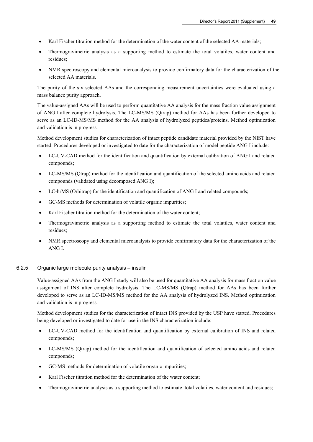- Karl Fischer titration method for the determination of the water content of the selected AA materials;
- Thermogravimetric analysis as a supporting method to estimate the total volatiles, water content and residues;
- NMR spectroscopy and elemental microanalysis to provide confirmatory data for the characterization of the selected AA materials.

The purity of the six selected AAs and the corresponding measurement uncertainties were evaluated using a mass balance purity approach.

The value-assigned AAs will be used to perform quantitative AA analysis for the mass fraction value assignment of ANG I after complete hydrolysis. The LC-MS/MS (Qtrap) method for AAs has been further developed to serve as an LC-ID-MS/MS method for the AA analysis of hydrolyzed peptides/proteins. Method optimization and validation is in progress.

Method development studies for characterization of intact peptide candidate material provided by the NIST have started. Procedures developed or investigated to date for the characterization of model peptide ANG I include:

- LC-UV-CAD method for the identification and quantification by external calibration of ANG I and related compounds;
- LC-MS/MS (Qtrap) method for the identification and quantification of the selected amino acids and related compounds (validated using decomposed ANG I);
- LC-hrMS (Orbitrap) for the identification and quantification of ANG I and related compounds;
- GC-MS methods for determination of volatile organic impurities;
- Karl Fischer titration method for the determination of the water content;
- Thermogravimetric analysis as a supporting method to estimate the total volatiles, water content and residues;
- NMR spectroscopy and elemental microanalysis to provide confirmatory data for the characterization of the ANG I.

#### 6.2.5 Organic large molecule purity analysis – insulin

Value-assigned AAs from the ANG I study will also be used for quantitative AA analysis for mass fraction value assignment of INS after complete hydrolysis. The LC-MS/MS (Qtrap) method for AAs has been further developed to serve as an LC-ID-MS/MS method for the AA analysis of hydrolyzed INS. Method optimization and validation is in progress.

Method development studies for the characterization of intact INS provided by the USP have started. Procedures being developed or investigated to date for use in the INS characterization include:

- LC-UV-CAD method for the identification and quantification by external calibration of INS and related compounds;
- LC-MS/MS (Qtrap) method for the identification and quantification of selected amino acids and related compounds;
- GC-MS methods for determination of volatile organic impurities;
- Karl Fischer titration method for the determination of the water content:
- Thermogravimetric analysis as a supporting method to estimate total volatiles, water content and residues;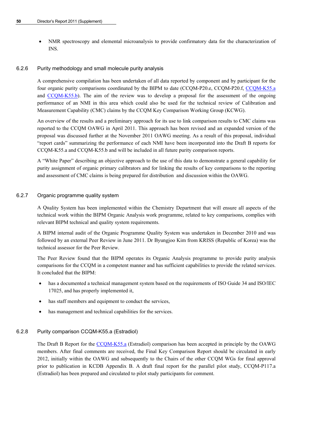NMR spectroscopy and elemental microanalysis to provide confirmatory data for the characterization of INS.

# 6.2.6 Purity methodology and small molecule purity analysis

A comprehensive compilation has been undertaken of all data reported by component and by participant for the four organic purity comparisons coordinated by the BIPM to date (CCQM-P20.e, CCQM-P20.f, [CCQM-K55.a](http://kcdb.bipm.org/appendixB/KCDB_ApB_info.asp?cmp_idy=823&cmp_cod=CCQM-K55.a&prov=exalead) and [CCQM-K55.b\)](http://kcdb.bipm.org/appendixB/KCDB_ApB_info.asp?cmp_idy=1071&cmp_cod=CCQM-K55.b&prov=exalead). The aim of the review was to develop a proposal for the assessment of the ongoing performance of an NMI in this area which could also be used for the technical review of Calibration and Measurement Capability (CMC) claims by the CCQM Key Comparison Working Group (KCWG).

An overview of the results and a preliminary approach for its use to link comparison results to CMC claims was reported to the CCQM OAWG in April 2011. This approach has been revised and an expanded version of the proposal was discussed further at the November 2011 OAWG meeting. As a result of this proposal, individual "report cards" summarizing the performance of each NMI have been incorporated into the Draft B reports for CCQM-K55.a and CCQM-K55.b and will be included in all future purity comparison reports.

A "White Paper" describing an objective approach to the use of this data to demonstrate a general capability for purity assignment of organic primary calibrators and for linking the results of key comparisons to the reporting and assessment of CMC claims is being prepared for distribution and discussion within the OAWG.

# 6.2.7 Organic programme quality system

A Quality System has been implemented within the Chemistry Department that will ensure all aspects of the technical work within the BIPM Organic Analysis work programme, related to key comparisons, complies with relevant BIPM technical and quality system requirements.

A BIPM internal audit of the Organic Programme Quality System was undertaken in December 2010 and was followed by an external Peer Review in June 2011. Dr Byungjoo Kim from KRISS (Republic of Korea) was the technical assessor for the Peer Review.

The Peer Review found that the BIPM operates its Organic Analysis programme to provide purity analysis comparisons for the CCQM in a competent manner and has sufficient capabilities to provide the related services. It concluded that the BIPM:

- has a documented a technical management system based on the requirements of ISO Guide 34 and ISO/IEC 17025, and has properly implemented it,
- has staff members and equipment to conduct the services,
- has management and technical capabilities for the services.

# 6.2.8 Purity comparison CCQM-K55.a (Estradiol)

The Draft B Report for the [CCQM-K55.a](http://kcdb.bipm.org/appendixB/KCDB_ApB_info.asp?cmp_idy=823&cmp_cod=CCQM-K55.a&prov=exalead) (Estradiol) comparison has been accepted in principle by the OAWG members. After final comments are received, the Final Key Comparison Report should be circulated in early 2012, initially within the OAWG and subsequently to the Chairs of the other CCQM WGs for final approval prior to publication in KCDB Appendix B. A draft final report for the parallel pilot study, CCQM-P117.a (Estradiol) has been prepared and circulated to pilot study participants for comment.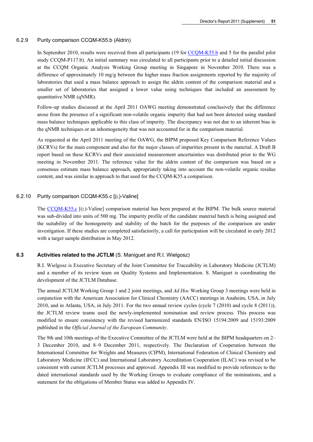#### 6.2.9 Purity comparison CCQM-K55.b (Aldrin)

In September 2010, results were received from all participants (19 for [CCQM-K55.b](http://kcdb.bipm.org/appendixB/KCDB_ApB_info.asp?cmp_idy=1071&cmp_cod=CCQM-K55.b&prov=exalead) and 5 for the parallel pilot study CCQM-P117.b). An initial summary was circulated to all participants prior to a detailed initial discussion at the CCQM Organic Analysis Working Group meeting in Singapore in November 2010. There was a difference of approximately 10 mg/g between the higher mass fraction assignments reported by the majority of laboratories that used a mass balance approach to assign the aldrin content of the comparison material and a smaller set of laboratories that assigned a lower value using techniques that included an assessment by quantitative NMR (qNMR).

Follow-up studies discussed at the April 2011 OAWG meeting demonstrated conclusively that the difference arose from the presence of a significant non-volatile organic impurity that had not been detected using standard mass balance techniques applicable to this class of impurity. The discrepancy was not due to an inherent bias in the qNMR techniques or an inhomogeneity that was not accounted for in the comparison material.

As requested at the April 2011 meeting of the OAWG, the BIPM proposed Key Comparison Reference Values (KCRVs) for the main component and also for the major classes of impurities present in the material. A Draft B report based on these KCRVs and their associated measurement uncertainties was distributed prior to the WG meeting in November 2011. The reference value for the aldrin content of the comparison was based on a consensus estimate mass balance approach, appropriately taking into account the non-volatile organic residue content, and was similar in approach to that used for the CCQM-K55.a comparison.

# 6.2.10 Purity comparison CCQM-K55.c [(L)-Valine]

The [CCQM-K55.c](http://kcdb.bipm.org/appendixB/KCDB_ApB_info.asp?cmp_idy=1072&cmp_cod=CCQM-K55.c&prov=exalead) [(L)-Valine] comparison material has been prepared at the BIPM. The bulk source material was sub-divided into units of 500 mg. The impurity profile of the candidate material batch is being assigned and the suitability of the homogeneity and stability of the batch for the purposes of the comparison are under investigation. If these studies are completed satisfactorily, a call for participation will be circulated in early 2012 with a target sample distribution in May 2012.

# **6.3 Activities related to the JCTLM** (S. Maniguet and R.I. Wielgosz)

R.I. Wielgosz is Executive Secretary of the Joint Committee for Traceability in Laboratory Medicine (JCTLM) and a member of its review team on Quality Systems and Implementation. S. Maniguet is coordinating the development of the JCTLM Database.

The annual JCTLM Working Group 1 and 2 joint meetings, and *Ad Hoc* Working Group 3 meetings were held in conjunction with the [American Association for Clinical Chemistry](http://www.aacc.org/) (AACC) meetings in Anaheim, USA, in July 2010, and in Atlanta, USA, in July 2011. For the two annual review cycles (cycle 7 (2010) and cycle 8 (2011)), the JCTLM review teams used the newly-implemented nomination and review process. This process was modified to ensure consistency with the revised harmonized standards EN/ISO 15194:2009 and 15193:2009 published in the *Official Journal of the European Community*.

The 9th and 10th meetings of the Executive Committee of the JCTLM were held at the BIPM headquarters on 2– 3 December 2010, and 8–9 December 2011, respectively. The Declaration of Cooperation between the International Committee for Weights and Measures (CIPM), International Federation of Clinical Chemistry and Laboratory Medicine (IFCC) and International Laboratory Accreditation Cooperation (ILAC) was revised to be consistent with current JCTLM processes and approved. Appendix III was modified to provide references to the dated international standards used by the Working Groups to evaluate compliance of the nominations, and a statement for the obligations of Member Status was added to Appendix IV.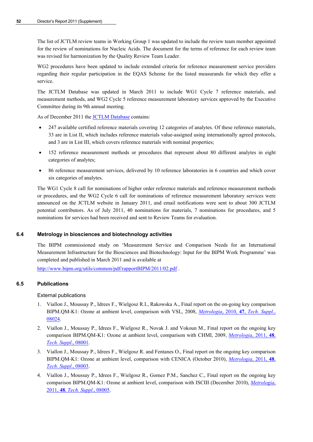The list of JCTLM review teams in Working Group 1 was updated to include the review team member appointed for the review of nominations for Nucleic Acids. The document for the terms of reference for each review team was revised for harmonization by the Quality Review Team Leader.

WG2 procedures have been updated to include extended criteria for reference measurement service providers regarding their regular participation in the EQAS Scheme for the listed measurands for which they offer a service.

The JCTLM Database was updated in March 2011 to include WG1 Cycle 7 reference materials, and measurement methods, and WG2 Cycle 5 reference measurement laboratory services approved by the Executive Committee during its 9th annual meeting.

As of December 2011 the **JCTLM Database** contains:

- 247 available certified reference materials covering 12 categories of analytes. Of these reference materials, 33 are in List II, which includes reference materials value-assigned using internationally agreed protocols, and 3 are in List III, which covers reference materials with nominal properties;
- 152 reference measurement methods or procedures that represent about 80 different analytes in eight categories of analytes;
- 86 reference measurement services, delivered by 10 reference laboratories in 6 countries and which cover six categories of analytes.

The WG1 Cycle 8 call for nominations of higher order reference materials and reference measurement methods or procedures, and the WG2 Cycle 6 call for nominations of reference measurement laboratory services were announced on the JCTLM website in January 2011, and email notifications were sent to about 300 JCTLM potential contributors. As of July 2011, 40 nominations for materials, 7 nominations for procedures, and 5 nominations for services had been received and sent to Review Teams for evaluation.

# **6.4 Metrology in biosciences and biotechnology activities**

The BIPM commissioned study on 'Measurement Service and Comparison Needs for an International Measurement Infrastructure for the Biosciences and Biotechnology: Input for the BIPM Work Programme' was completed and published in March 2011 and is available at

<http://www.bipm.org/utils/common/pdf/rapportBIPM/2011/02.pdf>.

# **6.5 Publications**

External publications

- 1. Viallon J., Moussay P., Idrees F., Wielgosz R.I., Rakowska A., Final report on the on-going key comparison BIPM.QM-K1: Ozone at ambient level, comparison with VSL, 2008, *Metrologia*, 2010, **47**, *[Tech. Suppl](http://stacks.iop.org/0026-1394/47/08024)*., [08024.](http://stacks.iop.org/0026-1394/47/08024)
- 2. Viallon J., Moussay P., Idrees F., Wielgosz R., Novak J. and Vokoun M., Final report on the ongoing key comparison BIPM.QM-K1: Ozone at ambient level, comparison with CHMI, 2009, *[Metrologia](http://stacks.iop.org/0026-1394/48/08001)*, 2011, **48**, *[Tech. Suppl](http://stacks.iop.org/0026-1394/48/08001)*., 08001.
- 3. Viallon J., Moussay P., Idrees F., Wielgosz R. and Fentanes O., Final report on the ongoing key comparison BIPM.QM-K1: Ozone at ambient level, comparison with CENICA (October 2010), *[Metrologia](http://stacks.iop.org/0026-1394/48/08003)*, 2011, **48**, *[Tech. Suppl](http://stacks.iop.org/0026-1394/48/08003)*., 08003.
- 4. Viallon J., Moussay P., Idrees F., Wielgosz R., Gomez P.M., Sanchez C., Final report on the ongoing key comparison BIPM.QM-K1: Ozone at ambient level, comparison with ISCIII (December 2010), *[Metrologia](http://stacks.iop.org/0026-1394/48/08005)*, 2011, **48**, *[Tech. Suppl](http://stacks.iop.org/0026-1394/48/08005)*., 08005.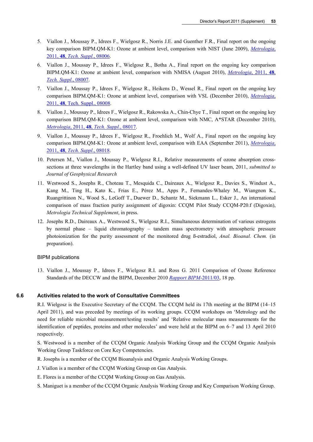- 5. Viallon J., Moussay P., Idrees F., Wielgosz R., Norris J.E. and Guenther F.R., Final report on the ongoing key comparison BIPM.QM-K1: Ozone at ambient level, comparison with NIST (June 2009), *[Metrologia](http://stacks.iop.org/0026-1394/48/08006)*, 2011, **48**, *[Tech. Suppl](http://stacks.iop.org/0026-1394/48/08006)*., 08006.
- 6. Viallon J., Moussay P., Idrees F., Wielgosz R., Botha A., Final report on the ongoing key comparison BIPM.QM-K1: Ozone at ambient level, comparison with NMISA (August 2010), *[Metrologia](http://stacks.iop.org/0026-1394/48/08007)*, 2011, **48**, *[Tech. Suppl](http://stacks.iop.org/0026-1394/48/08007)*., 08007.
- 7. Viallon J., Moussay P., Idrees F., Wielgosz R., Heikens D., Wessel R., Final report on the ongoing key comparison BIPM.QM-K1: Ozone at ambient level, comparison with VSL (December 2010), *[Metrologia](http://stacks.iop.org/0026-1394/48/08008)*, 2011, **48**[, Tech. Suppl., 08008.](http://stacks.iop.org/0026-1394/48/08008)
- 8. Viallon J., Moussay P., Idrees F., Wielgosz R., Rakowska A., Chin-Chye T., Final report on the ongoing key comparison BIPM.QM-K1: Ozone at ambient level, comparison with NMC, A\*STAR (December 2010), *Metrologia*, 2011, **48**, *[Tech. Suppl.](http://stacks.iop.org/0026-1394/48/08017)*, 08017.
- 9. Viallon J., Moussay P., Idrees F., Wielgosz R., Froehlich M., Wolf A., Final report on the ongoing key comparison BIPM.QM-K1: Ozone at ambient level, comparison with EAA (September 2011), *[Metrologia](http://stacks.iop.org/0026-1394/48/08018)*, 2011, **48**, *[Tech. Suppl](http://stacks.iop.org/0026-1394/48/08018)*., 08018.
- 10. Petersen M., Viallon J., Moussay P., Wielgosz R.I., Relative measurements of ozone absorption crosssections at three wavelengths in the Hartley band using a well-defined UV laser beam, 2011, *submitted to Journal of Geophysical Research*
- 11. Westwood S., Josephs R., Choteau T., Mesquida C., Daireaux A., Wielgosz R., Davies S., Windust A., Kang M., Ting H., Kato K., Frias E., Pérez M., Apps P., Fernandes-Whaley M., Wiangnon K., Ruangrittinon N., Wood S., LeGoff T., Duewer D., Schantz M., Siekmann L., Esker J., An international comparison of mass fraction purity assignment of digoxin: CCQM Pilot Study CCQM-P20.f (Digoxin), *Metrologia Technical Supplement*, in press.
- 12. Josephs R.D., Daireaux A., Westwood S., Wielgosz R.I., Simultaneous determination of various estrogens by normal phase – liquid chromatography – tandem mass spectrometry with atmospheric pressure photoionization for the purity assessment of the monitored drug ß-estradiol, *Anal. Bioanal. Chem.* (in preparation).

#### BIPM publications

13. Viallon J., Moussay P., Idrees F., Wielgosz R.I. and Ross G. 2011 Comparison of Ozone Reference Standards of the DECCW and the BIPM, December 2010 *[Rapport BIPM](http://www.bipm.org/utils/common/pdf/rapportBIPM/2011/03.pdf)*-2011/03, 18 pp*.*

#### **6.6 Activities related to the work of Consultative Committees**

R.I. Wielgosz is the Executive Secretary of the CCQM. The CCQM held its 17th meeting at the BIPM (14–15 April 2011), and was preceded by meetings of its working groups. CCQM workshops on 'Metrology and the need for reliable microbial measurement/testing results' and 'Relative molecular mass measurements for the identification of peptides, proteins and other molecules' and were held at the BIPM on 6–7 and 13 April 2010 respectively.

S. Westwood is a member of the CCQM Organic Analysis Working Group and the CCQM Organic Analysis Working Group Taskforce on Core Key Competencies.

- R. Josephs is a member of the CCQM Bioanalysis and Organic Analysis Working Groups.
- J. Viallon is a member of the CCQM Working Group on Gas Analysis.
- E. Flores is a member of the CCQM Working Group on Gas Analysis.
- S. Maniguet is a member of the CCQM Organic Analysis Working Group and Key Comparison Working Group.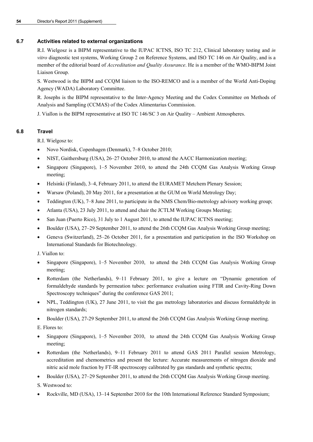# **6.7 Activities related to external organizations**

R.I. Wielgosz is a BIPM representative to the IUPAC ICTNS, ISO TC 212, Clinical laboratory testing and *in vitro* diagnostic test systems, Working Group 2 on Reference Systems, and ISO TC 146 on Air Quality, and is a member of the editorial board of *Accreditation and Quality Assurance*. He is a member of the WMO-BIPM Joint Liaison Group.

S. Westwood is the BIPM and CCQM liaison to the ISO-REMCO and is a member of the World Anti-Doping Agency (WADA) Laboratory Committee.

R. Josephs is the BIPM representative to the Inter-Agency Meeting and the Codex Committee on Methods of Analysis and Sampling (CCMAS) of the Codex Alimentarius Commission.

J. Viallon is the BIPM representative at ISO TC 146/SC 3 on Air Quality – Ambient Atmospheres.

# **6.8 Travel**

R.I. Wielgosz to:

- Novo Nordisk, Copenhagen (Denmark), 7–8 October 2010;
- NIST, Gaithersburg (USA), 26–27 October 2010, to attend the AACC Harmonization meeting;
- Singapore (Singapore), 1–5 November 2010, to attend the 24th CCQM Gas Analysis Working Group meeting;
- Helsinki (Finland), 3–4, February 2011, to attend the EURAMET Metchem Plenary Session;
- Warsaw (Poland), 20 May 2011, for a presentation at the GUM on World Metrology Day;
- Teddington (UK), 7–8 June 2011, to participate in the NMS Chem/Bio-metrology advisory working group;
- Atlanta (USA), 23 July 2011, to attend and chair the JCTLM Working Groups Meeting;
- San Juan (Puerto Rico), 31 July to 1 August 2011, to attend the IUPAC ICTNS meeting;
- Boulder (USA), 27–29 September 2011, to attend the 26th CCOM Gas Analysis Working Group meeting;
- Geneva (Switzerland), 25–26 October 2011, for a presentation and participation in the ISO Workshop on International Standards for Biotechnology.

J. Viallon to:

- Singapore (Singapore), 1–5 November 2010, to attend the 24th CCQM Gas Analysis Working Group meeting;
- Rotterdam (the Netherlands), 9–11 February 2011, to give a lecture on "Dynamic generation of formaldehyde standards by permeation tubes: performance evaluation using FTIR and Cavity-Ring Down Spectroscopy techniques" during the conference GAS 2011;
- NPL, Teddington (UK), 27 June 2011, to visit the gas metrology laboratories and discuss formaldehyde in nitrogen standards;
- Boulder (USA), 27-29 September 2011, to attend the 26th CCQM Gas Analysis Working Group meeting.

E. Flores to:

- Singapore (Singapore), 1–5 November 2010, to attend the 24th CCQM Gas Analysis Working Group meeting;
- Rotterdam (the Netherlands), 9–11 February 2011 to attend GAS 2011 Parallel session Metrology, accreditation and chemometrics and present the lecture: Accurate measurements of nitrogen dioxide and nitric acid mole fraction by FT-IR spectroscopy calibrated by gas standards and synthetic spectra;
- Boulder (USA), 27–29 September 2011, to attend the 26th CCQM Gas Analysis Working Group meeting.

S. Westwood to:

Rockville, MD (USA), 13–14 September 2010 for the 10th International Reference Standard Symposium;